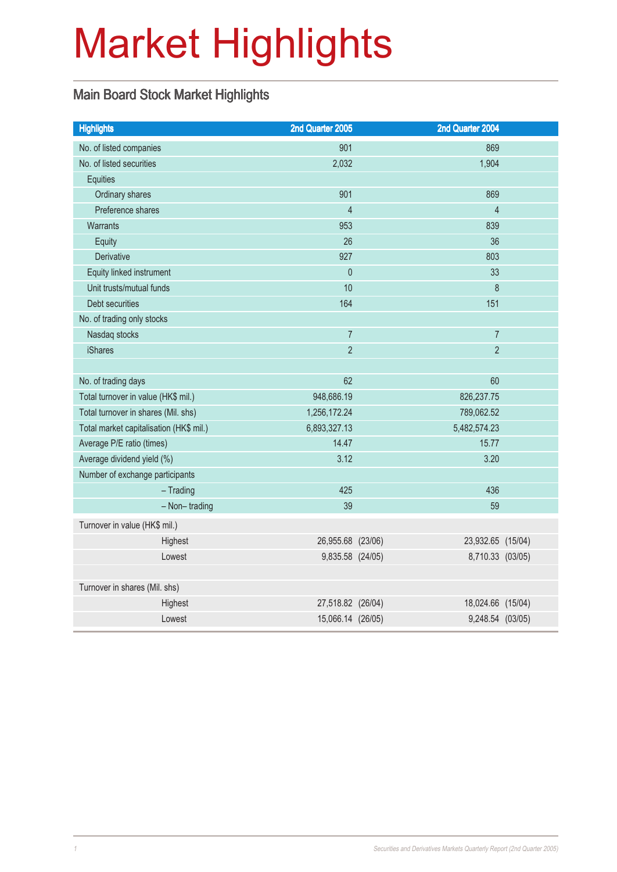# Market Highlights

### Main Board Stock Market Highlights

| <b>Highlights</b>                       | 2nd Quarter 2005  | 2nd Quarter 2004  |  |
|-----------------------------------------|-------------------|-------------------|--|
| No. of listed companies                 | 901               | 869               |  |
| No. of listed securities                | 2,032             | 1,904             |  |
| Equities                                |                   |                   |  |
| Ordinary shares                         | 901               | 869               |  |
| Preference shares                       | $\overline{4}$    | $\overline{4}$    |  |
| Warrants                                | 953               | 839               |  |
| Equity                                  | 26                | 36                |  |
| Derivative                              | 927               | 803               |  |
| Equity linked instrument                | $\overline{0}$    | 33                |  |
| Unit trusts/mutual funds                | 10                | 8                 |  |
| Debt securities                         | 164               | 151               |  |
| No. of trading only stocks              |                   |                   |  |
| Nasdaq stocks                           | $\overline{7}$    | $\overline{7}$    |  |
| <b>iShares</b>                          | $\overline{2}$    | $\overline{2}$    |  |
|                                         |                   |                   |  |
| No. of trading days                     | 62                | 60                |  |
| Total turnover in value (HK\$ mil.)     | 948,686.19        | 826, 237. 75      |  |
| Total turnover in shares (Mil. shs)     | 1,256,172.24      | 789,062.52        |  |
| Total market capitalisation (HK\$ mil.) | 6,893,327.13      | 5,482,574.23      |  |
| Average P/E ratio (times)               | 14.47             | 15.77             |  |
| Average dividend yield (%)              | 3.12              | 3.20              |  |
| Number of exchange participants         |                   |                   |  |
| $-$ Trading                             | 425               | 436               |  |
| $-$ Non-trading                         | 39                | 59                |  |
| Turnover in value (HK\$ mil.)           |                   |                   |  |
| Highest                                 | 26,955.68 (23/06) | 23,932.65 (15/04) |  |
| Lowest                                  | 9,835.58 (24/05)  | 8,710.33 (03/05)  |  |
|                                         |                   |                   |  |
| Turnover in shares (Mil. shs)           |                   |                   |  |
| Highest                                 | 27,518.82 (26/04) | 18,024.66 (15/04) |  |
| Lowest                                  | 15,066.14 (26/05) | 9,248.54 (03/05)  |  |
|                                         |                   |                   |  |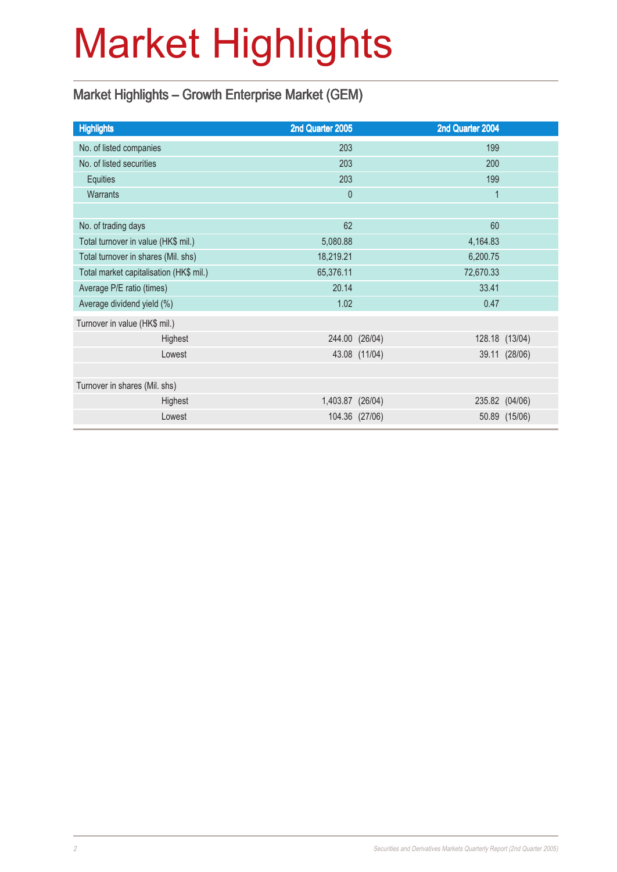# Market Highlights

### Market Highlights – Growth Enterprise Market (GEM)

| <b>Highlights</b>                       |         | 2nd Quarter 2005 |                | 2nd Quarter 2004 |                |
|-----------------------------------------|---------|------------------|----------------|------------------|----------------|
| No. of listed companies                 |         | 203              |                | 199              |                |
| No. of listed securities                |         | 203              |                | 200              |                |
| Equities                                |         | 203              |                | 199              |                |
| <b>Warrants</b>                         |         | $\theta$         |                | $\mathbf{1}$     |                |
|                                         |         |                  |                |                  |                |
| No. of trading days                     |         | 62               |                | 60               |                |
| Total turnover in value (HK\$ mil.)     |         | 5,080.88         |                | 4,164.83         |                |
| Total turnover in shares (Mil. shs)     |         | 18,219.21        |                |                  |                |
| Total market capitalisation (HK\$ mil.) |         | 65,376.11        | 72,670.33      |                  |                |
| Average P/E ratio (times)               |         | 20.14            |                |                  |                |
| Average dividend yield (%)              |         | 1.02             |                | 0.47             |                |
| Turnover in value (HK\$ mil.)           |         |                  |                |                  |                |
|                                         | Highest |                  | 244.00 (26/04) |                  | 128.18 (13/04) |
|                                         | Lowest  |                  | 43.08 (11/04)  |                  | 39.11 (28/06)  |
|                                         |         |                  |                |                  |                |
| Turnover in shares (Mil. shs)           |         |                  |                |                  |                |
|                                         | Highest | 1,403.87 (26/04) |                |                  | 235.82 (04/06) |
|                                         | Lowest  |                  | 104.36 (27/06) |                  | 50.89 (15/06)  |
|                                         |         |                  |                |                  |                |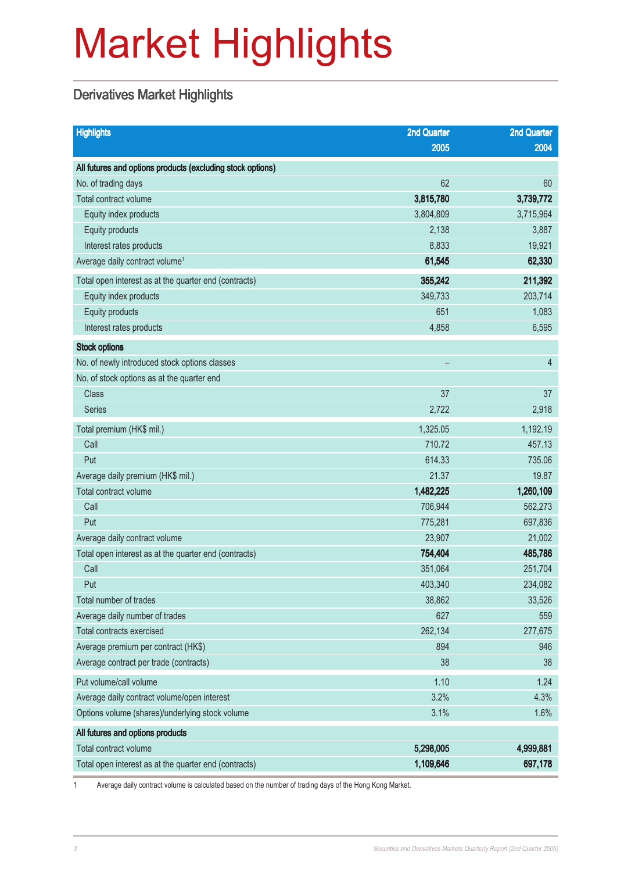# Market Highlights

### Derivatives Market Highlights

| <b>Highlights</b>                                          | <b>2nd Quarter</b> | <b>2nd Quarter</b> |
|------------------------------------------------------------|--------------------|--------------------|
|                                                            | 2005               | 2004               |
| All futures and options products (excluding stock options) |                    |                    |
| No. of trading days                                        | 62                 | 60                 |
| Total contract volume                                      | 3,815,780          | 3,739,772          |
| Equity index products                                      | 3,804,809          | 3,715,964          |
| Equity products                                            | 2,138              | 3,887              |
| Interest rates products                                    | 8,833              | 19,921             |
| Average daily contract volume <sup>1</sup>                 | 61,545             | 62,330             |
| Total open interest as at the quarter end (contracts)      | 355,242            | 211,392            |
| Equity index products                                      | 349,733            | 203,714            |
| Equity products                                            | 651                | 1,083              |
| Interest rates products                                    | 4,858              | 6,595              |
| <b>Stock options</b>                                       |                    |                    |
| No. of newly introduced stock options classes              |                    | $\overline{4}$     |
| No. of stock options as at the quarter end                 |                    |                    |
| <b>Class</b>                                               | 37                 | 37                 |
| <b>Series</b>                                              | 2,722              | 2,918              |
| Total premium (HK\$ mil.)                                  | 1,325.05           | 1,192.19           |
| Call                                                       | 710.72             | 457.13             |
| Put                                                        | 614.33             | 735.06             |
| Average daily premium (HK\$ mil.)                          | 21.37              | 19.87              |
| Total contract volume                                      | 1,482,225          | 1,260,109          |
| Call                                                       | 706,944            | 562,273            |
| Put                                                        | 775,281            | 697,836            |
| Average daily contract volume                              | 23,907             | 21,002             |
| Total open interest as at the quarter end (contracts)      | 754,404            | 485,786            |
| Call                                                       | 351,064            | 251,704            |
| Put                                                        | 403,340            | 234,082            |
| Total number of trades                                     | 38,862             | 33,526             |
| Average daily number of trades                             | 627                | 559                |
| Total contracts exercised                                  | 262,134            | 277,675            |
| Average premium per contract (HK\$)                        | 894                | 946                |
| Average contract per trade (contracts)                     | 38                 | 38                 |
| Put volume/call volume                                     | 1.10               | 1.24               |
| Average daily contract volume/open interest                | 3.2%               | 4.3%               |
| Options volume (shares)/underlying stock volume            | 3.1%               | 1.6%               |
| All futures and options products                           |                    |                    |
| Total contract volume                                      | 5,298,005          | 4,999,881          |
| Total open interest as at the quarter end (contracts)      | 1,109,646          | 697,178            |

1 Average daily contract volume is calculated based on the number of trading days of the Hong Kong Market.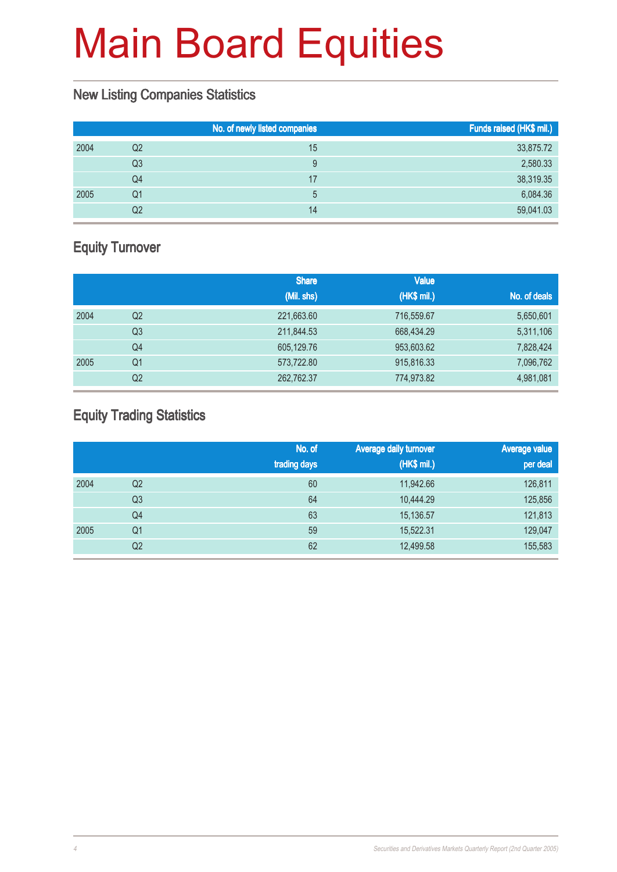#### New Listing Companies Statistics

|    | No. of newly listed companies | Funds raised (HK\$ mil.) |
|----|-------------------------------|--------------------------|
| Q2 | 15                            | 33,875.72                |
| Q3 | 9                             | 2,580.33                 |
| Q4 | 17                            | 38,319.35                |
| Q1 | 5                             | 6,084.36                 |
| Q2 | 14                            | 59,041.03                |
|    |                               |                          |

### Equity Turnover

|      |                | <b>Share</b> | <b>Value</b> |              |
|------|----------------|--------------|--------------|--------------|
|      |                | (Mil. shs)   | (HK\$ mil.)  | No. of deals |
| 2004 | Q <sub>2</sub> | 221,663.60   | 716,559.67   | 5,650,601    |
|      | Q3             | 211,844.53   | 668,434.29   | 5,311,106    |
|      | Q4             | 605,129.76   | 953,603.62   | 7,828,424    |
| 2005 | Q1             | 573,722.80   | 915,816.33   | 7,096,762    |
|      | Q <sub>2</sub> | 262,762.37   | 774,973.82   | 4,981,081    |

### Equity Trading Statistics

|      |                | No. of<br>trading days | <b>Average daily turnover</b><br>(HK\$ mil.) | <b>Average value</b><br>per deal |
|------|----------------|------------------------|----------------------------------------------|----------------------------------|
|      |                |                        |                                              |                                  |
| 2004 | Q <sub>2</sub> | 60                     | 11,942.66                                    | 126,811                          |
|      | Q <sub>3</sub> | 64                     | 10,444.29                                    | 125,856                          |
|      | Q4             | 63                     | 15,136.57                                    | 121,813                          |
| 2005 | Q <sub>1</sub> | 59                     | 15,522.31                                    | 129,047                          |
|      | Q <sub>2</sub> | 62                     | 12,499.58                                    | 155,583                          |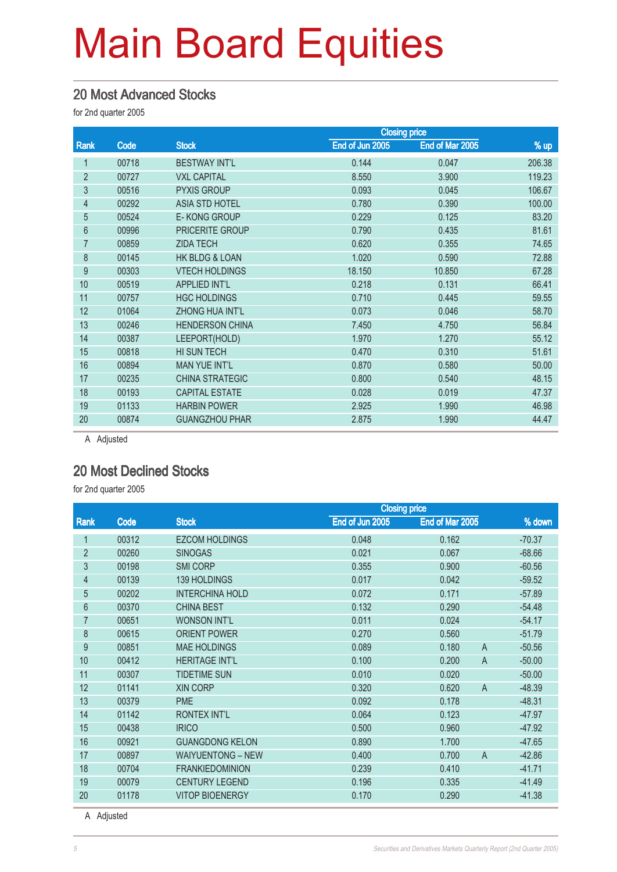#### 20 Most Advanced Stocks

for 2nd quarter 2005

|                |       | <b>Closing price</b>   |                 |                 |        |
|----------------|-------|------------------------|-----------------|-----------------|--------|
| Rank           | Code  | <b>Stock</b>           | End of Jun 2005 | End of Mar 2005 | % up   |
|                | 00718 | <b>BESTWAY INT'L</b>   | 0.144           | 0.047           | 206.38 |
| $\overline{2}$ | 00727 | <b>VXL CAPITAL</b>     | 8.550           | 3.900           | 119.23 |
| 3              | 00516 | <b>PYXIS GROUP</b>     | 0.093           | 0.045           | 106.67 |
| $\overline{4}$ | 00292 | <b>ASIA STD HOTEL</b>  | 0.780           | 0.390           | 100.00 |
| 5              | 00524 | E-KONG GROUP           | 0.229           | 0.125           | 83.20  |
| 6              | 00996 | PRICERITE GROUP        | 0.790           | 0.435           | 81.61  |
| $\overline{7}$ | 00859 | <b>ZIDA TECH</b>       | 0.620           | 0.355           | 74.65  |
| 8              | 00145 | HK BLDG & LOAN         | 1.020           | 0.590           | 72.88  |
| 9              | 00303 | <b>VTECH HOLDINGS</b>  | 18.150          | 10.850          | 67.28  |
| 10             | 00519 | <b>APPLIED INT'L</b>   | 0.218           | 0.131           | 66.41  |
| 11             | 00757 | <b>HGC HOLDINGS</b>    | 0.710           | 0.445           | 59.55  |
| 12             | 01064 | ZHONG HUA INT'L        | 0.073           | 0.046           | 58.70  |
| 13             | 00246 | <b>HENDERSON CHINA</b> | 7.450           | 4.750           | 56.84  |
| 14             | 00387 | LEEPORT(HOLD)          | 1.970           | 1.270           | 55.12  |
| 15             | 00818 | HI SUN TECH            | 0.470           | 0.310           | 51.61  |
| 16             | 00894 | <b>MAN YUE INT'L</b>   | 0.870           | 0.580           | 50.00  |
| 17             | 00235 | <b>CHINA STRATEGIC</b> | 0.800           | 0.540           | 48.15  |
| 18             | 00193 | <b>CAPITAL ESTATE</b>  | 0.028           | 0.019           | 47.37  |
| 19             | 01133 | <b>HARBIN POWER</b>    | 2.925           | 1.990           | 46.98  |
| 20             | 00874 | <b>GUANGZHOU PHAR</b>  | 2.875           | 1.990           | 44.47  |
|                |       |                        |                 |                 |        |

A Adjusted

### 20 Most Declined Stocks

for 2nd quarter 2005

|                |       | <b>Closing price</b>     |                 |                         |          |
|----------------|-------|--------------------------|-----------------|-------------------------|----------|
| Rank           | Code  | <b>Stock</b>             | End of Jun 2005 | End of Mar 2005         | % down   |
|                | 00312 | <b>EZCOM HOLDINGS</b>    | 0.048           | 0.162                   | $-70.37$ |
| $\overline{2}$ | 00260 | <b>SINOGAS</b>           | 0.021           | 0.067                   | $-68.66$ |
| 3              | 00198 | <b>SMI CORP</b>          | 0.355           | 0.900                   | $-60.56$ |
| 4              | 00139 | 139 HOLDINGS             | 0.017           | 0.042                   | $-59.52$ |
| 5              | 00202 | <b>INTERCHINA HOLD</b>   | 0.072           | 0.171                   | $-57.89$ |
| 6              | 00370 | <b>CHINA BEST</b>        | 0.132           | 0.290                   | $-54.48$ |
| 7              | 00651 | <b>WONSON INT'L</b>      | 0.011           | 0.024                   | $-54.17$ |
| 8              | 00615 | <b>ORIENT POWER</b>      | 0.270           | 0.560                   | $-51.79$ |
| 9              | 00851 | <b>MAE HOLDINGS</b>      | 0.089           | 0.180<br>A              | $-50.56$ |
| 10             | 00412 | <b>HERITAGE INT'L</b>    | 0.100           | $\mathsf{A}$<br>0.200   | $-50.00$ |
| 11             | 00307 | <b>TIDETIME SUN</b>      | 0.010           | 0.020                   | $-50.00$ |
| 12             | 01141 | <b>XIN CORP</b>          | 0.320           | $\overline{A}$<br>0.620 | $-48.39$ |
| 13             | 00379 | <b>PME</b>               | 0.092           | 0.178                   | $-48.31$ |
| 14             | 01142 | <b>RONTEX INT'L</b>      | 0.064           | 0.123                   | $-47.97$ |
| 15             | 00438 | <b>IRICO</b>             | 0.500           | 0.960                   | $-47.92$ |
| 16             | 00921 | <b>GUANGDONG KELON</b>   | 0.890           | 1.700                   | $-47.65$ |
| 17             | 00897 | <b>WAIYUENTONG - NEW</b> | 0.400           | 0.700<br>$\overline{A}$ | $-42.86$ |
| 18             | 00704 | <b>FRANKIEDOMINION</b>   | 0.239           | 0.410                   | $-41.71$ |
| 19             | 00079 | <b>CENTURY LEGEND</b>    | 0.196           | 0.335                   | $-41.49$ |
| 20             | 01178 | <b>VITOP BIOENERGY</b>   | 0.170           | 0.290                   | $-41.38$ |

A Adjusted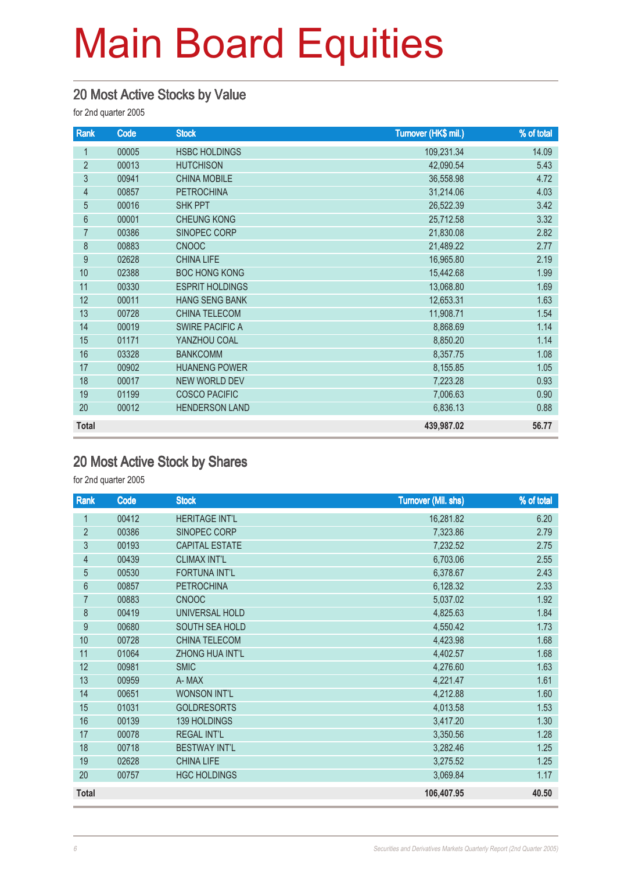#### 20 Most Active Stocks by Value

for 2nd quarter 2005

| Rank           | Code  | <b>Stock</b>           | Turnover (HK\$ mil.) | % of total |
|----------------|-------|------------------------|----------------------|------------|
| $\mathbf{1}$   | 00005 | <b>HSBC HOLDINGS</b>   | 109,231.34           | 14.09      |
| $\overline{2}$ | 00013 | <b>HUTCHISON</b>       | 42,090.54            | 5.43       |
| 3              | 00941 | <b>CHINA MOBILE</b>    | 36,558.98            | 4.72       |
| 4              | 00857 | <b>PETROCHINA</b>      | 31,214.06            | 4.03       |
| 5              | 00016 | <b>SHK PPT</b>         | 26,522.39            | 3.42       |
| 6              | 00001 | <b>CHEUNG KONG</b>     | 25,712.58            | 3.32       |
| $\overline{7}$ | 00386 | SINOPEC CORP           | 21,830.08            | 2.82       |
| 8              | 00883 | <b>CNOOC</b>           | 21,489.22            | 2.77       |
| 9              | 02628 | <b>CHINA LIFE</b>      | 16,965.80            | 2.19       |
| 10             | 02388 | <b>BOC HONG KONG</b>   | 15,442.68            | 1.99       |
| 11             | 00330 | <b>ESPRIT HOLDINGS</b> | 13,068.80            | 1.69       |
| 12             | 00011 | <b>HANG SENG BANK</b>  | 12,653.31            | 1.63       |
| 13             | 00728 | CHINA TELECOM          | 11,908.71            | 1.54       |
| 14             | 00019 | <b>SWIRE PACIFIC A</b> | 8,868.69             | 1.14       |
| 15             | 01171 | YANZHOU COAL           | 8,850.20             | 1.14       |
| 16             | 03328 | <b>BANKCOMM</b>        | 8,357.75             | 1.08       |
| 17             | 00902 | <b>HUANENG POWER</b>   | 8,155.85             | 1.05       |
| 18             | 00017 | NEW WORLD DEV          | 7,223.28             | 0.93       |
| 19             | 01199 | <b>COSCO PACIFIC</b>   | 7,006.63             | 0.90       |
| 20             | 00012 | <b>HENDERSON LAND</b>  | 6,836.13             | 0.88       |
| <b>Total</b>   |       |                        | 439,987.02           | 56.77      |

### 20 Most Active Stock by Shares

| Rank           | Code  | <b>Stock</b>           | <b>Turnover (Mil. shs)</b> | % of total |
|----------------|-------|------------------------|----------------------------|------------|
| 1              | 00412 | <b>HERITAGE INT'L</b>  | 16,281.82                  | 6.20       |
| $\overline{2}$ | 00386 | SINOPEC CORP           | 7,323.86                   | 2.79       |
| 3              | 00193 | <b>CAPITAL ESTATE</b>  | 7,232.52                   | 2.75       |
| $\overline{4}$ | 00439 | <b>CLIMAX INT'L</b>    | 6,703.06                   | 2.55       |
| 5              | 00530 | <b>FORTUNA INT'L</b>   | 6,378.67                   | 2.43       |
| $6\phantom{a}$ | 00857 | <b>PETROCHINA</b>      | 6,128.32                   | 2.33       |
| $\overline{7}$ | 00883 | <b>CNOOC</b>           | 5,037.02                   | 1.92       |
| 8              | 00419 | UNIVERSAL HOLD         | 4,825.63                   | 1.84       |
| 9              | 00680 | SOUTH SEA HOLD         | 4,550.42                   | 1.73       |
| 10             | 00728 | <b>CHINA TELECOM</b>   | 4,423.98                   | 1.68       |
| 11             | 01064 | <b>ZHONG HUA INT'L</b> | 4,402.57                   | 1.68       |
| 12             | 00981 | <b>SMIC</b>            | 4,276.60                   | 1.63       |
| 13             | 00959 | A-MAX                  | 4,221.47                   | 1.61       |
| 14             | 00651 | <b>WONSON INT'L</b>    | 4,212.88                   | 1.60       |
| 15             | 01031 | <b>GOLDRESORTS</b>     | 4,013.58                   | 1.53       |
| 16             | 00139 | 139 HOLDINGS           | 3,417.20                   | 1.30       |
| 17             | 00078 | <b>REGAL INT'L</b>     | 3,350.56                   | 1.28       |
| 18             | 00718 | <b>BESTWAY INT'L</b>   | 3,282.46                   | 1.25       |
| 19             | 02628 | <b>CHINA LIFE</b>      | 3,275.52                   | 1.25       |
| 20             | 00757 | <b>HGC HOLDINGS</b>    | 3,069.84                   | 1.17       |
| <b>Total</b>   |       |                        | 106,407.95                 | 40.50      |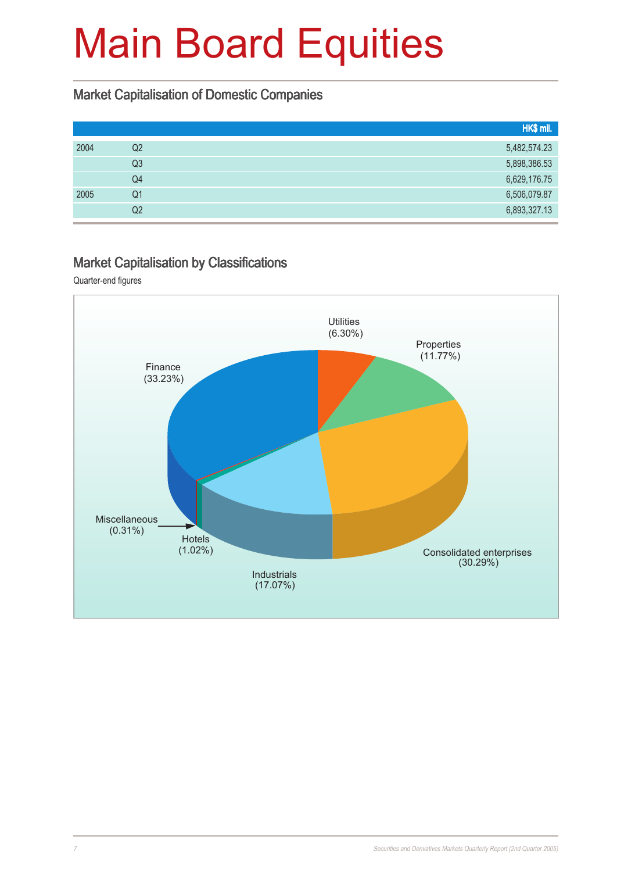#### Market Capitalisation of Domestic Companies

|      |    | HK\$ mil.    |
|------|----|--------------|
| 2004 | Q2 | 5,482,574.23 |
|      | Q3 | 5,898,386.53 |
|      | Q4 | 6,629,176.75 |
| 2005 | Q1 | 6,506,079.87 |
|      | Q2 | 6,893,327.13 |

#### Market Capitalisation by Classifications

Quarter-end figures

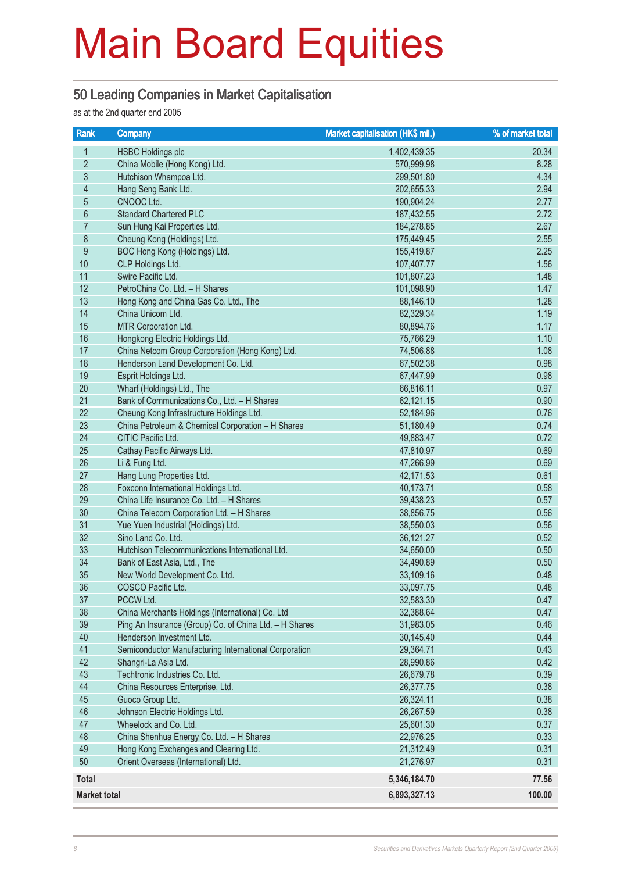#### 50 Leading Companies in Market Capitalisation

as at the 2nd quarter end 2005

| Rank                     | <b>Company</b>                                         | Market capitalisation (HK\$ mil.) | % of market total |
|--------------------------|--------------------------------------------------------|-----------------------------------|-------------------|
| $\mathbf{1}$             | <b>HSBC Holdings plc</b>                               | 1,402,439.35                      | 20.34             |
| $\overline{2}$           | China Mobile (Hong Kong) Ltd.                          | 570,999.98                        | 8.28              |
| 3                        | Hutchison Whampoa Ltd.                                 | 299,501.80                        | 4.34              |
| $\overline{\mathcal{L}}$ | Hang Seng Bank Ltd.                                    | 202,655.33                        | 2.94              |
| 5                        | CNOOC Ltd.                                             | 190,904.24                        | 2.77              |
| $6\phantom{a}$           | <b>Standard Chartered PLC</b>                          | 187,432.55                        | 2.72              |
| $\overline{7}$           | Sun Hung Kai Properties Ltd.                           | 184,278.85                        | 2.67              |
| $\bf 8$                  | Cheung Kong (Holdings) Ltd.                            | 175,449.45                        | 2.55              |
| $\boldsymbol{9}$         | BOC Hong Kong (Holdings) Ltd.                          | 155,419.87                        | 2.25              |
| 10                       | CLP Holdings Ltd.                                      | 107,407.77                        | 1.56              |
| 11                       | Swire Pacific Ltd.                                     | 101,807.23                        | 1.48              |
| 12                       | PetroChina Co. Ltd. - H Shares                         | 101,098.90                        | 1.47              |
| 13                       | Hong Kong and China Gas Co. Ltd., The                  | 88,146.10                         | 1.28              |
| 14                       | China Unicom Ltd.                                      | 82,329.34                         | 1.19              |
| 15                       | MTR Corporation Ltd.                                   | 80,894.76                         | 1.17              |
| 16                       | Hongkong Electric Holdings Ltd.                        | 75,766.29                         | 1.10              |
| 17                       | China Netcom Group Corporation (Hong Kong) Ltd.        | 74,506.88                         | 1.08              |
| 18                       | Henderson Land Development Co. Ltd.                    | 67,502.38                         | 0.98              |
| 19                       | Esprit Holdings Ltd.                                   | 67,447.99                         | 0.98              |
| 20                       | Wharf (Holdings) Ltd., The                             | 66,816.11                         | 0.97              |
| 21                       | Bank of Communications Co., Ltd. - H Shares            | 62,121.15                         | 0.90              |
| 22                       | Cheung Kong Infrastructure Holdings Ltd.               | 52,184.96                         | 0.76              |
| 23                       | China Petroleum & Chemical Corporation - H Shares      | 51,180.49                         | 0.74              |
| 24                       | CITIC Pacific Ltd.                                     | 49,883.47                         | 0.72              |
| 25                       | Cathay Pacific Airways Ltd.                            | 47,810.97                         | 0.69              |
| 26                       | Li & Fung Ltd.                                         | 47,266.99                         | 0.69              |
| 27                       | Hang Lung Properties Ltd.                              | 42,171.53                         | 0.61              |
| 28                       | Foxconn International Holdings Ltd.                    | 40,173.71                         | 0.58              |
| 29                       | China Life Insurance Co. Ltd. - H Shares               | 39,438.23                         | 0.57              |
| 30                       | China Telecom Corporation Ltd. - H Shares              | 38,856.75                         | 0.56              |
| 31                       | Yue Yuen Industrial (Holdings) Ltd.                    | 38,550.03                         | 0.56              |
| 32                       | Sino Land Co. Ltd.                                     | 36,121.27                         | 0.52              |
| 33                       | Hutchison Telecommunications International Ltd.        | 34,650.00                         | 0.50              |
| 34                       | Bank of East Asia, Ltd., The                           | 34,490.89                         | 0.50              |
| 35                       | New World Development Co. Ltd.                         | 33,109.16                         | 0.48              |
| 36                       | COSCO Pacific Ltd.                                     | 33,097.75                         | 0.48              |
| 37                       | PCCW Ltd.                                              | 32,583.30                         | 0.47              |
| 38                       | China Merchants Holdings (International) Co. Ltd       | 32,388.64                         | 0.47              |
| 39                       | Ping An Insurance (Group) Co. of China Ltd. - H Shares | 31,983.05                         | 0.46              |
| 40                       | Henderson Investment Ltd.                              | 30,145.40                         | 0.44              |
| 41                       | Semiconductor Manufacturing International Corporation  | 29,364.71                         | 0.43              |
| 42                       | Shangri-La Asia Ltd.                                   | 28,990.86                         | 0.42              |
| 43                       | Techtronic Industries Co. Ltd.                         | 26,679.78                         | 0.39              |
| 44                       | China Resources Enterprise, Ltd.                       | 26,377.75                         | 0.38              |
| 45                       | Guoco Group Ltd.                                       | 26,324.11                         | 0.38              |
| 46                       | Johnson Electric Holdings Ltd.                         | 26,267.59                         | 0.38              |
| 47                       | Wheelock and Co. Ltd.                                  | 25,601.30                         | 0.37              |
| 48                       | China Shenhua Energy Co. Ltd. - H Shares               | 22,976.25                         | 0.33              |
| 49                       | Hong Kong Exchanges and Clearing Ltd.                  | 21,312.49                         | 0.31              |
| 50                       | Orient Overseas (International) Ltd.                   | 21,276.97                         | 0.31              |
| <b>Total</b>             |                                                        | 5,346,184.70                      | 77.56             |
| <b>Market total</b>      |                                                        | 6,893,327.13                      | 100.00            |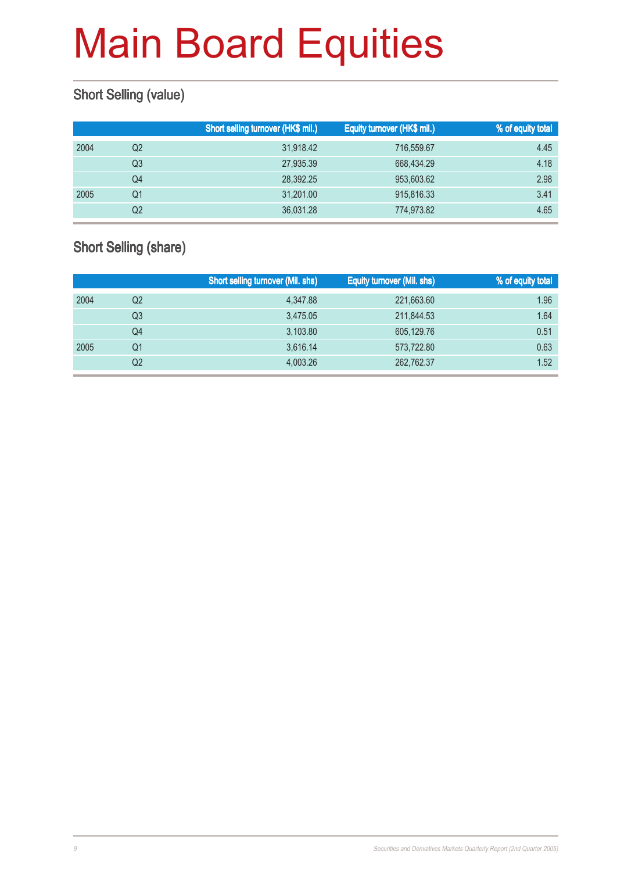### Short Selling (value)

|      |    | Short selling turnover (HK\$ mil.) | Equity turnover (HK\$ mil.) | % of equity total |
|------|----|------------------------------------|-----------------------------|-------------------|
| 2004 | Q2 | 31,918.42                          | 716,559.67                  | 4.45              |
|      | Q3 | 27,935.39                          | 668,434.29                  | 4.18              |
|      | Q4 | 28.392.25                          | 953,603.62                  | 2.98              |
| 2005 | Q1 | 31,201.00                          | 915,816.33                  | 3.41              |
|      | Q2 | 36,031.28                          | 774,973.82                  | 4.65              |

### Short Selling (share)

|      |                | <b>Short selling turnover (Mil. shs)</b> | Equity turnover (Mil. shs) | % of equity total |
|------|----------------|------------------------------------------|----------------------------|-------------------|
| 2004 | Q2             | 4,347.88                                 | 221,663.60                 | 1.96              |
|      | Q3             | 3.475.05                                 | 211,844.53                 | 1.64              |
|      | Q4             | 3,103.80                                 | 605,129.76                 | 0.51              |
| 2005 | Q1             | 3,616.14                                 | 573,722.80                 | 0.63              |
|      | Q <sub>2</sub> | 4.003.26                                 | 262,762.37                 | 1.52              |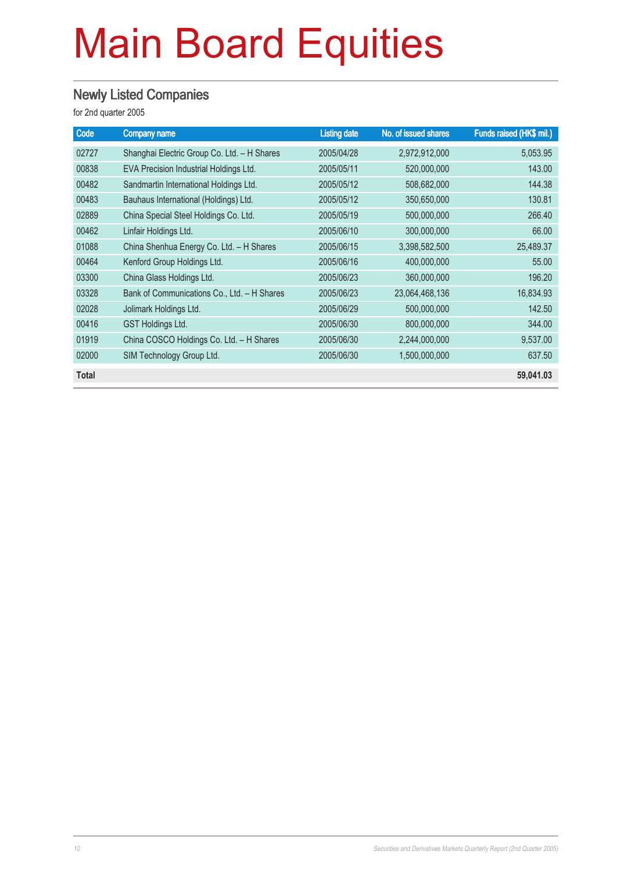#### Newly Listed Companies

| Code         | <b>Company name</b>                         | <b>Listing date</b> | No. of issued shares | Funds raised (HK\$ mil.) |
|--------------|---------------------------------------------|---------------------|----------------------|--------------------------|
| 02727        | Shanghai Electric Group Co. Ltd. - H Shares | 2005/04/28          | 2,972,912,000        | 5,053.95                 |
| 00838        | EVA Precision Industrial Holdings Ltd.      | 2005/05/11          | 520,000,000          | 143.00                   |
| 00482        | Sandmartin International Holdings Ltd.      | 2005/05/12          | 508,682,000          | 144.38                   |
| 00483        | Bauhaus International (Holdings) Ltd.       | 2005/05/12          | 350,650,000          | 130.81                   |
| 02889        | China Special Steel Holdings Co. Ltd.       | 2005/05/19          | 500,000,000          | 266.40                   |
| 00462        | Linfair Holdings Ltd.                       | 2005/06/10          | 300,000,000          | 66.00                    |
| 01088        | China Shenhua Energy Co. Ltd. - H Shares    | 2005/06/15          | 3,398,582,500        | 25,489.37                |
| 00464        | Kenford Group Holdings Ltd.                 | 2005/06/16          | 400,000,000          | 55,00                    |
| 03300        | China Glass Holdings Ltd.                   | 2005/06/23          | 360,000,000          | 196.20                   |
| 03328        | Bank of Communications Co., Ltd. - H Shares | 2005/06/23          | 23,064,468,136       | 16,834.93                |
| 02028        | Jolimark Holdings Ltd.                      | 2005/06/29          | 500,000,000          | 142.50                   |
| 00416        | <b>GST Holdings Ltd.</b>                    | 2005/06/30          | 800,000,000          | 344.00                   |
| 01919        | China COSCO Holdings Co. Ltd. - H Shares    | 2005/06/30          | 2,244,000,000        | 9,537.00                 |
| 02000        | SIM Technology Group Ltd.                   | 2005/06/30          | 1,500,000,000        | 637.50                   |
| <b>Total</b> |                                             |                     |                      | 59,041.03                |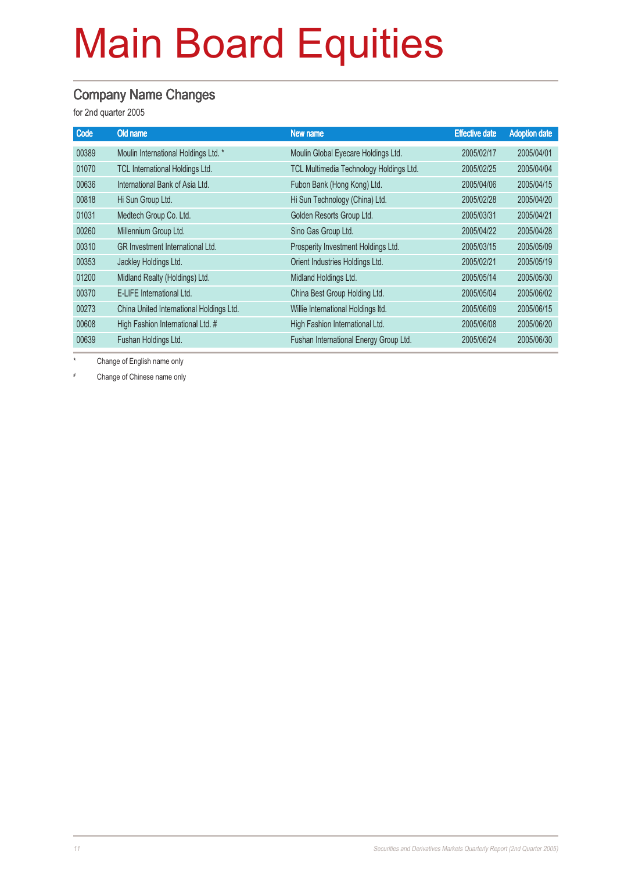#### Company Name Changes

for 2nd quarter 2005

| Old name                                 | <b>New name</b>                         | <b>Effective date</b> | <b>Adoption date</b> |
|------------------------------------------|-----------------------------------------|-----------------------|----------------------|
| Moulin International Holdings Ltd. *     | Moulin Global Eyecare Holdings Ltd.     | 2005/02/17            | 2005/04/01           |
| TCL International Holdings Ltd.          | TCL Multimedia Technology Holdings Ltd. | 2005/02/25            | 2005/04/04           |
| International Bank of Asia Ltd.          | Fubon Bank (Hong Kong) Ltd.             | 2005/04/06            | 2005/04/15           |
| Hi Sun Group Ltd.                        | Hi Sun Technology (China) Ltd.          | 2005/02/28            | 2005/04/20           |
| Medtech Group Co. Ltd.                   | Golden Resorts Group Ltd.               | 2005/03/31            | 2005/04/21           |
| Millennium Group Ltd.                    | Sino Gas Group Ltd.                     | 2005/04/22            | 2005/04/28           |
| <b>GR</b> Investment International Ltd.  | Prosperity Investment Holdings Ltd.     | 2005/03/15            | 2005/05/09           |
| Jackley Holdings Ltd.                    | Orient Industries Holdings Ltd.         | 2005/02/21            | 2005/05/19           |
| Midland Realty (Holdings) Ltd.           | Midland Holdings Ltd.                   | 2005/05/14            | 2005/05/30           |
| E-LIFE International Ltd.                | China Best Group Holding Ltd.           | 2005/05/04            | 2005/06/02           |
| China United International Holdings Ltd. | Willie International Holdings Itd.      | 2005/06/09            | 2005/06/15           |
| High Fashion International Ltd. #        | High Fashion International Ltd.         | 2005/06/08            | 2005/06/20           |
| Fushan Holdings Ltd.                     | Fushan International Energy Group Ltd.  | 2005/06/24            | 2005/06/30           |
|                                          |                                         |                       |                      |

\* Change of English name only

# Change of Chinese name only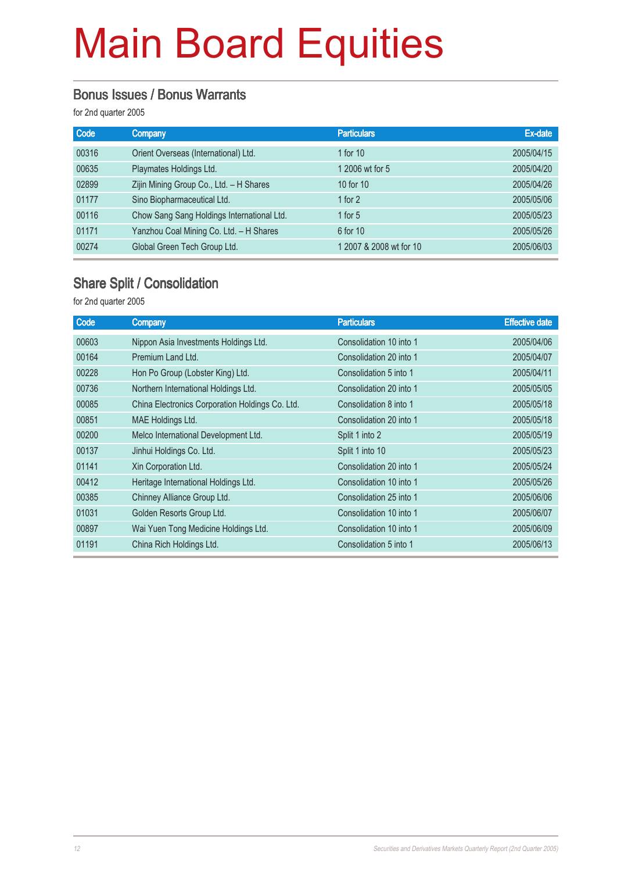#### Bonus Issues / Bonus Warrants

for 2nd quarter 2005

| Code  | <b>Company</b>                             | <b>Particulars</b>      | Ex-date    |
|-------|--------------------------------------------|-------------------------|------------|
| 00316 | Orient Overseas (International) Ltd.       | 1 for $10$              | 2005/04/15 |
| 00635 | Playmates Holdings Ltd.                    | 1 2006 wt for 5         | 2005/04/20 |
| 02899 | Zijin Mining Group Co., Ltd. - H Shares    | 10 for 10               | 2005/04/26 |
| 01177 | Sino Biopharmaceutical Ltd.                | 1 for $2$               | 2005/05/06 |
| 00116 | Chow Sang Sang Holdings International Ltd. | 1 for $5$               | 2005/05/23 |
| 01171 | Yanzhou Coal Mining Co. Ltd. - H Shares    | 6 for 10                | 2005/05/26 |
| 00274 | Global Green Tech Group Ltd.               | 1 2007 & 2008 wt for 10 | 2005/06/03 |

#### Share Split / Consolidation

| Code  | <b>Company</b>                                  | <b>Particulars</b>      | <b>Effective date</b> |
|-------|-------------------------------------------------|-------------------------|-----------------------|
| 00603 | Nippon Asia Investments Holdings Ltd.           | Consolidation 10 into 1 | 2005/04/06            |
| 00164 | Premium Land Ltd.                               | Consolidation 20 into 1 | 2005/04/07            |
| 00228 | Hon Po Group (Lobster King) Ltd.                | Consolidation 5 into 1  | 2005/04/11            |
| 00736 | Northern International Holdings Ltd.            | Consolidation 20 into 1 | 2005/05/05            |
| 00085 | China Electronics Corporation Holdings Co. Ltd. | Consolidation 8 into 1  | 2005/05/18            |
| 00851 | MAE Holdings Ltd.                               | Consolidation 20 into 1 | 2005/05/18            |
| 00200 | Melco International Development Ltd.            | Split 1 into 2          | 2005/05/19            |
| 00137 | Jinhui Holdings Co. Ltd.                        | Split 1 into 10         | 2005/05/23            |
| 01141 | Xin Corporation Ltd.                            | Consolidation 20 into 1 | 2005/05/24            |
| 00412 | Heritage International Holdings Ltd.            | Consolidation 10 into 1 | 2005/05/26            |
| 00385 | Chinney Alliance Group Ltd.                     | Consolidation 25 into 1 | 2005/06/06            |
| 01031 | Golden Resorts Group Ltd.                       | Consolidation 10 into 1 | 2005/06/07            |
| 00897 | Wai Yuen Tong Medicine Holdings Ltd.            | Consolidation 10 into 1 | 2005/06/09            |
| 01191 | China Rich Holdings Ltd.                        | Consolidation 5 into 1  | 2005/06/13            |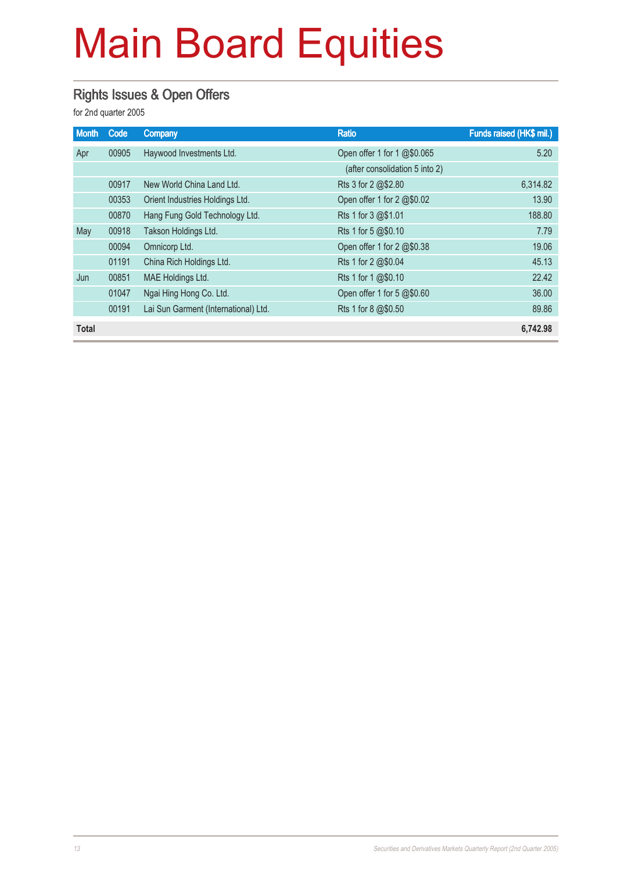### Rights Issues & Open Offers

| <b>Month</b> | Code  | <b>Company</b>                       | <b>Ratio</b>                            | Funds raised (HK\$ mil.) |
|--------------|-------|--------------------------------------|-----------------------------------------|--------------------------|
| Apr          | 00905 | Haywood Investments Ltd.             | Open offer 1 for 1 @\$0.065             | 5.20                     |
|              |       |                                      | (after consolidation 5 into 2)          |                          |
|              | 00917 | New World China Land Ltd.            | Rts 3 for $2 \, \textcircled{a}$ \$2.80 | 6,314.82                 |
|              | 00353 | Orient Industries Holdings Ltd.      | Open offer 1 for 2 @\$0.02              | 13.90                    |
|              | 00870 | Hang Fung Gold Technology Ltd.       | Rts 1 for 3 @\$1.01                     | 188.80                   |
| May          | 00918 | Takson Holdings Ltd.                 | Rts 1 for 5 @\$0.10                     | 7.79                     |
|              | 00094 | Omnicorp Ltd.                        | Open offer 1 for 2 @\$0.38              | 19.06                    |
|              | 01191 | China Rich Holdings Ltd.             | Rts 1 for 2 @\$0.04                     | 45.13                    |
| Jun          | 00851 | MAE Holdings Ltd.                    | Rts 1 for 1 @\$0.10                     | 22.42                    |
|              | 01047 | Ngai Hing Hong Co. Ltd.              | Open offer 1 for 5 @\$0.60              | 36.00                    |
|              | 00191 | Lai Sun Garment (International) Ltd. | Rts 1 for 8 @\$0.50                     | 89.86                    |
| <b>Total</b> |       |                                      |                                         | 6.742.98                 |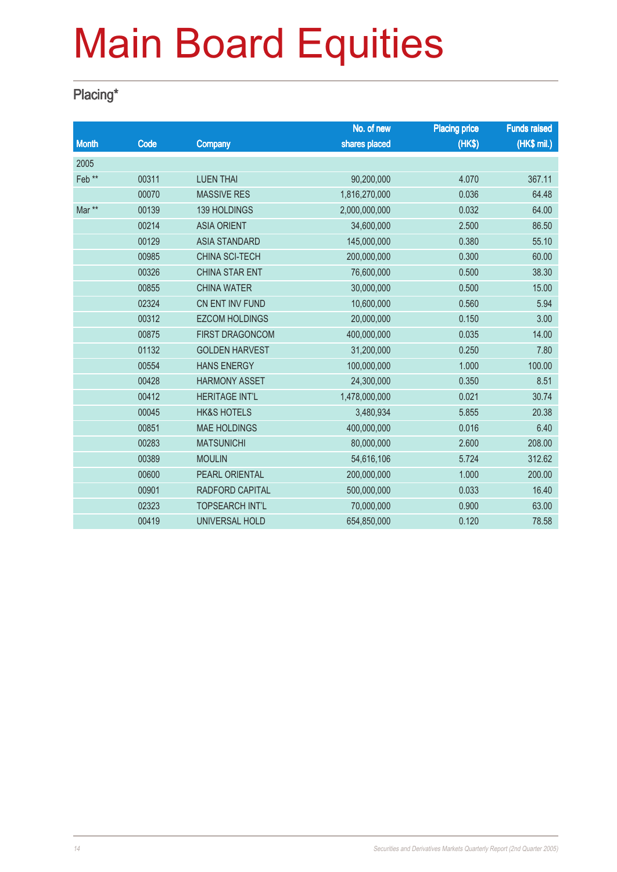### Placing\*

|                   |       |                        | No. of new    | <b>Placing price</b> | <b>Funds raised</b> |
|-------------------|-------|------------------------|---------------|----------------------|---------------------|
| <b>Month</b>      | Code  | <b>Company</b>         | shares placed | (HK\$)               | (HK\$ mil.)         |
| 2005              |       |                        |               |                      |                     |
| Feb <sup>**</sup> | 00311 | <b>LUEN THAI</b>       | 90,200,000    | 4.070                | 367.11              |
|                   | 00070 | <b>MASSIVE RES</b>     | 1,816,270,000 | 0.036                | 64.48               |
| Mar **            | 00139 | <b>139 HOLDINGS</b>    | 2,000,000,000 | 0.032                | 64.00               |
|                   | 00214 | <b>ASIA ORIENT</b>     | 34,600,000    | 2.500                | 86.50               |
|                   | 00129 | <b>ASIA STANDARD</b>   | 145,000,000   | 0.380                | 55.10               |
|                   | 00985 | <b>CHINA SCI-TECH</b>  | 200,000,000   | 0.300                | 60.00               |
|                   | 00326 | <b>CHINA STAR ENT</b>  | 76,600,000    | 0.500                | 38.30               |
|                   | 00855 | <b>CHINA WATER</b>     | 30,000,000    | 0.500                | 15.00               |
|                   | 02324 | CN ENT INV FUND        | 10,600,000    | 0.560                | 5.94                |
|                   | 00312 | <b>EZCOM HOLDINGS</b>  | 20,000,000    | 0.150                | 3.00                |
|                   | 00875 | <b>FIRST DRAGONCOM</b> | 400,000,000   | 0.035                | 14.00               |
|                   | 01132 | <b>GOLDEN HARVEST</b>  | 31,200,000    | 0.250                | 7.80                |
|                   | 00554 | <b>HANS ENERGY</b>     | 100,000,000   | 1.000                | 100.00              |
|                   | 00428 | <b>HARMONY ASSET</b>   | 24,300,000    | 0.350                | 8.51                |
|                   | 00412 | <b>HERITAGE INT'L</b>  | 1,478,000,000 | 0.021                | 30.74               |
|                   | 00045 | <b>HK&amp;S HOTELS</b> | 3,480,934     | 5.855                | 20.38               |
|                   | 00851 | <b>MAE HOLDINGS</b>    | 400,000,000   | 0.016                | 6.40                |
|                   | 00283 | <b>MATSUNICHI</b>      | 80,000,000    | 2.600                | 208.00              |
|                   | 00389 | <b>MOULIN</b>          | 54,616,106    | 5.724                | 312.62              |
|                   | 00600 | PEARL ORIENTAL         | 200,000,000   | 1.000                | 200.00              |
|                   | 00901 | RADFORD CAPITAL        | 500,000,000   | 0.033                | 16.40               |
|                   | 02323 | <b>TOPSEARCH INT'L</b> | 70,000,000    | 0.900                | 63.00               |
|                   | 00419 | UNIVERSAL HOLD         | 654,850,000   | 0.120                | 78.58               |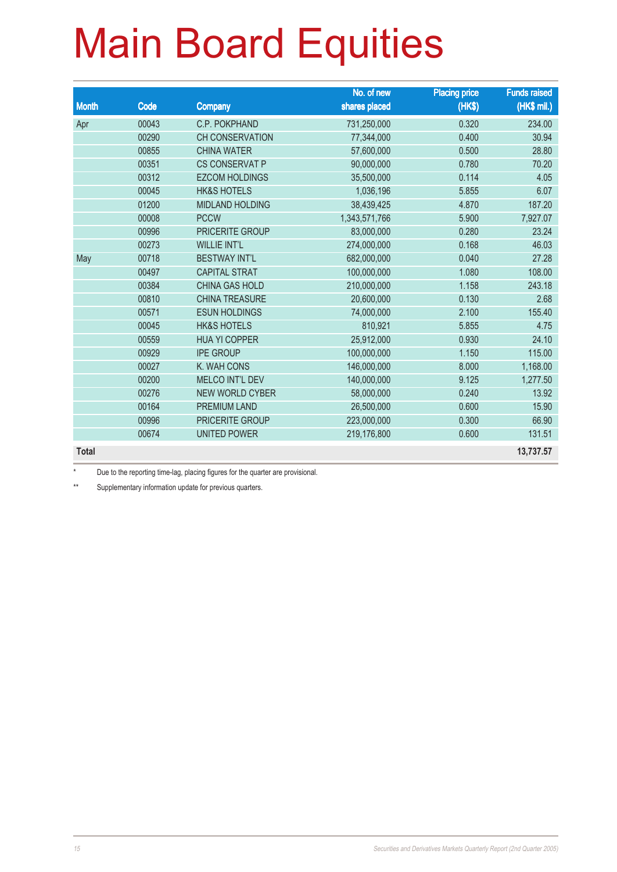|              |       |                        | No. of new    | <b>Placing price</b> | <b>Funds raised</b> |
|--------------|-------|------------------------|---------------|----------------------|---------------------|
| <b>Month</b> | Code  | <b>Company</b>         | shares placed | (HK\$)               | $(HK$$ mil.)        |
| Apr          | 00043 | C.P. POKPHAND          | 731,250,000   | 0.320                | 234.00              |
|              | 00290 | <b>CH CONSERVATION</b> | 77,344,000    | 0.400                | 30.94               |
|              | 00855 | <b>CHINA WATER</b>     | 57,600,000    | 0.500                | 28.80               |
|              | 00351 | <b>CS CONSERVAT P</b>  | 90,000,000    | 0.780                | 70.20               |
|              | 00312 | <b>EZCOM HOLDINGS</b>  | 35,500,000    | 0.114                | 4.05                |
|              | 00045 | <b>HK&amp;S HOTELS</b> | 1,036,196     | 5.855                | 6.07                |
|              | 01200 | <b>MIDLAND HOLDING</b> | 38,439,425    | 4.870                | 187.20              |
|              | 00008 | <b>PCCW</b>            | 1,343,571,766 | 5.900                | 7,927.07            |
|              | 00996 | PRICERITE GROUP        | 83,000,000    | 0.280                | 23.24               |
|              | 00273 | <b>WILLIE INT'L</b>    | 274,000,000   | 0.168                | 46.03               |
| May          | 00718 | <b>BESTWAY INT'L</b>   | 682,000,000   | 0.040                | 27.28               |
|              | 00497 | <b>CAPITAL STRAT</b>   | 100,000,000   | 1.080                | 108.00              |
|              | 00384 | <b>CHINA GAS HOLD</b>  | 210,000,000   | 1.158                | 243.18              |
|              | 00810 | <b>CHINA TREASURE</b>  | 20,600,000    | 0.130                | 2.68                |
|              | 00571 | <b>ESUN HOLDINGS</b>   | 74,000,000    | 2.100                | 155.40              |
|              | 00045 | <b>HK&amp;S HOTELS</b> | 810,921       | 5.855                | 4.75                |
|              | 00559 | <b>HUA YI COPPER</b>   | 25,912,000    | 0.930                | 24.10               |
|              | 00929 | <b>IPE GROUP</b>       | 100,000,000   | 1.150                | 115.00              |
|              | 00027 | K. WAH CONS            | 146,000,000   | 8.000                | 1,168.00            |
|              | 00200 | <b>MELCO INT'L DEV</b> | 140,000,000   | 9.125                | 1,277.50            |
|              | 00276 | <b>NEW WORLD CYBER</b> | 58,000,000    | 0.240                | 13.92               |
|              | 00164 | <b>PREMIUM LAND</b>    | 26,500,000    | 0.600                | 15.90               |
|              | 00996 | PRICERITE GROUP        | 223,000,000   | 0.300                | 66.90               |
|              | 00674 | <b>UNITED POWER</b>    | 219,176,800   | 0.600                | 131.51              |
| <b>Total</b> |       |                        |               |                      | 13,737.57           |

Due to the reporting time-lag, placing figures for the quarter are provisional.

\*\* Supplementary information update for previous quarters.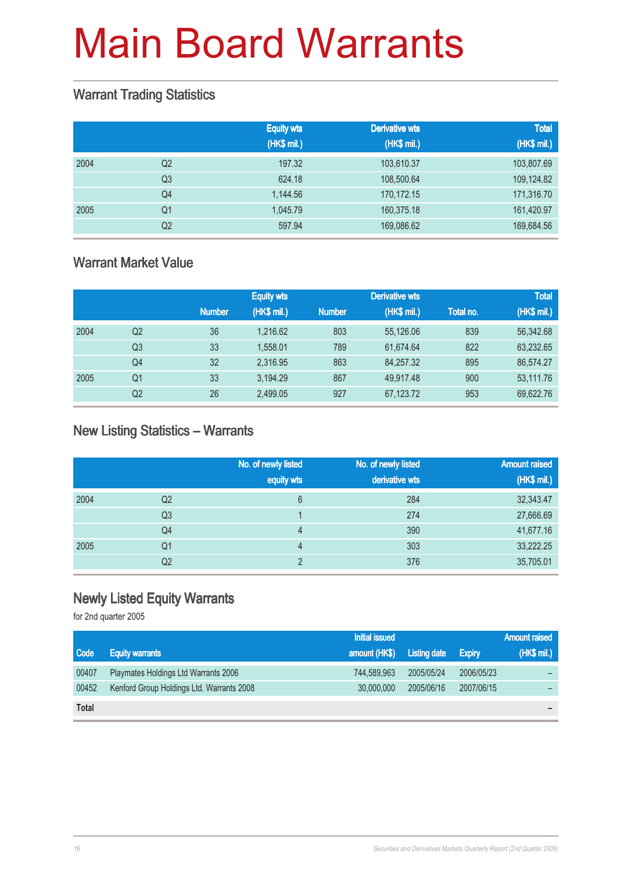#### Warrant Trading Statistics

|      |                | <b>Equity wts</b><br>(HK\$ mil.) | <b>Derivative wts</b><br>(HK\$ mil.) | <b>Total</b><br>(HK\$ mil.) |
|------|----------------|----------------------------------|--------------------------------------|-----------------------------|
| 2004 | Q <sub>2</sub> | 197.32                           | 103,610.37                           | 103,807.69                  |
|      | Q <sub>3</sub> | 624.18                           | 108,500.64                           | 109,124.82                  |
|      | Q <sub>4</sub> | 1,144.56                         | 170,172.15                           | 171,316.70                  |
| 2005 | Q1             | 1.045.79                         | 160,375.18                           | 161,420.97                  |
|      | Q2             | 597.94                           | 169,086.62                           | 169,684.56                  |

#### Warrant Market Value

|      |                |               | <b>Equity wts</b> |               | <b>Derivative wts</b> |           | <b>Total</b> |
|------|----------------|---------------|-------------------|---------------|-----------------------|-----------|--------------|
|      |                | <b>Number</b> | (HK\$ mil.)       | <b>Number</b> | (HK\$ mil.)           | Total no. | (HK\$ mil.)  |
| 2004 | Q <sub>2</sub> | 36            | 1.216.62          | 803           | 55,126.06             | 839       | 56,342.68    |
|      | Q3             | 33            | 1,558.01          | 789           | 61.674.64             | 822       | 63,232.65    |
|      | Q4             | 32            | 2,316.95          | 863           | 84,257.32             | 895       | 86,574.27    |
| 2005 | Q1             | 33            | 3,194.29          | 867           | 49,917.48             | 900       | 53,111.76    |
|      | Q <sub>2</sub> | 26            | 2,499.05          | 927           | 67,123.72             | 953       | 69,622.76    |

#### New Listing Statistics – Warrants

|      |    | No. of newly listed<br>equity wts | No. of newly listed<br>derivative wts | <b>Amount raised</b><br>(HK\$ mil.) |
|------|----|-----------------------------------|---------------------------------------|-------------------------------------|
| 2004 | Q2 | 6                                 | 284                                   | 32,343.47                           |
|      | Q3 |                                   | 274                                   | 27,666.69                           |
|      | Q4 | 4                                 | 390                                   | 41,677.16                           |
| 2005 | Q1 | 4                                 | 303                                   | 33,222.25                           |
|      | Q2 | C                                 | 376                                   | 35,705.01                           |

#### Newly Listed Equity Warrants

|              |                                           | <b>Initial issued</b> |                     |               | <b>Amount raised</b> |
|--------------|-------------------------------------------|-----------------------|---------------------|---------------|----------------------|
| Code         | <b>Equity warrants</b>                    | amount (HK\$)         | <b>Listing date</b> | <b>Expiry</b> | (HK\$ mil.)          |
| 00407        | Playmates Holdings Ltd Warrants 2006      | 744.589.963           | 2005/05/24          | 2006/05/23    |                      |
| 00452        | Kenford Group Holdings Ltd. Warrants 2008 | 30,000,000            | 2005/06/16          | 2007/06/15    |                      |
| <b>Total</b> |                                           |                       |                     |               |                      |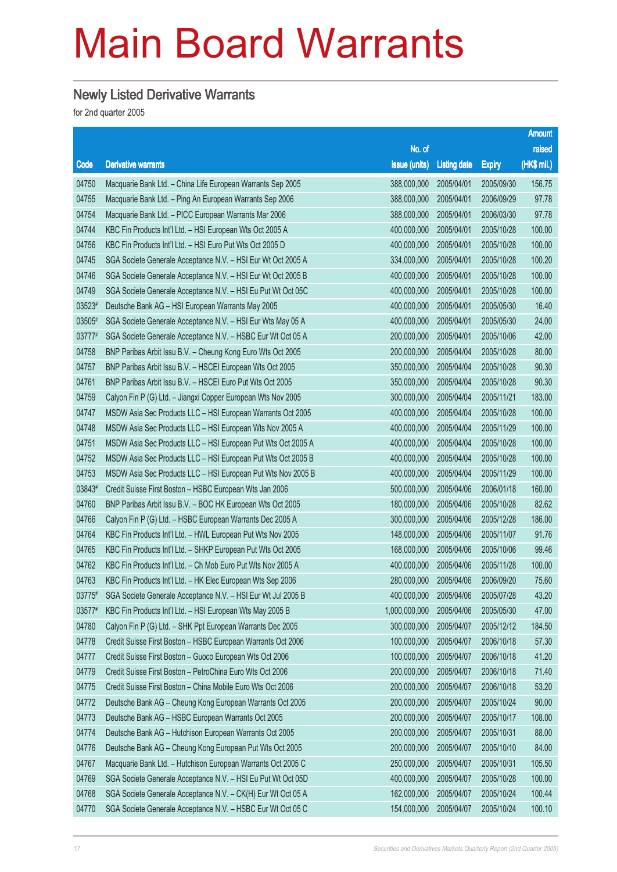#### Newly Listed Derivative Warrants

|        |                                                              |                        |                     |               | <b>Amount</b> |
|--------|--------------------------------------------------------------|------------------------|---------------------|---------------|---------------|
|        |                                                              | No. of                 |                     |               | raised        |
| Code   | <b>Derivative warrants</b>                                   | issue (units)          | <b>Listing date</b> | <b>Expiry</b> | (HK\$ mil.)   |
| 04750  | Macquarie Bank Ltd. - China Life European Warrants Sep 2005  | 388,000,000            | 2005/04/01          | 2005/09/30    | 156.75        |
| 04755  | Macquarie Bank Ltd. - Ping An European Warrants Sep 2006     | 388,000,000            | 2005/04/01          | 2006/09/29    | 97.78         |
| 04754  | Macquarie Bank Ltd. - PICC European Warrants Mar 2006        | 388,000,000            | 2005/04/01          | 2006/03/30    | 97.78         |
| 04744  | KBC Fin Products Int'l Ltd. - HSI European Wts Oct 2005 A    | 400,000,000            | 2005/04/01          | 2005/10/28    | 100.00        |
| 04756  | KBC Fin Products Int'l Ltd. - HSI Euro Put Wts Oct 2005 D    | 400,000,000            | 2005/04/01          | 2005/10/28    | 100.00        |
| 04745  | SGA Societe Generale Acceptance N.V. - HSI Eur Wt Oct 2005 A | 334,000,000            | 2005/04/01          | 2005/10/28    | 100.20        |
| 04746  | SGA Societe Generale Acceptance N.V. - HSI Eur Wt Oct 2005 B | 400,000,000            | 2005/04/01          | 2005/10/28    | 100.00        |
| 04749  | SGA Societe Generale Acceptance N.V. - HSI Eu Put Wt Oct 05C | 400,000,000            | 2005/04/01          | 2005/10/28    | 100.00        |
| 03523# | Deutsche Bank AG - HSI European Warrants May 2005            | 400,000,000            | 2005/04/01          | 2005/05/30    | 16.40         |
| 03505# | SGA Societe Generale Acceptance N.V. - HSI Eur Wts May 05 A  | 400,000,000            | 2005/04/01          | 2005/05/30    | 24.00         |
| 03777# | SGA Societe Generale Acceptance N.V. - HSBC Eur Wt Oct 05 A  | 200,000,000            | 2005/04/01          | 2005/10/06    | 42.00         |
| 04758  | BNP Paribas Arbit Issu B.V. - Cheung Kong Euro Wts Oct 2005  | 200,000,000            | 2005/04/04          | 2005/10/28    | 80.00         |
| 04757  | BNP Paribas Arbit Issu B.V. - HSCEI European Wts Oct 2005    | 350,000,000            | 2005/04/04          | 2005/10/28    | 90.30         |
| 04761  | BNP Paribas Arbit Issu B.V. - HSCEI Euro Put Wts Oct 2005    | 350,000,000            | 2005/04/04          | 2005/10/28    | 90.30         |
| 04759  | Calyon Fin P (G) Ltd. - Jiangxi Copper European Wts Nov 2005 | 300,000,000            | 2005/04/04          | 2005/11/21    | 183.00        |
| 04747  | MSDW Asia Sec Products LLC - HSI European Warrants Oct 2005  | 400,000,000            | 2005/04/04          | 2005/10/28    | 100.00        |
| 04748  | MSDW Asia Sec Products LLC - HSI European Wts Nov 2005 A     | 400,000,000            | 2005/04/04          | 2005/11/29    | 100.00        |
| 04751  | MSDW Asia Sec Products LLC - HSI European Put Wts Oct 2005 A | 400,000,000            | 2005/04/04          | 2005/10/28    | 100.00        |
| 04752  | MSDW Asia Sec Products LLC - HSI European Put Wts Oct 2005 B | 400,000,000            | 2005/04/04          | 2005/10/28    | 100.00        |
| 04753  | MSDW Asia Sec Products LLC - HSI European Put Wts Nov 2005 B | 400,000,000            | 2005/04/04          | 2005/11/29    | 100.00        |
| 03843# | Credit Suisse First Boston - HSBC European Wts Jan 2006      | 500,000,000            | 2005/04/06          | 2006/01/18    | 160.00        |
| 04760  | BNP Paribas Arbit Issu B.V. - BOC HK European Wts Oct 2005   | 180,000,000            | 2005/04/06          | 2005/10/28    | 82.62         |
| 04766  | Calyon Fin P (G) Ltd. - HSBC European Warrants Dec 2005 A    | 300,000,000            | 2005/04/06          | 2005/12/28    | 186.00        |
| 04764  | KBC Fin Products Int'l Ltd. - HWL European Put Wts Nov 2005  | 148,000,000            | 2005/04/06          | 2005/11/07    | 91.76         |
| 04765  | KBC Fin Products Int'l Ltd. - SHKP European Put Wts Oct 2005 | 168,000,000            | 2005/04/06          | 2005/10/06    | 99.46         |
| 04762  | KBC Fin Products Int'l Ltd. - Ch Mob Euro Put Wts Nov 2005 A | 400,000,000            | 2005/04/06          | 2005/11/28    | 100.00        |
| 04763  | KBC Fin Products Int'l Ltd. - HK Elec European Wts Sep 2006  | 280,000,000            | 2005/04/06          | 2006/09/20    | 75.60         |
| 03775# | SGA Societe Generale Acceptance N.V. - HSI Eur Wt Jul 2005 B | 400,000,000 2005/04/06 |                     | 2005/07/28    | 43.20         |
| 03577# | KBC Fin Products Int'l Ltd. - HSI European Wts May 2005 B    | 1,000,000,000          | 2005/04/06          | 2005/05/30    | 47.00         |
| 04780  | Calyon Fin P (G) Ltd. - SHK Ppt European Warrants Dec 2005   | 300,000,000            | 2005/04/07          | 2005/12/12    | 184.50        |
| 04778  | Credit Suisse First Boston - HSBC European Warrants Oct 2006 | 100,000,000            | 2005/04/07          | 2006/10/18    | 57.30         |
| 04777  | Credit Suisse First Boston - Guoco European Wts Oct 2006     | 100,000,000            | 2005/04/07          | 2006/10/18    | 41.20         |
| 04779  | Credit Suisse First Boston - PetroChina Euro Wts Oct 2006    | 200,000,000            | 2005/04/07          | 2006/10/18    | 71.40         |
| 04775  | Credit Suisse First Boston - China Mobile Euro Wts Oct 2006  | 200,000,000            | 2005/04/07          | 2006/10/18    | 53.20         |
| 04772  | Deutsche Bank AG - Cheung Kong European Warrants Oct 2005    | 200,000,000            | 2005/04/07          | 2005/10/24    | 90.00         |
| 04773  | Deutsche Bank AG - HSBC European Warrants Oct 2005           | 200,000,000            | 2005/04/07          | 2005/10/17    | 108.00        |
| 04774  | Deutsche Bank AG - Hutchison European Warrants Oct 2005      | 200,000,000            | 2005/04/07          | 2005/10/31    | 88.00         |
| 04776  | Deutsche Bank AG - Cheung Kong European Put Wts Oct 2005     | 200,000,000            | 2005/04/07          | 2005/10/10    | 84.00         |
| 04767  | Macquarie Bank Ltd. - Hutchison European Warrants Oct 2005 C | 250,000,000            | 2005/04/07          | 2005/10/31    | 105.50        |
| 04769  | SGA Societe Generale Acceptance N.V. - HSI Eu Put Wt Oct 05D | 400,000,000            | 2005/04/07          | 2005/10/28    | 100.00        |
| 04768  | SGA Societe Generale Acceptance N.V. - CK(H) Eur Wt Oct 05 A | 162,000,000            | 2005/04/07          | 2005/10/24    | 100.44        |
| 04770  | SGA Societe Generale Acceptance N.V. - HSBC Eur Wt Oct 05 C  | 154,000,000            | 2005/04/07          | 2005/10/24    | 100.10        |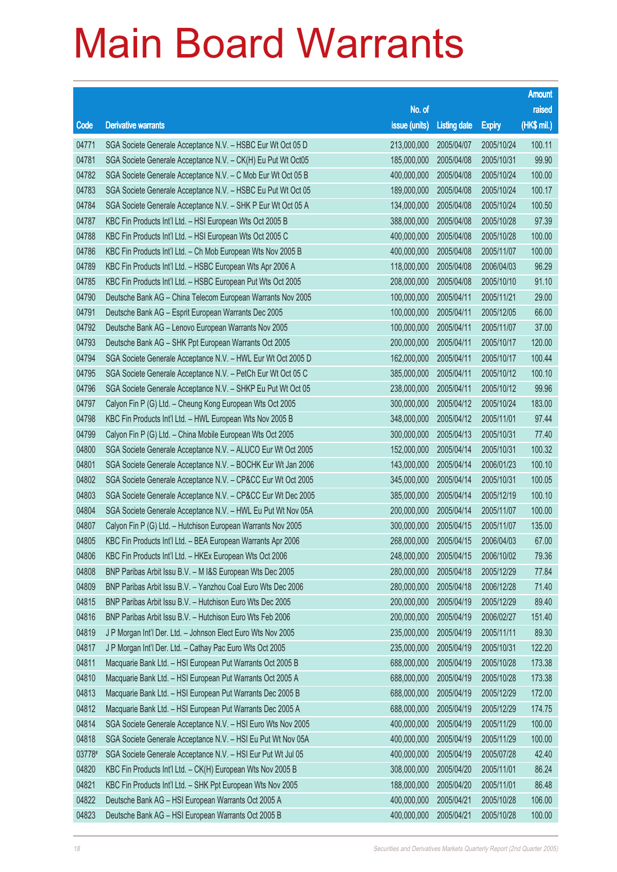|        |                                                              |               |                     |               | <b>Amount</b> |
|--------|--------------------------------------------------------------|---------------|---------------------|---------------|---------------|
|        |                                                              | No. of        |                     |               | raised        |
| Code   | <b>Derivative warrants</b>                                   | issue (units) | <b>Listing date</b> | <b>Expiry</b> | (HK\$ mil.)   |
| 04771  | SGA Societe Generale Acceptance N.V. - HSBC Eur Wt Oct 05 D  | 213,000,000   | 2005/04/07          | 2005/10/24    | 100.11        |
| 04781  | SGA Societe Generale Acceptance N.V. - CK(H) Eu Put Wt Oct05 | 185,000,000   | 2005/04/08          | 2005/10/31    | 99.90         |
| 04782  | SGA Societe Generale Acceptance N.V. - C Mob Eur Wt Oct 05 B | 400,000,000   | 2005/04/08          | 2005/10/24    | 100.00        |
| 04783  | SGA Societe Generale Acceptance N.V. - HSBC Eu Put Wt Oct 05 | 189,000,000   | 2005/04/08          | 2005/10/24    | 100.17        |
| 04784  | SGA Societe Generale Acceptance N.V. - SHK P Eur Wt Oct 05 A | 134,000,000   | 2005/04/08          | 2005/10/24    | 100.50        |
| 04787  | KBC Fin Products Int'l Ltd. - HSI European Wts Oct 2005 B    | 388,000,000   | 2005/04/08          | 2005/10/28    | 97.39         |
| 04788  | KBC Fin Products Int'l Ltd. - HSI European Wts Oct 2005 C    | 400,000,000   | 2005/04/08          | 2005/10/28    | 100.00        |
| 04786  | KBC Fin Products Int'l Ltd. - Ch Mob European Wts Nov 2005 B | 400,000,000   | 2005/04/08          | 2005/11/07    | 100.00        |
| 04789  | KBC Fin Products Int'l Ltd. - HSBC European Wts Apr 2006 A   | 118,000,000   | 2005/04/08          | 2006/04/03    | 96.29         |
| 04785  | KBC Fin Products Int'l Ltd. - HSBC European Put Wts Oct 2005 | 208,000,000   | 2005/04/08          | 2005/10/10    | 91.10         |
| 04790  | Deutsche Bank AG - China Telecom European Warrants Nov 2005  | 100,000,000   | 2005/04/11          | 2005/11/21    | 29.00         |
| 04791  | Deutsche Bank AG - Esprit European Warrants Dec 2005         | 100,000,000   | 2005/04/11          | 2005/12/05    | 66.00         |
| 04792  | Deutsche Bank AG - Lenovo European Warrants Nov 2005         | 100,000,000   | 2005/04/11          | 2005/11/07    | 37.00         |
| 04793  | Deutsche Bank AG - SHK Ppt European Warrants Oct 2005        | 200,000,000   | 2005/04/11          | 2005/10/17    | 120.00        |
| 04794  | SGA Societe Generale Acceptance N.V. - HWL Eur Wt Oct 2005 D | 162,000,000   | 2005/04/11          | 2005/10/17    | 100.44        |
| 04795  | SGA Societe Generale Acceptance N.V. - PetCh Eur Wt Oct 05 C | 385,000,000   | 2005/04/11          | 2005/10/12    | 100.10        |
| 04796  | SGA Societe Generale Acceptance N.V. - SHKP Eu Put Wt Oct 05 | 238,000,000   | 2005/04/11          | 2005/10/12    | 99.96         |
| 04797  | Calyon Fin P (G) Ltd. - Cheung Kong European Wts Oct 2005    | 300,000,000   | 2005/04/12          | 2005/10/24    | 183.00        |
| 04798  | KBC Fin Products Int'l Ltd. - HWL European Wts Nov 2005 B    | 348,000,000   | 2005/04/12          | 2005/11/01    | 97.44         |
| 04799  | Calyon Fin P (G) Ltd. - China Mobile European Wts Oct 2005   | 300,000,000   | 2005/04/13          | 2005/10/31    | 77.40         |
| 04800  | SGA Societe Generale Acceptance N.V. - ALUCO Eur Wt Oct 2005 | 152,000,000   | 2005/04/14          | 2005/10/31    | 100.32        |
| 04801  | SGA Societe Generale Acceptance N.V. - BOCHK Eur Wt Jan 2006 | 143,000,000   | 2005/04/14          | 2006/01/23    | 100.10        |
| 04802  | SGA Societe Generale Acceptance N.V. - CP&CC Eur Wt Oct 2005 | 345,000,000   | 2005/04/14          | 2005/10/31    | 100.05        |
| 04803  | SGA Societe Generale Acceptance N.V. - CP&CC Eur Wt Dec 2005 | 385,000,000   | 2005/04/14          | 2005/12/19    | 100.10        |
| 04804  | SGA Societe Generale Acceptance N.V. - HWL Eu Put Wt Nov 05A | 200,000,000   | 2005/04/14          | 2005/11/07    | 100.00        |
| 04807  | Calyon Fin P (G) Ltd. - Hutchison European Warrants Nov 2005 | 300,000,000   | 2005/04/15          | 2005/11/07    | 135.00        |
| 04805  | KBC Fin Products Int'l Ltd. - BEA European Warrants Apr 2006 | 268,000,000   | 2005/04/15          | 2006/04/03    | 67.00         |
| 04806  | KBC Fin Products Int'l Ltd. - HKEx European Wts Oct 2006     | 248,000,000   | 2005/04/15          | 2006/10/02    | 79.36         |
| 04808  | BNP Paribas Arbit Issu B.V. - M I&S European Wts Dec 2005    | 280,000,000   | 2005/04/18          | 2005/12/29    | 77.84         |
| 04809  | BNP Paribas Arbit Issu B.V. - Yanzhou Coal Euro Wts Dec 2006 | 280,000,000   | 2005/04/18          | 2006/12/28    | 71.40         |
| 04815  | BNP Paribas Arbit Issu B.V. - Hutchison Euro Wts Dec 2005    | 200,000,000   | 2005/04/19          | 2005/12/29    | 89.40         |
| 04816  | BNP Paribas Arbit Issu B.V. - Hutchison Euro Wts Feb 2006    | 200,000,000   | 2005/04/19          | 2006/02/27    | 151.40        |
| 04819  | J P Morgan Int'l Der. Ltd. - Johnson Elect Euro Wts Nov 2005 | 235,000,000   | 2005/04/19          | 2005/11/11    | 89.30         |
| 04817  | J P Morgan Int'l Der. Ltd. - Cathay Pac Euro Wts Oct 2005    | 235,000,000   | 2005/04/19          | 2005/10/31    | 122.20        |
| 04811  | Macquarie Bank Ltd. - HSI European Put Warrants Oct 2005 B   | 688,000,000   | 2005/04/19          | 2005/10/28    | 173.38        |
| 04810  | Macquarie Bank Ltd. - HSI European Put Warrants Oct 2005 A   | 688,000,000   | 2005/04/19          | 2005/10/28    | 173.38        |
| 04813  | Macquarie Bank Ltd. - HSI European Put Warrants Dec 2005 B   | 688,000,000   | 2005/04/19          | 2005/12/29    | 172.00        |
| 04812  | Macquarie Bank Ltd. - HSI European Put Warrants Dec 2005 A   | 688,000,000   | 2005/04/19          | 2005/12/29    | 174.75        |
| 04814  | SGA Societe Generale Acceptance N.V. - HSI Euro Wts Nov 2005 | 400,000,000   | 2005/04/19          | 2005/11/29    | 100.00        |
| 04818  | SGA Societe Generale Acceptance N.V. - HSI Eu Put Wt Nov 05A | 400,000,000   | 2005/04/19          | 2005/11/29    | 100.00        |
| 03778# | SGA Societe Generale Acceptance N.V. - HSI Eur Put Wt Jul 05 | 400,000,000   | 2005/04/19          | 2005/07/28    | 42.40         |
| 04820  | KBC Fin Products Int'l Ltd. - CK(H) European Wts Nov 2005 B  | 308,000,000   | 2005/04/20          | 2005/11/01    | 86.24         |
| 04821  | KBC Fin Products Int'l Ltd. - SHK Ppt European Wts Nov 2005  | 188,000,000   | 2005/04/20          | 2005/11/01    | 86.48         |
| 04822  | Deutsche Bank AG - HSI European Warrants Oct 2005 A          | 400,000,000   | 2005/04/21          | 2005/10/28    | 106.00        |
| 04823  | Deutsche Bank AG - HSI European Warrants Oct 2005 B          | 400,000,000   | 2005/04/21          | 2005/10/28    | 100.00        |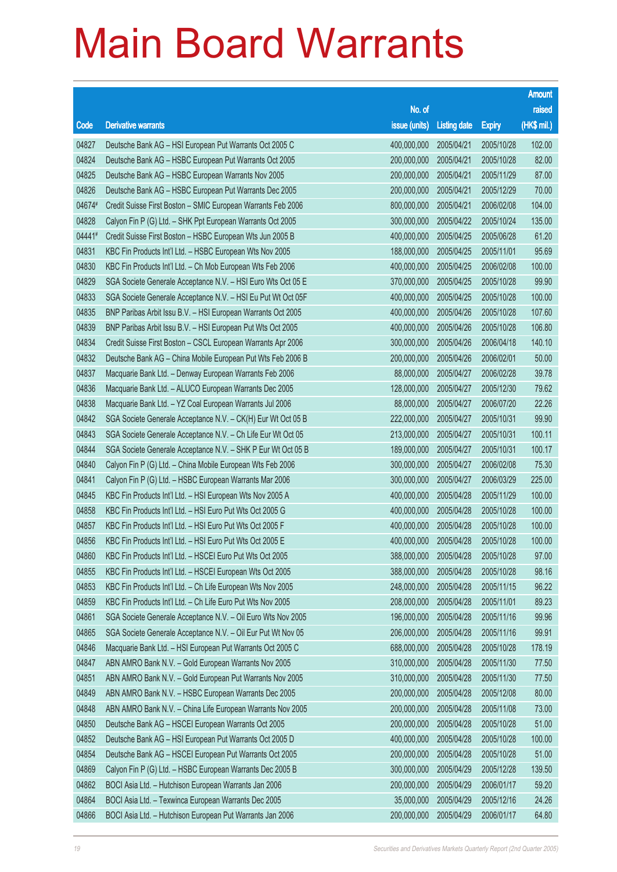|        |                                                              |               |                     |               | <b>Amount</b> |
|--------|--------------------------------------------------------------|---------------|---------------------|---------------|---------------|
|        |                                                              | No. of        |                     |               | raised        |
| Code   | <b>Derivative warrants</b>                                   | issue (units) | <b>Listing date</b> | <b>Expiry</b> | (HK\$ mil.)   |
| 04827  | Deutsche Bank AG - HSI European Put Warrants Oct 2005 C      | 400,000,000   | 2005/04/21          | 2005/10/28    | 102.00        |
| 04824  | Deutsche Bank AG - HSBC European Put Warrants Oct 2005       | 200,000,000   | 2005/04/21          | 2005/10/28    | 82.00         |
| 04825  | Deutsche Bank AG - HSBC European Warrants Nov 2005           | 200,000,000   | 2005/04/21          | 2005/11/29    | 87.00         |
| 04826  | Deutsche Bank AG - HSBC European Put Warrants Dec 2005       | 200,000,000   | 2005/04/21          | 2005/12/29    | 70.00         |
| 04674# | Credit Suisse First Boston - SMIC European Warrants Feb 2006 | 800,000,000   | 2005/04/21          | 2006/02/08    | 104.00        |
| 04828  | Calyon Fin P (G) Ltd. - SHK Ppt European Warrants Oct 2005   | 300,000,000   | 2005/04/22          | 2005/10/24    | 135.00        |
| 04441# | Credit Suisse First Boston - HSBC European Wts Jun 2005 B    | 400,000,000   | 2005/04/25          | 2005/06/28    | 61.20         |
| 04831  | KBC Fin Products Int'l Ltd. - HSBC European Wts Nov 2005     | 188,000,000   | 2005/04/25          | 2005/11/01    | 95.69         |
| 04830  | KBC Fin Products Int'l Ltd. - Ch Mob European Wts Feb 2006   | 400,000,000   | 2005/04/25          | 2006/02/08    | 100.00        |
| 04829  | SGA Societe Generale Acceptance N.V. - HSI Euro Wts Oct 05 E | 370,000,000   | 2005/04/25          | 2005/10/28    | 99.90         |
| 04833  | SGA Societe Generale Acceptance N.V. - HSI Eu Put Wt Oct 05F | 400,000,000   | 2005/04/25          | 2005/10/28    | 100.00        |
| 04835  | BNP Paribas Arbit Issu B.V. - HSI European Warrants Oct 2005 | 400,000,000   | 2005/04/26          | 2005/10/28    | 107.60        |
| 04839  | BNP Paribas Arbit Issu B.V. - HSI European Put Wts Oct 2005  | 400,000,000   | 2005/04/26          | 2005/10/28    | 106.80        |
| 04834  | Credit Suisse First Boston - CSCL European Warrants Apr 2006 | 300,000,000   | 2005/04/26          | 2006/04/18    | 140.10        |
| 04832  | Deutsche Bank AG - China Mobile European Put Wts Feb 2006 B  | 200,000,000   | 2005/04/26          | 2006/02/01    | 50.00         |
| 04837  | Macquarie Bank Ltd. - Denway European Warrants Feb 2006      | 88,000,000    | 2005/04/27          | 2006/02/28    | 39.78         |
| 04836  | Macquarie Bank Ltd. - ALUCO European Warrants Dec 2005       | 128,000,000   | 2005/04/27          | 2005/12/30    | 79.62         |
| 04838  | Macquarie Bank Ltd. - YZ Coal European Warrants Jul 2006     | 88,000,000    | 2005/04/27          | 2006/07/20    | 22.26         |
| 04842  | SGA Societe Generale Acceptance N.V. - CK(H) Eur Wt Oct 05 B | 222,000,000   | 2005/04/27          | 2005/10/31    | 99.90         |
| 04843  | SGA Societe Generale Acceptance N.V. - Ch Life Eur Wt Oct 05 | 213,000,000   | 2005/04/27          | 2005/10/31    | 100.11        |
| 04844  | SGA Societe Generale Acceptance N.V. - SHK P Eur Wt Oct 05 B | 189,000,000   | 2005/04/27          | 2005/10/31    | 100.17        |
| 04840  | Calyon Fin P (G) Ltd. - China Mobile European Wts Feb 2006   | 300,000,000   | 2005/04/27          | 2006/02/08    | 75.30         |
| 04841  | Calyon Fin P (G) Ltd. - HSBC European Warrants Mar 2006      | 300,000,000   | 2005/04/27          | 2006/03/29    | 225.00        |
| 04845  | KBC Fin Products Int'l Ltd. - HSI European Wts Nov 2005 A    | 400,000,000   | 2005/04/28          | 2005/11/29    | 100.00        |
| 04858  | KBC Fin Products Int'l Ltd. - HSI Euro Put Wts Oct 2005 G    | 400,000,000   | 2005/04/28          | 2005/10/28    | 100.00        |
| 04857  | KBC Fin Products Int'l Ltd. - HSI Euro Put Wts Oct 2005 F    | 400,000,000   | 2005/04/28          | 2005/10/28    | 100.00        |
| 04856  | KBC Fin Products Int'l Ltd. - HSI Euro Put Wts Oct 2005 E    | 400,000,000   | 2005/04/28          | 2005/10/28    | 100.00        |
| 04860  | KBC Fin Products Int'l Ltd. - HSCEI Euro Put Wts Oct 2005    | 388,000,000   | 2005/04/28          | 2005/10/28    | 97.00         |
| 04855  | KBC Fin Products Int'l Ltd. - HSCEI European Wts Oct 2005    | 388,000,000   | 2005/04/28          | 2005/10/28    | 98.16         |
| 04853  | KBC Fin Products Int'l Ltd. - Ch Life European Wts Nov 2005  | 248,000,000   | 2005/04/28          | 2005/11/15    | 96.22         |
| 04859  | KBC Fin Products Int'l Ltd. - Ch Life Euro Put Wts Nov 2005  | 208,000,000   | 2005/04/28          | 2005/11/01    | 89.23         |
| 04861  | SGA Societe Generale Acceptance N.V. - Oil Euro Wts Nov 2005 | 196,000,000   | 2005/04/28          | 2005/11/16    | 99.96         |
| 04865  | SGA Societe Generale Acceptance N.V. - Oil Eur Put Wt Nov 05 | 206,000,000   | 2005/04/28          | 2005/11/16    | 99.91         |
| 04846  | Macquarie Bank Ltd. - HSI European Put Warrants Oct 2005 C   | 688,000,000   | 2005/04/28          | 2005/10/28    | 178.19        |
| 04847  | ABN AMRO Bank N.V. - Gold European Warrants Nov 2005         | 310,000,000   | 2005/04/28          | 2005/11/30    | 77.50         |
| 04851  | ABN AMRO Bank N.V. - Gold European Put Warrants Nov 2005     | 310,000,000   | 2005/04/28          | 2005/11/30    | 77.50         |
| 04849  | ABN AMRO Bank N.V. - HSBC European Warrants Dec 2005         | 200,000,000   | 2005/04/28          | 2005/12/08    | 80.00         |
| 04848  | ABN AMRO Bank N.V. - China Life European Warrants Nov 2005   | 200,000,000   | 2005/04/28          | 2005/11/08    | 73.00         |
| 04850  | Deutsche Bank AG - HSCEI European Warrants Oct 2005          | 200,000,000   | 2005/04/28          | 2005/10/28    | 51.00         |
| 04852  | Deutsche Bank AG - HSI European Put Warrants Oct 2005 D      | 400,000,000   | 2005/04/28          | 2005/10/28    | 100.00        |
| 04854  | Deutsche Bank AG - HSCEI European Put Warrants Oct 2005      | 200,000,000   | 2005/04/28          | 2005/10/28    | 51.00         |
| 04869  | Calyon Fin P (G) Ltd. - HSBC European Warrants Dec 2005 B    | 300,000,000   | 2005/04/29          | 2005/12/28    | 139.50        |
| 04862  | BOCI Asia Ltd. - Hutchison European Warrants Jan 2006        | 200,000,000   | 2005/04/29          | 2006/01/17    | 59.20         |
| 04864  | BOCI Asia Ltd. - Texwinca European Warrants Dec 2005         | 35,000,000    | 2005/04/29          | 2005/12/16    | 24.26         |
| 04866  | BOCI Asia Ltd. - Hutchison European Put Warrants Jan 2006    | 200,000,000   | 2005/04/29          | 2006/01/17    | 64.80         |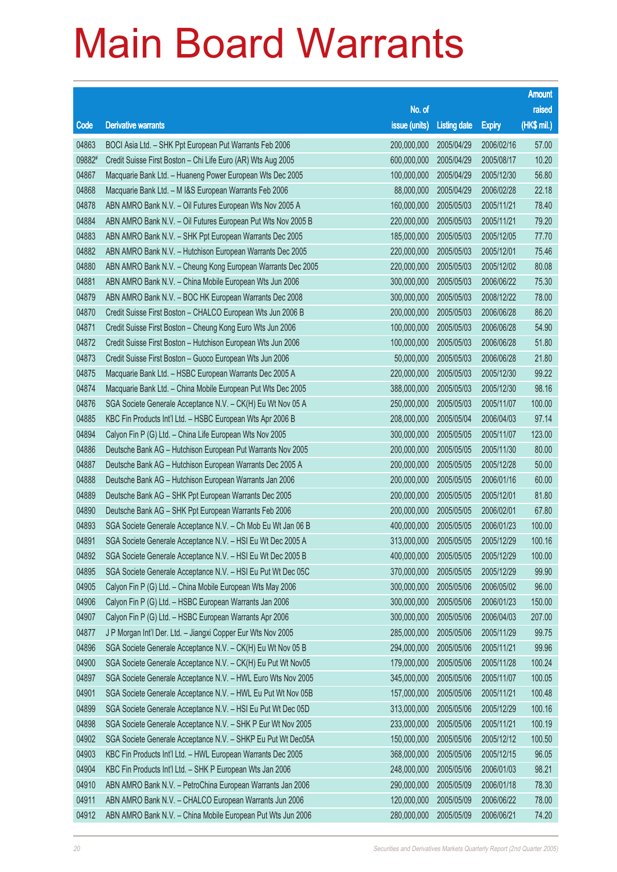| raised<br>No. of<br>(HK\$ mil.)<br>issue (units)<br>Code<br><b>Derivative warrants</b><br><b>Listing date</b><br><b>Expiry</b><br>04863<br>BOCI Asia Ltd. - SHK Ppt European Put Warrants Feb 2006<br>200,000,000<br>2005/04/29<br>2006/02/16<br>57.00<br>09882#<br>10.20<br>Credit Suisse First Boston - Chi Life Euro (AR) Wts Aug 2005<br>600,000,000<br>2005/04/29<br>2005/08/17<br>56.80<br>04867<br>2005/04/29<br>Macquarie Bank Ltd. - Huaneng Power European Wts Dec 2005<br>100,000,000<br>2005/12/30<br>04868<br>22.18<br>Macquarie Bank Ltd. - M I&S European Warrants Feb 2006<br>88,000,000<br>2005/04/29<br>2006/02/28<br>04878<br>ABN AMRO Bank N.V. - Oil Futures European Wts Nov 2005 A<br>160,000,000<br>2005/05/03<br>2005/11/21<br>78.40<br>04884<br>79.20<br>ABN AMRO Bank N.V. - Oil Futures European Put Wts Nov 2005 B<br>220,000,000<br>2005/05/03<br>2005/11/21<br>04883<br>77.70<br>ABN AMRO Bank N.V. - SHK Ppt European Warrants Dec 2005<br>185,000,000<br>2005/05/03<br>2005/12/05<br>04882<br>75.46<br>ABN AMRO Bank N.V. - Hutchison European Warrants Dec 2005<br>220,000,000<br>2005/05/03<br>2005/12/01<br>04880<br>80.08<br>ABN AMRO Bank N.V. - Cheung Kong European Warrants Dec 2005<br>220,000,000<br>2005/05/03<br>2005/12/02<br>04881<br>75.30<br>ABN AMRO Bank N.V. - China Mobile European Wts Jun 2006<br>300,000,000<br>2005/05/03<br>2006/06/22<br>04879<br>78.00<br>ABN AMRO Bank N.V. - BOC HK European Warrants Dec 2008<br>300,000,000<br>2005/05/03<br>2008/12/22<br>04870<br>86.20<br>200,000,000<br>2005/05/03<br>Credit Suisse First Boston - CHALCO European Wts Jun 2006 B<br>2006/06/28<br>04871<br>54.90<br>Credit Suisse First Boston - Cheung Kong Euro Wts Jun 2006<br>100,000,000<br>2005/05/03<br>2006/06/28<br>04872<br>51.80<br>100,000,000<br>2005/05/03<br>2006/06/28<br>Credit Suisse First Boston - Hutchison European Wts Jun 2006<br>21.80<br>04873<br>50,000,000<br>2005/05/03<br>Credit Suisse First Boston - Guoco European Wts Jun 2006<br>2006/06/28<br>04875<br>99.22<br>Macquarie Bank Ltd. - HSBC European Warrants Dec 2005 A<br>220,000,000<br>2005/05/03<br>2005/12/30<br>04874<br>98.16<br>Macquarie Bank Ltd. - China Mobile European Put Wts Dec 2005<br>388,000,000<br>2005/05/03<br>2005/12/30<br>04876<br>100.00<br>SGA Societe Generale Acceptance N.V. - CK(H) Eu Wt Nov 05 A<br>250,000,000<br>2005/05/03<br>2005/11/07<br>04885<br>97.14<br>208,000,000<br>2005/05/04<br>KBC Fin Products Int'l Ltd. - HSBC European Wts Apr 2006 B<br>2006/04/03<br>04894<br>123.00<br>Calyon Fin P (G) Ltd. - China Life European Wts Nov 2005<br>300,000,000<br>2005/05/05<br>2005/11/07<br>04886<br>80.00<br>Deutsche Bank AG - Hutchison European Put Warrants Nov 2005<br>200,000,000<br>2005/05/05<br>2005/11/30<br>04887<br>50.00<br>Deutsche Bank AG - Hutchison European Warrants Dec 2005 A<br>200,000,000<br>2005/05/05<br>2005/12/28<br>04888<br>60.00<br>Deutsche Bank AG - Hutchison European Warrants Jan 2006<br>200,000,000<br>2005/05/05<br>2006/01/16<br>04889<br>81.80<br>200,000,000<br>2005/05/05<br>Deutsche Bank AG - SHK Ppt European Warrants Dec 2005<br>2005/12/01<br>04890<br>67.80<br>Deutsche Bank AG - SHK Ppt European Warrants Feb 2006<br>200,000,000<br>2005/05/05<br>2006/02/01<br>04893<br>SGA Societe Generale Acceptance N.V. - Ch Mob Eu Wt Jan 06 B<br>400,000,000<br>2005/05/05<br>100.00<br>2006/01/23<br>04891<br>100.16<br>SGA Societe Generale Acceptance N.V. - HSI Eu Wt Dec 2005 A<br>313,000,000<br>2005/05/05<br>2005/12/29<br>SGA Societe Generale Acceptance N.V. - HSI Eu Wt Dec 2005 B<br>04892<br>400,000,000<br>2005/05/05<br>2005/12/29<br>100.00<br>04895<br>SGA Societe Generale Acceptance N.V. - HSI Eu Put Wt Dec 05C<br>370,000,000<br>2005/05/05<br>2005/12/29<br>99.90<br>04905<br>Calyon Fin P (G) Ltd. - China Mobile European Wts May 2006<br>300,000,000<br>2005/05/06<br>2006/05/02<br>96.00<br>04906<br>Calyon Fin P (G) Ltd. - HSBC European Warrants Jan 2006<br>300,000,000<br>2005/05/06<br>150.00<br>2006/01/23<br>04907<br>Calyon Fin P (G) Ltd. - HSBC European Warrants Apr 2006<br>300,000,000<br>207.00<br>2005/05/06<br>2006/04/03<br>99.75<br>04877<br>J P Morgan Int'l Der. Ltd. - Jiangxi Copper Eur Wts Nov 2005<br>285,000,000<br>2005/05/06<br>2005/11/29<br>04896<br>99.96<br>SGA Societe Generale Acceptance N.V. - CK(H) Eu Wt Nov 05 B<br>294,000,000<br>2005/05/06<br>2005/11/21<br>04900<br>SGA Societe Generale Acceptance N.V. - CK(H) Eu Put Wt Nov05<br>100.24<br>179,000,000<br>2005/05/06<br>2005/11/28<br>04897<br>SGA Societe Generale Acceptance N.V. - HWL Euro Wts Nov 2005<br>345,000,000<br>2005/05/06<br>2005/11/07<br>100.05<br>04901<br>SGA Societe Generale Acceptance N.V. - HWL Eu Put Wt Nov 05B<br>157,000,000<br>2005/05/06<br>100.48<br>2005/11/21<br>04899<br>SGA Societe Generale Acceptance N.V. - HSI Eu Put Wt Dec 05D<br>313,000,000<br>2005/05/06<br>100.16<br>2005/12/29<br>04898<br>SGA Societe Generale Acceptance N.V. - SHK P Eur Wt Nov 2005<br>233,000,000<br>100.19<br>2005/05/06<br>2005/11/21<br>04902<br>SGA Societe Generale Acceptance N.V. - SHKP Eu Put Wt Dec05A<br>150,000,000<br>2005/05/06<br>100.50<br>2005/12/12<br>04903<br>KBC Fin Products Int'l Ltd. - HWL European Warrants Dec 2005<br>96.05<br>368,000,000<br>2005/05/06<br>2005/12/15<br>04904<br>KBC Fin Products Int'l Ltd. - SHK P European Wts Jan 2006<br>98.21<br>248,000,000<br>2005/05/06<br>2006/01/03<br>04910<br>ABN AMRO Bank N.V. - PetroChina European Warrants Jan 2006<br>290,000,000<br>2005/05/09<br>2006/01/18<br>78.30<br>04911<br>ABN AMRO Bank N.V. - CHALCO European Warrants Jun 2006<br>120,000,000<br>2005/05/09<br>78.00<br>2006/06/22 |       |                                                             |             |            |            | <b>Amount</b> |
|--------------------------------------------------------------------------------------------------------------------------------------------------------------------------------------------------------------------------------------------------------------------------------------------------------------------------------------------------------------------------------------------------------------------------------------------------------------------------------------------------------------------------------------------------------------------------------------------------------------------------------------------------------------------------------------------------------------------------------------------------------------------------------------------------------------------------------------------------------------------------------------------------------------------------------------------------------------------------------------------------------------------------------------------------------------------------------------------------------------------------------------------------------------------------------------------------------------------------------------------------------------------------------------------------------------------------------------------------------------------------------------------------------------------------------------------------------------------------------------------------------------------------------------------------------------------------------------------------------------------------------------------------------------------------------------------------------------------------------------------------------------------------------------------------------------------------------------------------------------------------------------------------------------------------------------------------------------------------------------------------------------------------------------------------------------------------------------------------------------------------------------------------------------------------------------------------------------------------------------------------------------------------------------------------------------------------------------------------------------------------------------------------------------------------------------------------------------------------------------------------------------------------------------------------------------------------------------------------------------------------------------------------------------------------------------------------------------------------------------------------------------------------------------------------------------------------------------------------------------------------------------------------------------------------------------------------------------------------------------------------------------------------------------------------------------------------------------------------------------------------------------------------------------------------------------------------------------------------------------------------------------------------------------------------------------------------------------------------------------------------------------------------------------------------------------------------------------------------------------------------------------------------------------------------------------------------------------------------------------------------------------------------------------------------------------------------------------------------------------------------------------------------------------------------------------------------------------------------------------------------------------------------------------------------------------------------------------------------------------------------------------------------------------------------------------------------------------------------------------------------------------------------------------------------------------------------------------------------------------------------------------------------------------------------------------------------------------------------------------------------------------------------------------------------------------------------------------------------------------------------------------------------------------------------------------------------------------------------------------------------------------------------------------------------------------------------------------------------------------------------------------------------------------------------------------------------------------------------------------------------------------------------------------------------------------------------------------------------------------------------------------------------------------------------------------------------------------------------------------------------------------------------------------------------------------------------------------------------------------------------------------------------------------------------------------------------------------------------------------------------------------------------------------------------------------------------------------------------------------------------------------------------------------------------------------------------------------------------------------------------------------------------------------------------------------------------------------------------------------------------------------|-------|-------------------------------------------------------------|-------------|------------|------------|---------------|
|                                                                                                                                                                                                                                                                                                                                                                                                                                                                                                                                                                                                                                                                                                                                                                                                                                                                                                                                                                                                                                                                                                                                                                                                                                                                                                                                                                                                                                                                                                                                                                                                                                                                                                                                                                                                                                                                                                                                                                                                                                                                                                                                                                                                                                                                                                                                                                                                                                                                                                                                                                                                                                                                                                                                                                                                                                                                                                                                                                                                                                                                                                                                                                                                                                                                                                                                                                                                                                                                                                                                                                                                                                                                                                                                                                                                                                                                                                                                                                                                                                                                                                                                                                                                                                                                                                                                                                                                                                                                                                                                                                                                                                                                                                                                                                                                                                                                                                                                                                                                                                                                                                                                                                                                                                                                                                                                                                                                                                                                                                                                                                                                                                                                                                                                                              |       |                                                             |             |            |            |               |
|                                                                                                                                                                                                                                                                                                                                                                                                                                                                                                                                                                                                                                                                                                                                                                                                                                                                                                                                                                                                                                                                                                                                                                                                                                                                                                                                                                                                                                                                                                                                                                                                                                                                                                                                                                                                                                                                                                                                                                                                                                                                                                                                                                                                                                                                                                                                                                                                                                                                                                                                                                                                                                                                                                                                                                                                                                                                                                                                                                                                                                                                                                                                                                                                                                                                                                                                                                                                                                                                                                                                                                                                                                                                                                                                                                                                                                                                                                                                                                                                                                                                                                                                                                                                                                                                                                                                                                                                                                                                                                                                                                                                                                                                                                                                                                                                                                                                                                                                                                                                                                                                                                                                                                                                                                                                                                                                                                                                                                                                                                                                                                                                                                                                                                                                                              |       |                                                             |             |            |            |               |
|                                                                                                                                                                                                                                                                                                                                                                                                                                                                                                                                                                                                                                                                                                                                                                                                                                                                                                                                                                                                                                                                                                                                                                                                                                                                                                                                                                                                                                                                                                                                                                                                                                                                                                                                                                                                                                                                                                                                                                                                                                                                                                                                                                                                                                                                                                                                                                                                                                                                                                                                                                                                                                                                                                                                                                                                                                                                                                                                                                                                                                                                                                                                                                                                                                                                                                                                                                                                                                                                                                                                                                                                                                                                                                                                                                                                                                                                                                                                                                                                                                                                                                                                                                                                                                                                                                                                                                                                                                                                                                                                                                                                                                                                                                                                                                                                                                                                                                                                                                                                                                                                                                                                                                                                                                                                                                                                                                                                                                                                                                                                                                                                                                                                                                                                                              |       |                                                             |             |            |            |               |
|                                                                                                                                                                                                                                                                                                                                                                                                                                                                                                                                                                                                                                                                                                                                                                                                                                                                                                                                                                                                                                                                                                                                                                                                                                                                                                                                                                                                                                                                                                                                                                                                                                                                                                                                                                                                                                                                                                                                                                                                                                                                                                                                                                                                                                                                                                                                                                                                                                                                                                                                                                                                                                                                                                                                                                                                                                                                                                                                                                                                                                                                                                                                                                                                                                                                                                                                                                                                                                                                                                                                                                                                                                                                                                                                                                                                                                                                                                                                                                                                                                                                                                                                                                                                                                                                                                                                                                                                                                                                                                                                                                                                                                                                                                                                                                                                                                                                                                                                                                                                                                                                                                                                                                                                                                                                                                                                                                                                                                                                                                                                                                                                                                                                                                                                                              |       |                                                             |             |            |            |               |
|                                                                                                                                                                                                                                                                                                                                                                                                                                                                                                                                                                                                                                                                                                                                                                                                                                                                                                                                                                                                                                                                                                                                                                                                                                                                                                                                                                                                                                                                                                                                                                                                                                                                                                                                                                                                                                                                                                                                                                                                                                                                                                                                                                                                                                                                                                                                                                                                                                                                                                                                                                                                                                                                                                                                                                                                                                                                                                                                                                                                                                                                                                                                                                                                                                                                                                                                                                                                                                                                                                                                                                                                                                                                                                                                                                                                                                                                                                                                                                                                                                                                                                                                                                                                                                                                                                                                                                                                                                                                                                                                                                                                                                                                                                                                                                                                                                                                                                                                                                                                                                                                                                                                                                                                                                                                                                                                                                                                                                                                                                                                                                                                                                                                                                                                                              |       |                                                             |             |            |            |               |
|                                                                                                                                                                                                                                                                                                                                                                                                                                                                                                                                                                                                                                                                                                                                                                                                                                                                                                                                                                                                                                                                                                                                                                                                                                                                                                                                                                                                                                                                                                                                                                                                                                                                                                                                                                                                                                                                                                                                                                                                                                                                                                                                                                                                                                                                                                                                                                                                                                                                                                                                                                                                                                                                                                                                                                                                                                                                                                                                                                                                                                                                                                                                                                                                                                                                                                                                                                                                                                                                                                                                                                                                                                                                                                                                                                                                                                                                                                                                                                                                                                                                                                                                                                                                                                                                                                                                                                                                                                                                                                                                                                                                                                                                                                                                                                                                                                                                                                                                                                                                                                                                                                                                                                                                                                                                                                                                                                                                                                                                                                                                                                                                                                                                                                                                                              |       |                                                             |             |            |            |               |
|                                                                                                                                                                                                                                                                                                                                                                                                                                                                                                                                                                                                                                                                                                                                                                                                                                                                                                                                                                                                                                                                                                                                                                                                                                                                                                                                                                                                                                                                                                                                                                                                                                                                                                                                                                                                                                                                                                                                                                                                                                                                                                                                                                                                                                                                                                                                                                                                                                                                                                                                                                                                                                                                                                                                                                                                                                                                                                                                                                                                                                                                                                                                                                                                                                                                                                                                                                                                                                                                                                                                                                                                                                                                                                                                                                                                                                                                                                                                                                                                                                                                                                                                                                                                                                                                                                                                                                                                                                                                                                                                                                                                                                                                                                                                                                                                                                                                                                                                                                                                                                                                                                                                                                                                                                                                                                                                                                                                                                                                                                                                                                                                                                                                                                                                                              |       |                                                             |             |            |            |               |
|                                                                                                                                                                                                                                                                                                                                                                                                                                                                                                                                                                                                                                                                                                                                                                                                                                                                                                                                                                                                                                                                                                                                                                                                                                                                                                                                                                                                                                                                                                                                                                                                                                                                                                                                                                                                                                                                                                                                                                                                                                                                                                                                                                                                                                                                                                                                                                                                                                                                                                                                                                                                                                                                                                                                                                                                                                                                                                                                                                                                                                                                                                                                                                                                                                                                                                                                                                                                                                                                                                                                                                                                                                                                                                                                                                                                                                                                                                                                                                                                                                                                                                                                                                                                                                                                                                                                                                                                                                                                                                                                                                                                                                                                                                                                                                                                                                                                                                                                                                                                                                                                                                                                                                                                                                                                                                                                                                                                                                                                                                                                                                                                                                                                                                                                                              |       |                                                             |             |            |            |               |
|                                                                                                                                                                                                                                                                                                                                                                                                                                                                                                                                                                                                                                                                                                                                                                                                                                                                                                                                                                                                                                                                                                                                                                                                                                                                                                                                                                                                                                                                                                                                                                                                                                                                                                                                                                                                                                                                                                                                                                                                                                                                                                                                                                                                                                                                                                                                                                                                                                                                                                                                                                                                                                                                                                                                                                                                                                                                                                                                                                                                                                                                                                                                                                                                                                                                                                                                                                                                                                                                                                                                                                                                                                                                                                                                                                                                                                                                                                                                                                                                                                                                                                                                                                                                                                                                                                                                                                                                                                                                                                                                                                                                                                                                                                                                                                                                                                                                                                                                                                                                                                                                                                                                                                                                                                                                                                                                                                                                                                                                                                                                                                                                                                                                                                                                                              |       |                                                             |             |            |            |               |
|                                                                                                                                                                                                                                                                                                                                                                                                                                                                                                                                                                                                                                                                                                                                                                                                                                                                                                                                                                                                                                                                                                                                                                                                                                                                                                                                                                                                                                                                                                                                                                                                                                                                                                                                                                                                                                                                                                                                                                                                                                                                                                                                                                                                                                                                                                                                                                                                                                                                                                                                                                                                                                                                                                                                                                                                                                                                                                                                                                                                                                                                                                                                                                                                                                                                                                                                                                                                                                                                                                                                                                                                                                                                                                                                                                                                                                                                                                                                                                                                                                                                                                                                                                                                                                                                                                                                                                                                                                                                                                                                                                                                                                                                                                                                                                                                                                                                                                                                                                                                                                                                                                                                                                                                                                                                                                                                                                                                                                                                                                                                                                                                                                                                                                                                                              |       |                                                             |             |            |            |               |
|                                                                                                                                                                                                                                                                                                                                                                                                                                                                                                                                                                                                                                                                                                                                                                                                                                                                                                                                                                                                                                                                                                                                                                                                                                                                                                                                                                                                                                                                                                                                                                                                                                                                                                                                                                                                                                                                                                                                                                                                                                                                                                                                                                                                                                                                                                                                                                                                                                                                                                                                                                                                                                                                                                                                                                                                                                                                                                                                                                                                                                                                                                                                                                                                                                                                                                                                                                                                                                                                                                                                                                                                                                                                                                                                                                                                                                                                                                                                                                                                                                                                                                                                                                                                                                                                                                                                                                                                                                                                                                                                                                                                                                                                                                                                                                                                                                                                                                                                                                                                                                                                                                                                                                                                                                                                                                                                                                                                                                                                                                                                                                                                                                                                                                                                                              |       |                                                             |             |            |            |               |
|                                                                                                                                                                                                                                                                                                                                                                                                                                                                                                                                                                                                                                                                                                                                                                                                                                                                                                                                                                                                                                                                                                                                                                                                                                                                                                                                                                                                                                                                                                                                                                                                                                                                                                                                                                                                                                                                                                                                                                                                                                                                                                                                                                                                                                                                                                                                                                                                                                                                                                                                                                                                                                                                                                                                                                                                                                                                                                                                                                                                                                                                                                                                                                                                                                                                                                                                                                                                                                                                                                                                                                                                                                                                                                                                                                                                                                                                                                                                                                                                                                                                                                                                                                                                                                                                                                                                                                                                                                                                                                                                                                                                                                                                                                                                                                                                                                                                                                                                                                                                                                                                                                                                                                                                                                                                                                                                                                                                                                                                                                                                                                                                                                                                                                                                                              |       |                                                             |             |            |            |               |
|                                                                                                                                                                                                                                                                                                                                                                                                                                                                                                                                                                                                                                                                                                                                                                                                                                                                                                                                                                                                                                                                                                                                                                                                                                                                                                                                                                                                                                                                                                                                                                                                                                                                                                                                                                                                                                                                                                                                                                                                                                                                                                                                                                                                                                                                                                                                                                                                                                                                                                                                                                                                                                                                                                                                                                                                                                                                                                                                                                                                                                                                                                                                                                                                                                                                                                                                                                                                                                                                                                                                                                                                                                                                                                                                                                                                                                                                                                                                                                                                                                                                                                                                                                                                                                                                                                                                                                                                                                                                                                                                                                                                                                                                                                                                                                                                                                                                                                                                                                                                                                                                                                                                                                                                                                                                                                                                                                                                                                                                                                                                                                                                                                                                                                                                                              |       |                                                             |             |            |            |               |
|                                                                                                                                                                                                                                                                                                                                                                                                                                                                                                                                                                                                                                                                                                                                                                                                                                                                                                                                                                                                                                                                                                                                                                                                                                                                                                                                                                                                                                                                                                                                                                                                                                                                                                                                                                                                                                                                                                                                                                                                                                                                                                                                                                                                                                                                                                                                                                                                                                                                                                                                                                                                                                                                                                                                                                                                                                                                                                                                                                                                                                                                                                                                                                                                                                                                                                                                                                                                                                                                                                                                                                                                                                                                                                                                                                                                                                                                                                                                                                                                                                                                                                                                                                                                                                                                                                                                                                                                                                                                                                                                                                                                                                                                                                                                                                                                                                                                                                                                                                                                                                                                                                                                                                                                                                                                                                                                                                                                                                                                                                                                                                                                                                                                                                                                                              |       |                                                             |             |            |            |               |
|                                                                                                                                                                                                                                                                                                                                                                                                                                                                                                                                                                                                                                                                                                                                                                                                                                                                                                                                                                                                                                                                                                                                                                                                                                                                                                                                                                                                                                                                                                                                                                                                                                                                                                                                                                                                                                                                                                                                                                                                                                                                                                                                                                                                                                                                                                                                                                                                                                                                                                                                                                                                                                                                                                                                                                                                                                                                                                                                                                                                                                                                                                                                                                                                                                                                                                                                                                                                                                                                                                                                                                                                                                                                                                                                                                                                                                                                                                                                                                                                                                                                                                                                                                                                                                                                                                                                                                                                                                                                                                                                                                                                                                                                                                                                                                                                                                                                                                                                                                                                                                                                                                                                                                                                                                                                                                                                                                                                                                                                                                                                                                                                                                                                                                                                                              |       |                                                             |             |            |            |               |
|                                                                                                                                                                                                                                                                                                                                                                                                                                                                                                                                                                                                                                                                                                                                                                                                                                                                                                                                                                                                                                                                                                                                                                                                                                                                                                                                                                                                                                                                                                                                                                                                                                                                                                                                                                                                                                                                                                                                                                                                                                                                                                                                                                                                                                                                                                                                                                                                                                                                                                                                                                                                                                                                                                                                                                                                                                                                                                                                                                                                                                                                                                                                                                                                                                                                                                                                                                                                                                                                                                                                                                                                                                                                                                                                                                                                                                                                                                                                                                                                                                                                                                                                                                                                                                                                                                                                                                                                                                                                                                                                                                                                                                                                                                                                                                                                                                                                                                                                                                                                                                                                                                                                                                                                                                                                                                                                                                                                                                                                                                                                                                                                                                                                                                                                                              |       |                                                             |             |            |            |               |
|                                                                                                                                                                                                                                                                                                                                                                                                                                                                                                                                                                                                                                                                                                                                                                                                                                                                                                                                                                                                                                                                                                                                                                                                                                                                                                                                                                                                                                                                                                                                                                                                                                                                                                                                                                                                                                                                                                                                                                                                                                                                                                                                                                                                                                                                                                                                                                                                                                                                                                                                                                                                                                                                                                                                                                                                                                                                                                                                                                                                                                                                                                                                                                                                                                                                                                                                                                                                                                                                                                                                                                                                                                                                                                                                                                                                                                                                                                                                                                                                                                                                                                                                                                                                                                                                                                                                                                                                                                                                                                                                                                                                                                                                                                                                                                                                                                                                                                                                                                                                                                                                                                                                                                                                                                                                                                                                                                                                                                                                                                                                                                                                                                                                                                                                                              |       |                                                             |             |            |            |               |
|                                                                                                                                                                                                                                                                                                                                                                                                                                                                                                                                                                                                                                                                                                                                                                                                                                                                                                                                                                                                                                                                                                                                                                                                                                                                                                                                                                                                                                                                                                                                                                                                                                                                                                                                                                                                                                                                                                                                                                                                                                                                                                                                                                                                                                                                                                                                                                                                                                                                                                                                                                                                                                                                                                                                                                                                                                                                                                                                                                                                                                                                                                                                                                                                                                                                                                                                                                                                                                                                                                                                                                                                                                                                                                                                                                                                                                                                                                                                                                                                                                                                                                                                                                                                                                                                                                                                                                                                                                                                                                                                                                                                                                                                                                                                                                                                                                                                                                                                                                                                                                                                                                                                                                                                                                                                                                                                                                                                                                                                                                                                                                                                                                                                                                                                                              |       |                                                             |             |            |            |               |
|                                                                                                                                                                                                                                                                                                                                                                                                                                                                                                                                                                                                                                                                                                                                                                                                                                                                                                                                                                                                                                                                                                                                                                                                                                                                                                                                                                                                                                                                                                                                                                                                                                                                                                                                                                                                                                                                                                                                                                                                                                                                                                                                                                                                                                                                                                                                                                                                                                                                                                                                                                                                                                                                                                                                                                                                                                                                                                                                                                                                                                                                                                                                                                                                                                                                                                                                                                                                                                                                                                                                                                                                                                                                                                                                                                                                                                                                                                                                                                                                                                                                                                                                                                                                                                                                                                                                                                                                                                                                                                                                                                                                                                                                                                                                                                                                                                                                                                                                                                                                                                                                                                                                                                                                                                                                                                                                                                                                                                                                                                                                                                                                                                                                                                                                                              |       |                                                             |             |            |            |               |
|                                                                                                                                                                                                                                                                                                                                                                                                                                                                                                                                                                                                                                                                                                                                                                                                                                                                                                                                                                                                                                                                                                                                                                                                                                                                                                                                                                                                                                                                                                                                                                                                                                                                                                                                                                                                                                                                                                                                                                                                                                                                                                                                                                                                                                                                                                                                                                                                                                                                                                                                                                                                                                                                                                                                                                                                                                                                                                                                                                                                                                                                                                                                                                                                                                                                                                                                                                                                                                                                                                                                                                                                                                                                                                                                                                                                                                                                                                                                                                                                                                                                                                                                                                                                                                                                                                                                                                                                                                                                                                                                                                                                                                                                                                                                                                                                                                                                                                                                                                                                                                                                                                                                                                                                                                                                                                                                                                                                                                                                                                                                                                                                                                                                                                                                                              |       |                                                             |             |            |            |               |
|                                                                                                                                                                                                                                                                                                                                                                                                                                                                                                                                                                                                                                                                                                                                                                                                                                                                                                                                                                                                                                                                                                                                                                                                                                                                                                                                                                                                                                                                                                                                                                                                                                                                                                                                                                                                                                                                                                                                                                                                                                                                                                                                                                                                                                                                                                                                                                                                                                                                                                                                                                                                                                                                                                                                                                                                                                                                                                                                                                                                                                                                                                                                                                                                                                                                                                                                                                                                                                                                                                                                                                                                                                                                                                                                                                                                                                                                                                                                                                                                                                                                                                                                                                                                                                                                                                                                                                                                                                                                                                                                                                                                                                                                                                                                                                                                                                                                                                                                                                                                                                                                                                                                                                                                                                                                                                                                                                                                                                                                                                                                                                                                                                                                                                                                                              |       |                                                             |             |            |            |               |
|                                                                                                                                                                                                                                                                                                                                                                                                                                                                                                                                                                                                                                                                                                                                                                                                                                                                                                                                                                                                                                                                                                                                                                                                                                                                                                                                                                                                                                                                                                                                                                                                                                                                                                                                                                                                                                                                                                                                                                                                                                                                                                                                                                                                                                                                                                                                                                                                                                                                                                                                                                                                                                                                                                                                                                                                                                                                                                                                                                                                                                                                                                                                                                                                                                                                                                                                                                                                                                                                                                                                                                                                                                                                                                                                                                                                                                                                                                                                                                                                                                                                                                                                                                                                                                                                                                                                                                                                                                                                                                                                                                                                                                                                                                                                                                                                                                                                                                                                                                                                                                                                                                                                                                                                                                                                                                                                                                                                                                                                                                                                                                                                                                                                                                                                                              |       |                                                             |             |            |            |               |
|                                                                                                                                                                                                                                                                                                                                                                                                                                                                                                                                                                                                                                                                                                                                                                                                                                                                                                                                                                                                                                                                                                                                                                                                                                                                                                                                                                                                                                                                                                                                                                                                                                                                                                                                                                                                                                                                                                                                                                                                                                                                                                                                                                                                                                                                                                                                                                                                                                                                                                                                                                                                                                                                                                                                                                                                                                                                                                                                                                                                                                                                                                                                                                                                                                                                                                                                                                                                                                                                                                                                                                                                                                                                                                                                                                                                                                                                                                                                                                                                                                                                                                                                                                                                                                                                                                                                                                                                                                                                                                                                                                                                                                                                                                                                                                                                                                                                                                                                                                                                                                                                                                                                                                                                                                                                                                                                                                                                                                                                                                                                                                                                                                                                                                                                                              |       |                                                             |             |            |            |               |
|                                                                                                                                                                                                                                                                                                                                                                                                                                                                                                                                                                                                                                                                                                                                                                                                                                                                                                                                                                                                                                                                                                                                                                                                                                                                                                                                                                                                                                                                                                                                                                                                                                                                                                                                                                                                                                                                                                                                                                                                                                                                                                                                                                                                                                                                                                                                                                                                                                                                                                                                                                                                                                                                                                                                                                                                                                                                                                                                                                                                                                                                                                                                                                                                                                                                                                                                                                                                                                                                                                                                                                                                                                                                                                                                                                                                                                                                                                                                                                                                                                                                                                                                                                                                                                                                                                                                                                                                                                                                                                                                                                                                                                                                                                                                                                                                                                                                                                                                                                                                                                                                                                                                                                                                                                                                                                                                                                                                                                                                                                                                                                                                                                                                                                                                                              |       |                                                             |             |            |            |               |
|                                                                                                                                                                                                                                                                                                                                                                                                                                                                                                                                                                                                                                                                                                                                                                                                                                                                                                                                                                                                                                                                                                                                                                                                                                                                                                                                                                                                                                                                                                                                                                                                                                                                                                                                                                                                                                                                                                                                                                                                                                                                                                                                                                                                                                                                                                                                                                                                                                                                                                                                                                                                                                                                                                                                                                                                                                                                                                                                                                                                                                                                                                                                                                                                                                                                                                                                                                                                                                                                                                                                                                                                                                                                                                                                                                                                                                                                                                                                                                                                                                                                                                                                                                                                                                                                                                                                                                                                                                                                                                                                                                                                                                                                                                                                                                                                                                                                                                                                                                                                                                                                                                                                                                                                                                                                                                                                                                                                                                                                                                                                                                                                                                                                                                                                                              |       |                                                             |             |            |            |               |
|                                                                                                                                                                                                                                                                                                                                                                                                                                                                                                                                                                                                                                                                                                                                                                                                                                                                                                                                                                                                                                                                                                                                                                                                                                                                                                                                                                                                                                                                                                                                                                                                                                                                                                                                                                                                                                                                                                                                                                                                                                                                                                                                                                                                                                                                                                                                                                                                                                                                                                                                                                                                                                                                                                                                                                                                                                                                                                                                                                                                                                                                                                                                                                                                                                                                                                                                                                                                                                                                                                                                                                                                                                                                                                                                                                                                                                                                                                                                                                                                                                                                                                                                                                                                                                                                                                                                                                                                                                                                                                                                                                                                                                                                                                                                                                                                                                                                                                                                                                                                                                                                                                                                                                                                                                                                                                                                                                                                                                                                                                                                                                                                                                                                                                                                                              |       |                                                             |             |            |            |               |
|                                                                                                                                                                                                                                                                                                                                                                                                                                                                                                                                                                                                                                                                                                                                                                                                                                                                                                                                                                                                                                                                                                                                                                                                                                                                                                                                                                                                                                                                                                                                                                                                                                                                                                                                                                                                                                                                                                                                                                                                                                                                                                                                                                                                                                                                                                                                                                                                                                                                                                                                                                                                                                                                                                                                                                                                                                                                                                                                                                                                                                                                                                                                                                                                                                                                                                                                                                                                                                                                                                                                                                                                                                                                                                                                                                                                                                                                                                                                                                                                                                                                                                                                                                                                                                                                                                                                                                                                                                                                                                                                                                                                                                                                                                                                                                                                                                                                                                                                                                                                                                                                                                                                                                                                                                                                                                                                                                                                                                                                                                                                                                                                                                                                                                                                                              |       |                                                             |             |            |            |               |
|                                                                                                                                                                                                                                                                                                                                                                                                                                                                                                                                                                                                                                                                                                                                                                                                                                                                                                                                                                                                                                                                                                                                                                                                                                                                                                                                                                                                                                                                                                                                                                                                                                                                                                                                                                                                                                                                                                                                                                                                                                                                                                                                                                                                                                                                                                                                                                                                                                                                                                                                                                                                                                                                                                                                                                                                                                                                                                                                                                                                                                                                                                                                                                                                                                                                                                                                                                                                                                                                                                                                                                                                                                                                                                                                                                                                                                                                                                                                                                                                                                                                                                                                                                                                                                                                                                                                                                                                                                                                                                                                                                                                                                                                                                                                                                                                                                                                                                                                                                                                                                                                                                                                                                                                                                                                                                                                                                                                                                                                                                                                                                                                                                                                                                                                                              |       |                                                             |             |            |            |               |
|                                                                                                                                                                                                                                                                                                                                                                                                                                                                                                                                                                                                                                                                                                                                                                                                                                                                                                                                                                                                                                                                                                                                                                                                                                                                                                                                                                                                                                                                                                                                                                                                                                                                                                                                                                                                                                                                                                                                                                                                                                                                                                                                                                                                                                                                                                                                                                                                                                                                                                                                                                                                                                                                                                                                                                                                                                                                                                                                                                                                                                                                                                                                                                                                                                                                                                                                                                                                                                                                                                                                                                                                                                                                                                                                                                                                                                                                                                                                                                                                                                                                                                                                                                                                                                                                                                                                                                                                                                                                                                                                                                                                                                                                                                                                                                                                                                                                                                                                                                                                                                                                                                                                                                                                                                                                                                                                                                                                                                                                                                                                                                                                                                                                                                                                                              |       |                                                             |             |            |            |               |
|                                                                                                                                                                                                                                                                                                                                                                                                                                                                                                                                                                                                                                                                                                                                                                                                                                                                                                                                                                                                                                                                                                                                                                                                                                                                                                                                                                                                                                                                                                                                                                                                                                                                                                                                                                                                                                                                                                                                                                                                                                                                                                                                                                                                                                                                                                                                                                                                                                                                                                                                                                                                                                                                                                                                                                                                                                                                                                                                                                                                                                                                                                                                                                                                                                                                                                                                                                                                                                                                                                                                                                                                                                                                                                                                                                                                                                                                                                                                                                                                                                                                                                                                                                                                                                                                                                                                                                                                                                                                                                                                                                                                                                                                                                                                                                                                                                                                                                                                                                                                                                                                                                                                                                                                                                                                                                                                                                                                                                                                                                                                                                                                                                                                                                                                                              |       |                                                             |             |            |            |               |
|                                                                                                                                                                                                                                                                                                                                                                                                                                                                                                                                                                                                                                                                                                                                                                                                                                                                                                                                                                                                                                                                                                                                                                                                                                                                                                                                                                                                                                                                                                                                                                                                                                                                                                                                                                                                                                                                                                                                                                                                                                                                                                                                                                                                                                                                                                                                                                                                                                                                                                                                                                                                                                                                                                                                                                                                                                                                                                                                                                                                                                                                                                                                                                                                                                                                                                                                                                                                                                                                                                                                                                                                                                                                                                                                                                                                                                                                                                                                                                                                                                                                                                                                                                                                                                                                                                                                                                                                                                                                                                                                                                                                                                                                                                                                                                                                                                                                                                                                                                                                                                                                                                                                                                                                                                                                                                                                                                                                                                                                                                                                                                                                                                                                                                                                                              |       |                                                             |             |            |            |               |
|                                                                                                                                                                                                                                                                                                                                                                                                                                                                                                                                                                                                                                                                                                                                                                                                                                                                                                                                                                                                                                                                                                                                                                                                                                                                                                                                                                                                                                                                                                                                                                                                                                                                                                                                                                                                                                                                                                                                                                                                                                                                                                                                                                                                                                                                                                                                                                                                                                                                                                                                                                                                                                                                                                                                                                                                                                                                                                                                                                                                                                                                                                                                                                                                                                                                                                                                                                                                                                                                                                                                                                                                                                                                                                                                                                                                                                                                                                                                                                                                                                                                                                                                                                                                                                                                                                                                                                                                                                                                                                                                                                                                                                                                                                                                                                                                                                                                                                                                                                                                                                                                                                                                                                                                                                                                                                                                                                                                                                                                                                                                                                                                                                                                                                                                                              |       |                                                             |             |            |            |               |
|                                                                                                                                                                                                                                                                                                                                                                                                                                                                                                                                                                                                                                                                                                                                                                                                                                                                                                                                                                                                                                                                                                                                                                                                                                                                                                                                                                                                                                                                                                                                                                                                                                                                                                                                                                                                                                                                                                                                                                                                                                                                                                                                                                                                                                                                                                                                                                                                                                                                                                                                                                                                                                                                                                                                                                                                                                                                                                                                                                                                                                                                                                                                                                                                                                                                                                                                                                                                                                                                                                                                                                                                                                                                                                                                                                                                                                                                                                                                                                                                                                                                                                                                                                                                                                                                                                                                                                                                                                                                                                                                                                                                                                                                                                                                                                                                                                                                                                                                                                                                                                                                                                                                                                                                                                                                                                                                                                                                                                                                                                                                                                                                                                                                                                                                                              |       |                                                             |             |            |            |               |
|                                                                                                                                                                                                                                                                                                                                                                                                                                                                                                                                                                                                                                                                                                                                                                                                                                                                                                                                                                                                                                                                                                                                                                                                                                                                                                                                                                                                                                                                                                                                                                                                                                                                                                                                                                                                                                                                                                                                                                                                                                                                                                                                                                                                                                                                                                                                                                                                                                                                                                                                                                                                                                                                                                                                                                                                                                                                                                                                                                                                                                                                                                                                                                                                                                                                                                                                                                                                                                                                                                                                                                                                                                                                                                                                                                                                                                                                                                                                                                                                                                                                                                                                                                                                                                                                                                                                                                                                                                                                                                                                                                                                                                                                                                                                                                                                                                                                                                                                                                                                                                                                                                                                                                                                                                                                                                                                                                                                                                                                                                                                                                                                                                                                                                                                                              |       |                                                             |             |            |            |               |
|                                                                                                                                                                                                                                                                                                                                                                                                                                                                                                                                                                                                                                                                                                                                                                                                                                                                                                                                                                                                                                                                                                                                                                                                                                                                                                                                                                                                                                                                                                                                                                                                                                                                                                                                                                                                                                                                                                                                                                                                                                                                                                                                                                                                                                                                                                                                                                                                                                                                                                                                                                                                                                                                                                                                                                                                                                                                                                                                                                                                                                                                                                                                                                                                                                                                                                                                                                                                                                                                                                                                                                                                                                                                                                                                                                                                                                                                                                                                                                                                                                                                                                                                                                                                                                                                                                                                                                                                                                                                                                                                                                                                                                                                                                                                                                                                                                                                                                                                                                                                                                                                                                                                                                                                                                                                                                                                                                                                                                                                                                                                                                                                                                                                                                                                                              |       |                                                             |             |            |            |               |
|                                                                                                                                                                                                                                                                                                                                                                                                                                                                                                                                                                                                                                                                                                                                                                                                                                                                                                                                                                                                                                                                                                                                                                                                                                                                                                                                                                                                                                                                                                                                                                                                                                                                                                                                                                                                                                                                                                                                                                                                                                                                                                                                                                                                                                                                                                                                                                                                                                                                                                                                                                                                                                                                                                                                                                                                                                                                                                                                                                                                                                                                                                                                                                                                                                                                                                                                                                                                                                                                                                                                                                                                                                                                                                                                                                                                                                                                                                                                                                                                                                                                                                                                                                                                                                                                                                                                                                                                                                                                                                                                                                                                                                                                                                                                                                                                                                                                                                                                                                                                                                                                                                                                                                                                                                                                                                                                                                                                                                                                                                                                                                                                                                                                                                                                                              |       |                                                             |             |            |            |               |
|                                                                                                                                                                                                                                                                                                                                                                                                                                                                                                                                                                                                                                                                                                                                                                                                                                                                                                                                                                                                                                                                                                                                                                                                                                                                                                                                                                                                                                                                                                                                                                                                                                                                                                                                                                                                                                                                                                                                                                                                                                                                                                                                                                                                                                                                                                                                                                                                                                                                                                                                                                                                                                                                                                                                                                                                                                                                                                                                                                                                                                                                                                                                                                                                                                                                                                                                                                                                                                                                                                                                                                                                                                                                                                                                                                                                                                                                                                                                                                                                                                                                                                                                                                                                                                                                                                                                                                                                                                                                                                                                                                                                                                                                                                                                                                                                                                                                                                                                                                                                                                                                                                                                                                                                                                                                                                                                                                                                                                                                                                                                                                                                                                                                                                                                                              |       |                                                             |             |            |            |               |
|                                                                                                                                                                                                                                                                                                                                                                                                                                                                                                                                                                                                                                                                                                                                                                                                                                                                                                                                                                                                                                                                                                                                                                                                                                                                                                                                                                                                                                                                                                                                                                                                                                                                                                                                                                                                                                                                                                                                                                                                                                                                                                                                                                                                                                                                                                                                                                                                                                                                                                                                                                                                                                                                                                                                                                                                                                                                                                                                                                                                                                                                                                                                                                                                                                                                                                                                                                                                                                                                                                                                                                                                                                                                                                                                                                                                                                                                                                                                                                                                                                                                                                                                                                                                                                                                                                                                                                                                                                                                                                                                                                                                                                                                                                                                                                                                                                                                                                                                                                                                                                                                                                                                                                                                                                                                                                                                                                                                                                                                                                                                                                                                                                                                                                                                                              |       |                                                             |             |            |            |               |
|                                                                                                                                                                                                                                                                                                                                                                                                                                                                                                                                                                                                                                                                                                                                                                                                                                                                                                                                                                                                                                                                                                                                                                                                                                                                                                                                                                                                                                                                                                                                                                                                                                                                                                                                                                                                                                                                                                                                                                                                                                                                                                                                                                                                                                                                                                                                                                                                                                                                                                                                                                                                                                                                                                                                                                                                                                                                                                                                                                                                                                                                                                                                                                                                                                                                                                                                                                                                                                                                                                                                                                                                                                                                                                                                                                                                                                                                                                                                                                                                                                                                                                                                                                                                                                                                                                                                                                                                                                                                                                                                                                                                                                                                                                                                                                                                                                                                                                                                                                                                                                                                                                                                                                                                                                                                                                                                                                                                                                                                                                                                                                                                                                                                                                                                                              |       |                                                             |             |            |            |               |
|                                                                                                                                                                                                                                                                                                                                                                                                                                                                                                                                                                                                                                                                                                                                                                                                                                                                                                                                                                                                                                                                                                                                                                                                                                                                                                                                                                                                                                                                                                                                                                                                                                                                                                                                                                                                                                                                                                                                                                                                                                                                                                                                                                                                                                                                                                                                                                                                                                                                                                                                                                                                                                                                                                                                                                                                                                                                                                                                                                                                                                                                                                                                                                                                                                                                                                                                                                                                                                                                                                                                                                                                                                                                                                                                                                                                                                                                                                                                                                                                                                                                                                                                                                                                                                                                                                                                                                                                                                                                                                                                                                                                                                                                                                                                                                                                                                                                                                                                                                                                                                                                                                                                                                                                                                                                                                                                                                                                                                                                                                                                                                                                                                                                                                                                                              |       |                                                             |             |            |            |               |
|                                                                                                                                                                                                                                                                                                                                                                                                                                                                                                                                                                                                                                                                                                                                                                                                                                                                                                                                                                                                                                                                                                                                                                                                                                                                                                                                                                                                                                                                                                                                                                                                                                                                                                                                                                                                                                                                                                                                                                                                                                                                                                                                                                                                                                                                                                                                                                                                                                                                                                                                                                                                                                                                                                                                                                                                                                                                                                                                                                                                                                                                                                                                                                                                                                                                                                                                                                                                                                                                                                                                                                                                                                                                                                                                                                                                                                                                                                                                                                                                                                                                                                                                                                                                                                                                                                                                                                                                                                                                                                                                                                                                                                                                                                                                                                                                                                                                                                                                                                                                                                                                                                                                                                                                                                                                                                                                                                                                                                                                                                                                                                                                                                                                                                                                                              |       |                                                             |             |            |            |               |
|                                                                                                                                                                                                                                                                                                                                                                                                                                                                                                                                                                                                                                                                                                                                                                                                                                                                                                                                                                                                                                                                                                                                                                                                                                                                                                                                                                                                                                                                                                                                                                                                                                                                                                                                                                                                                                                                                                                                                                                                                                                                                                                                                                                                                                                                                                                                                                                                                                                                                                                                                                                                                                                                                                                                                                                                                                                                                                                                                                                                                                                                                                                                                                                                                                                                                                                                                                                                                                                                                                                                                                                                                                                                                                                                                                                                                                                                                                                                                                                                                                                                                                                                                                                                                                                                                                                                                                                                                                                                                                                                                                                                                                                                                                                                                                                                                                                                                                                                                                                                                                                                                                                                                                                                                                                                                                                                                                                                                                                                                                                                                                                                                                                                                                                                                              |       |                                                             |             |            |            |               |
|                                                                                                                                                                                                                                                                                                                                                                                                                                                                                                                                                                                                                                                                                                                                                                                                                                                                                                                                                                                                                                                                                                                                                                                                                                                                                                                                                                                                                                                                                                                                                                                                                                                                                                                                                                                                                                                                                                                                                                                                                                                                                                                                                                                                                                                                                                                                                                                                                                                                                                                                                                                                                                                                                                                                                                                                                                                                                                                                                                                                                                                                                                                                                                                                                                                                                                                                                                                                                                                                                                                                                                                                                                                                                                                                                                                                                                                                                                                                                                                                                                                                                                                                                                                                                                                                                                                                                                                                                                                                                                                                                                                                                                                                                                                                                                                                                                                                                                                                                                                                                                                                                                                                                                                                                                                                                                                                                                                                                                                                                                                                                                                                                                                                                                                                                              |       |                                                             |             |            |            |               |
|                                                                                                                                                                                                                                                                                                                                                                                                                                                                                                                                                                                                                                                                                                                                                                                                                                                                                                                                                                                                                                                                                                                                                                                                                                                                                                                                                                                                                                                                                                                                                                                                                                                                                                                                                                                                                                                                                                                                                                                                                                                                                                                                                                                                                                                                                                                                                                                                                                                                                                                                                                                                                                                                                                                                                                                                                                                                                                                                                                                                                                                                                                                                                                                                                                                                                                                                                                                                                                                                                                                                                                                                                                                                                                                                                                                                                                                                                                                                                                                                                                                                                                                                                                                                                                                                                                                                                                                                                                                                                                                                                                                                                                                                                                                                                                                                                                                                                                                                                                                                                                                                                                                                                                                                                                                                                                                                                                                                                                                                                                                                                                                                                                                                                                                                                              |       |                                                             |             |            |            |               |
|                                                                                                                                                                                                                                                                                                                                                                                                                                                                                                                                                                                                                                                                                                                                                                                                                                                                                                                                                                                                                                                                                                                                                                                                                                                                                                                                                                                                                                                                                                                                                                                                                                                                                                                                                                                                                                                                                                                                                                                                                                                                                                                                                                                                                                                                                                                                                                                                                                                                                                                                                                                                                                                                                                                                                                                                                                                                                                                                                                                                                                                                                                                                                                                                                                                                                                                                                                                                                                                                                                                                                                                                                                                                                                                                                                                                                                                                                                                                                                                                                                                                                                                                                                                                                                                                                                                                                                                                                                                                                                                                                                                                                                                                                                                                                                                                                                                                                                                                                                                                                                                                                                                                                                                                                                                                                                                                                                                                                                                                                                                                                                                                                                                                                                                                                              |       |                                                             |             |            |            |               |
|                                                                                                                                                                                                                                                                                                                                                                                                                                                                                                                                                                                                                                                                                                                                                                                                                                                                                                                                                                                                                                                                                                                                                                                                                                                                                                                                                                                                                                                                                                                                                                                                                                                                                                                                                                                                                                                                                                                                                                                                                                                                                                                                                                                                                                                                                                                                                                                                                                                                                                                                                                                                                                                                                                                                                                                                                                                                                                                                                                                                                                                                                                                                                                                                                                                                                                                                                                                                                                                                                                                                                                                                                                                                                                                                                                                                                                                                                                                                                                                                                                                                                                                                                                                                                                                                                                                                                                                                                                                                                                                                                                                                                                                                                                                                                                                                                                                                                                                                                                                                                                                                                                                                                                                                                                                                                                                                                                                                                                                                                                                                                                                                                                                                                                                                                              |       |                                                             |             |            |            |               |
|                                                                                                                                                                                                                                                                                                                                                                                                                                                                                                                                                                                                                                                                                                                                                                                                                                                                                                                                                                                                                                                                                                                                                                                                                                                                                                                                                                                                                                                                                                                                                                                                                                                                                                                                                                                                                                                                                                                                                                                                                                                                                                                                                                                                                                                                                                                                                                                                                                                                                                                                                                                                                                                                                                                                                                                                                                                                                                                                                                                                                                                                                                                                                                                                                                                                                                                                                                                                                                                                                                                                                                                                                                                                                                                                                                                                                                                                                                                                                                                                                                                                                                                                                                                                                                                                                                                                                                                                                                                                                                                                                                                                                                                                                                                                                                                                                                                                                                                                                                                                                                                                                                                                                                                                                                                                                                                                                                                                                                                                                                                                                                                                                                                                                                                                                              | 04912 | ABN AMRO Bank N.V. - China Mobile European Put Wts Jun 2006 | 280,000,000 | 2005/05/09 | 2006/06/21 | 74.20         |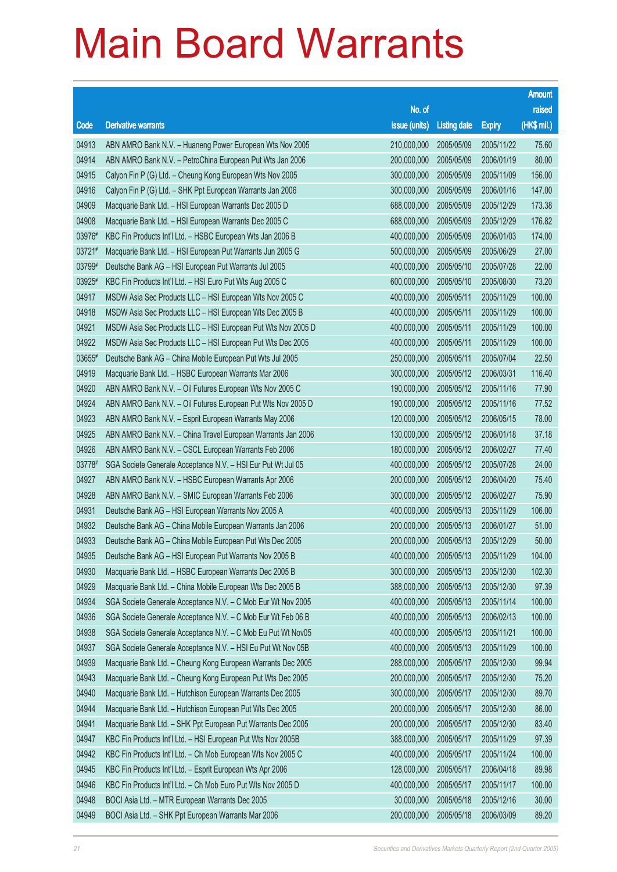|        |                                                              |               |                     |               | <b>Amount</b> |
|--------|--------------------------------------------------------------|---------------|---------------------|---------------|---------------|
|        |                                                              | No. of        |                     |               | raised        |
| Code   | <b>Derivative warrants</b>                                   | issue (units) | <b>Listing date</b> | <b>Expiry</b> | (HK\$ mil.)   |
| 04913  | ABN AMRO Bank N.V. - Huaneng Power European Wts Nov 2005     | 210,000,000   | 2005/05/09          | 2005/11/22    | 75.60         |
| 04914  | ABN AMRO Bank N.V. - PetroChina European Put Wts Jan 2006    | 200,000,000   | 2005/05/09          | 2006/01/19    | 80.00         |
| 04915  | Calyon Fin P (G) Ltd. - Cheung Kong European Wts Nov 2005    | 300,000,000   | 2005/05/09          | 2005/11/09    | 156.00        |
| 04916  | Calyon Fin P (G) Ltd. - SHK Ppt European Warrants Jan 2006   | 300,000,000   | 2005/05/09          | 2006/01/16    | 147.00        |
| 04909  | Macquarie Bank Ltd. - HSI European Warrants Dec 2005 D       | 688,000,000   | 2005/05/09          | 2005/12/29    | 173.38        |
| 04908  | Macquarie Bank Ltd. - HSI European Warrants Dec 2005 C       | 688,000,000   | 2005/05/09          | 2005/12/29    | 176.82        |
| 03976# | KBC Fin Products Int'l Ltd. - HSBC European Wts Jan 2006 B   | 400,000,000   | 2005/05/09          | 2006/01/03    | 174.00        |
| 03721# | Macquarie Bank Ltd. - HSI European Put Warrants Jun 2005 G   | 500,000,000   | 2005/05/09          | 2005/06/29    | 27.00         |
| 03799# | Deutsche Bank AG - HSI European Put Warrants Jul 2005        | 400,000,000   | 2005/05/10          | 2005/07/28    | 22.00         |
| 03925# | KBC Fin Products Int'l Ltd. - HSI Euro Put Wts Aug 2005 C    | 600,000,000   | 2005/05/10          | 2005/08/30    | 73.20         |
| 04917  | MSDW Asia Sec Products LLC - HSI European Wts Nov 2005 C     | 400,000,000   | 2005/05/11          | 2005/11/29    | 100.00        |
| 04918  | MSDW Asia Sec Products LLC - HSI European Wts Dec 2005 B     | 400,000,000   | 2005/05/11          | 2005/11/29    | 100.00        |
| 04921  | MSDW Asia Sec Products LLC - HSI European Put Wts Nov 2005 D | 400,000,000   | 2005/05/11          | 2005/11/29    | 100.00        |
| 04922  | MSDW Asia Sec Products LLC - HSI European Put Wts Dec 2005   | 400,000,000   | 2005/05/11          | 2005/11/29    | 100.00        |
| 03655# | Deutsche Bank AG - China Mobile European Put Wts Jul 2005    | 250,000,000   | 2005/05/11          | 2005/07/04    | 22.50         |
| 04919  | Macquarie Bank Ltd. - HSBC European Warrants Mar 2006        | 300,000,000   | 2005/05/12          | 2006/03/31    | 116.40        |
| 04920  | ABN AMRO Bank N.V. - Oil Futures European Wts Nov 2005 C     | 190,000,000   | 2005/05/12          | 2005/11/16    | 77.90         |
| 04924  | ABN AMRO Bank N.V. - Oil Futures European Put Wts Nov 2005 D | 190,000,000   | 2005/05/12          | 2005/11/16    | 77.52         |
| 04923  | ABN AMRO Bank N.V. - Esprit European Warrants May 2006       | 120,000,000   | 2005/05/12          | 2006/05/15    | 78.00         |
| 04925  | ABN AMRO Bank N.V. - China Travel European Warrants Jan 2006 | 130,000,000   | 2005/05/12          | 2006/01/18    | 37.18         |
| 04926  | ABN AMRO Bank N.V. - CSCL European Warrants Feb 2006         | 180,000,000   | 2005/05/12          | 2006/02/27    | 77.40         |
| 03778# | SGA Societe Generale Acceptance N.V. - HSI Eur Put Wt Jul 05 | 400,000,000   | 2005/05/12          | 2005/07/28    | 24.00         |
| 04927  | ABN AMRO Bank N.V. - HSBC European Warrants Apr 2006         | 200,000,000   | 2005/05/12          | 2006/04/20    | 75.40         |
| 04928  | ABN AMRO Bank N.V. - SMIC European Warrants Feb 2006         | 300,000,000   | 2005/05/12          | 2006/02/27    | 75.90         |
| 04931  | Deutsche Bank AG - HSI European Warrants Nov 2005 A          | 400,000,000   | 2005/05/13          | 2005/11/29    | 106.00        |
| 04932  | Deutsche Bank AG - China Mobile European Warrants Jan 2006   | 200,000,000   | 2005/05/13          | 2006/01/27    | 51.00         |
| 04933  | Deutsche Bank AG - China Mobile European Put Wts Dec 2005    | 200,000,000   | 2005/05/13          | 2005/12/29    | 50.00         |
| 04935  | Deutsche Bank AG - HSI European Put Warrants Nov 2005 B      | 400,000,000   | 2005/05/13          | 2005/11/29    | 104.00        |
| 04930  | Macquarie Bank Ltd. - HSBC European Warrants Dec 2005 B      | 300,000,000   | 2005/05/13          | 2005/12/30    | 102.30        |
| 04929  | Macquarie Bank Ltd. - China Mobile European Wts Dec 2005 B   | 388,000,000   | 2005/05/13          | 2005/12/30    | 97.39         |
| 04934  | SGA Societe Generale Acceptance N.V. - C Mob Eur Wt Nov 2005 | 400,000,000   | 2005/05/13          | 2005/11/14    | 100.00        |
| 04936  | SGA Societe Generale Acceptance N.V. - C Mob Eur Wt Feb 06 B | 400,000,000   | 2005/05/13          | 2006/02/13    | 100.00        |
| 04938  | SGA Societe Generale Acceptance N.V. - C Mob Eu Put Wt Nov05 | 400,000,000   | 2005/05/13          | 2005/11/21    | 100.00        |
| 04937  | SGA Societe Generale Acceptance N.V. - HSI Eu Put Wt Nov 05B | 400,000,000   | 2005/05/13          | 2005/11/29    | 100.00        |
| 04939  | Macquarie Bank Ltd. - Cheung Kong European Warrants Dec 2005 | 288,000,000   | 2005/05/17          | 2005/12/30    | 99.94         |
| 04943  | Macquarie Bank Ltd. - Cheung Kong European Put Wts Dec 2005  | 200,000,000   | 2005/05/17          | 2005/12/30    | 75.20         |
| 04940  | Macquarie Bank Ltd. - Hutchison European Warrants Dec 2005   | 300,000,000   | 2005/05/17          | 2005/12/30    | 89.70         |
| 04944  | Macquarie Bank Ltd. - Hutchison European Put Wts Dec 2005    | 200,000,000   | 2005/05/17          | 2005/12/30    | 86.00         |
| 04941  | Macquarie Bank Ltd. - SHK Ppt European Put Warrants Dec 2005 | 200,000,000   | 2005/05/17          | 2005/12/30    | 83.40         |
| 04947  | KBC Fin Products Int'l Ltd. - HSI European Put Wts Nov 2005B | 388,000,000   | 2005/05/17          | 2005/11/29    | 97.39         |
| 04942  | KBC Fin Products Int'l Ltd. - Ch Mob European Wts Nov 2005 C | 400,000,000   | 2005/05/17          | 2005/11/24    | 100.00        |
| 04945  | KBC Fin Products Int'l Ltd. - Esprit European Wts Apr 2006   | 128,000,000   | 2005/05/17          | 2006/04/18    | 89.98         |
| 04946  | KBC Fin Products Int'l Ltd. - Ch Mob Euro Put Wts Nov 2005 D | 400,000,000   | 2005/05/17          | 2005/11/17    | 100.00        |
| 04948  | BOCI Asia Ltd. - MTR European Warrants Dec 2005              | 30,000,000    | 2005/05/18          | 2005/12/16    | 30.00         |
| 04949  | BOCI Asia Ltd. - SHK Ppt European Warrants Mar 2006          | 200,000,000   | 2005/05/18          | 2006/03/09    | 89.20         |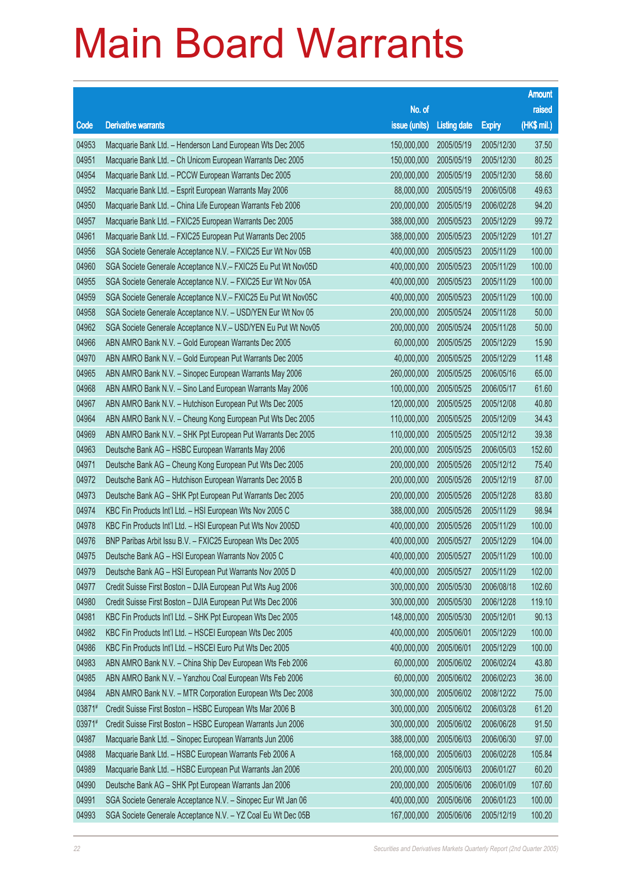| No. of<br>raised<br>(HK\$ mil.)<br><b>Derivative warrants</b><br>issue (units)<br>Code<br><b>Listing date</b><br><b>Expiry</b><br>04953<br>150,000,000<br>2005/05/19<br>Macquarie Bank Ltd. - Henderson Land European Wts Dec 2005<br>2005/12/30<br>37.50<br>04951<br>80.25<br>Macquarie Bank Ltd. - Ch Unicom European Warrants Dec 2005<br>150,000,000<br>2005/05/19<br>2005/12/30<br>04954<br>2005/05/19<br>58.60<br>Macquarie Bank Ltd. - PCCW European Warrants Dec 2005<br>200,000,000<br>2005/12/30<br>04952<br>49.63<br>Macquarie Bank Ltd. - Esprit European Warrants May 2006<br>88,000,000<br>2005/05/19<br>2006/05/08<br>04950<br>200,000,000<br>94.20<br>Macquarie Bank Ltd. - China Life European Warrants Feb 2006<br>2005/05/19<br>2006/02/28<br>04957<br>99.72<br>Macquarie Bank Ltd. - FXIC25 European Warrants Dec 2005<br>388,000,000<br>2005/05/23<br>2005/12/29<br>04961<br>101.27<br>Macquarie Bank Ltd. - FXIC25 European Put Warrants Dec 2005<br>388,000,000<br>2005/05/23<br>2005/12/29<br>04956<br>100.00<br>SGA Societe Generale Acceptance N.V. - FXIC25 Eur Wt Nov 05B<br>400,000,000<br>2005/05/23<br>2005/11/29<br>04960<br>100.00<br>SGA Societe Generale Acceptance N.V. - FXIC25 Eu Put Wt Nov05D<br>400,000,000<br>2005/05/23<br>2005/11/29<br>04955<br>100.00<br>SGA Societe Generale Acceptance N.V. - FXIC25 Eur Wt Nov 05A<br>400,000,000<br>2005/05/23<br>2005/11/29<br>04959<br>100.00<br>400,000,000<br>2005/05/23<br>SGA Societe Generale Acceptance N.V. - FXIC25 Eu Put Wt Nov05C<br>2005/11/29<br>50.00<br>04958<br>200,000,000<br>2005/05/24<br>2005/11/28<br>SGA Societe Generale Acceptance N.V. - USD/YEN Eur Wt Nov 05<br>04962<br>50.00<br>SGA Societe Generale Acceptance N.V. - USD/YEN Eu Put Wt Nov05<br>200,000,000<br>2005/05/24<br>2005/11/28<br>04966<br>15.90<br>ABN AMRO Bank N.V. - Gold European Warrants Dec 2005<br>60,000,000<br>2005/05/25<br>2005/12/29<br>11.48<br>04970<br>40,000,000<br>2005/05/25<br>ABN AMRO Bank N.V. - Gold European Put Warrants Dec 2005<br>2005/12/29<br>04965<br>65.00<br>260,000,000<br>2005/05/25<br>ABN AMRO Bank N.V. - Sinopec European Warrants May 2006<br>2006/05/16<br>04968<br>61.60<br>ABN AMRO Bank N.V. - Sino Land European Warrants May 2006<br>100,000,000<br>2005/05/25<br>2006/05/17<br>04967<br>40.80<br>ABN AMRO Bank N.V. - Hutchison European Put Wts Dec 2005<br>120,000,000<br>2005/05/25<br>2005/12/08<br>34.43<br>04964<br>110,000,000<br>2005/05/25<br>2005/12/09<br>ABN AMRO Bank N.V. - Cheung Kong European Put Wts Dec 2005<br>39.38<br>04969<br>110,000,000<br>2005/05/25<br>ABN AMRO Bank N.V. - SHK Ppt European Put Warrants Dec 2005<br>2005/12/12<br>04963<br>152.60<br>Deutsche Bank AG - HSBC European Warrants May 2006<br>200,000,000<br>2005/05/25<br>2006/05/03<br>04971<br>75.40<br>Deutsche Bank AG - Cheung Kong European Put Wts Dec 2005<br>200,000,000<br>2005/05/26<br>2005/12/12<br>04972<br>87.00<br>Deutsche Bank AG - Hutchison European Warrants Dec 2005 B<br>200,000,000<br>2005/05/26<br>2005/12/19<br>83.80<br>04973<br>200,000,000<br>2005/05/26<br>Deutsche Bank AG - SHK Ppt European Put Warrants Dec 2005<br>2005/12/28<br>04974<br>98.94<br>KBC Fin Products Int'l Ltd. - HSI European Wts Nov 2005 C<br>388,000,000<br>2005/05/26<br>2005/11/29<br>04978<br>KBC Fin Products Int'l Ltd. - HSI European Put Wts Nov 2005D<br>400,000,000<br>2005/05/26<br>100.00<br>2005/11/29<br>04976<br>104.00<br>BNP Paribas Arbit Issu B.V. - FXIC25 European Wts Dec 2005<br>400,000,000<br>2005/05/27<br>2005/12/29<br>04975<br>Deutsche Bank AG - HSI European Warrants Nov 2005 C<br>400,000,000<br>2005/05/27<br>2005/11/29<br>100.00<br>04979<br>Deutsche Bank AG - HSI European Put Warrants Nov 2005 D<br>400,000,000<br>2005/05/27<br>2005/11/29<br>102.00<br>04977<br>Credit Suisse First Boston - DJIA European Put Wts Aug 2006<br>300,000,000<br>2005/05/30<br>2006/08/18<br>102.60<br>04980<br>300,000,000<br>119.10<br>Credit Suisse First Boston - DJIA European Put Wts Dec 2006<br>2005/05/30<br>2006/12/28<br>04981<br>148,000,000<br>90.13<br>KBC Fin Products Int'l Ltd. - SHK Ppt European Wts Dec 2005<br>2005/05/30<br>2005/12/01<br>04982<br>KBC Fin Products Int'l Ltd. - HSCEI European Wts Dec 2005<br>400,000,000<br>2005/06/01<br>2005/12/29<br>100.00<br>04986<br>KBC Fin Products Int'l Ltd. - HSCEI Euro Put Wts Dec 2005<br>400,000,000<br>2005/06/01<br>2005/12/29<br>100.00<br>04983<br>ABN AMRO Bank N.V. - China Ship Dev European Wts Feb 2006<br>60,000,000<br>43.80<br>2005/06/02<br>2006/02/24<br>04985<br>ABN AMRO Bank N.V. - Yanzhou Coal European Wts Feb 2006<br>60,000,000<br>2005/06/02<br>2006/02/23<br>36.00<br>04984<br>ABN AMRO Bank N.V. - MTR Corporation European Wts Dec 2008<br>300,000,000<br>2005/06/02<br>75.00<br>2008/12/22<br>03871#<br>Credit Suisse First Boston - HSBC European Wts Mar 2006 B<br>300,000,000<br>2005/06/02<br>2006/03/28<br>61.20<br>03971#<br>Credit Suisse First Boston - HSBC European Warrants Jun 2006<br>300,000,000<br>2005/06/02<br>91.50<br>2006/06/28<br>04987<br>Macquarie Bank Ltd. - Sinopec European Warrants Jun 2006<br>388,000,000<br>2005/06/03<br>97.00<br>2006/06/30<br>04988<br>Macquarie Bank Ltd. - HSBC European Warrants Feb 2006 A<br>168,000,000<br>105.84<br>2005/06/03<br>2006/02/28<br>04989<br>Macquarie Bank Ltd. - HSBC European Put Warrants Jan 2006<br>200,000,000<br>2005/06/03<br>2006/01/27<br>60.20<br>04990<br>Deutsche Bank AG - SHK Ppt European Warrants Jan 2006<br>200,000,000<br>2005/06/06<br>2006/01/09<br>107.60<br>04991<br>SGA Societe Generale Acceptance N.V. - Sinopec Eur Wt Jan 06<br>400,000,000<br>2005/06/06<br>100.00<br>2006/01/23<br>04993<br>SGA Societe Generale Acceptance N.V. - YZ Coal Eu Wt Dec 05B<br>167,000,000<br>2005/06/06<br>2005/12/19<br>100.20 |  |  | <b>Amount</b> |
|----------------------------------------------------------------------------------------------------------------------------------------------------------------------------------------------------------------------------------------------------------------------------------------------------------------------------------------------------------------------------------------------------------------------------------------------------------------------------------------------------------------------------------------------------------------------------------------------------------------------------------------------------------------------------------------------------------------------------------------------------------------------------------------------------------------------------------------------------------------------------------------------------------------------------------------------------------------------------------------------------------------------------------------------------------------------------------------------------------------------------------------------------------------------------------------------------------------------------------------------------------------------------------------------------------------------------------------------------------------------------------------------------------------------------------------------------------------------------------------------------------------------------------------------------------------------------------------------------------------------------------------------------------------------------------------------------------------------------------------------------------------------------------------------------------------------------------------------------------------------------------------------------------------------------------------------------------------------------------------------------------------------------------------------------------------------------------------------------------------------------------------------------------------------------------------------------------------------------------------------------------------------------------------------------------------------------------------------------------------------------------------------------------------------------------------------------------------------------------------------------------------------------------------------------------------------------------------------------------------------------------------------------------------------------------------------------------------------------------------------------------------------------------------------------------------------------------------------------------------------------------------------------------------------------------------------------------------------------------------------------------------------------------------------------------------------------------------------------------------------------------------------------------------------------------------------------------------------------------------------------------------------------------------------------------------------------------------------------------------------------------------------------------------------------------------------------------------------------------------------------------------------------------------------------------------------------------------------------------------------------------------------------------------------------------------------------------------------------------------------------------------------------------------------------------------------------------------------------------------------------------------------------------------------------------------------------------------------------------------------------------------------------------------------------------------------------------------------------------------------------------------------------------------------------------------------------------------------------------------------------------------------------------------------------------------------------------------------------------------------------------------------------------------------------------------------------------------------------------------------------------------------------------------------------------------------------------------------------------------------------------------------------------------------------------------------------------------------------------------------------------------------------------------------------------------------------------------------------------------------------------------------------------------------------------------------------------------------------------------------------------------------------------------------------------------------------------------------------------------------------------------------------------------------------------------------------------------------------------------------------------------------------------------------------------------------------------------------------------------------------------------------------------------------------------------------------------------------------------------------------------------------------------------------------------------------------------------------------------------------------------------------------------------------------------------------------------------------------------------------------------------------------------------------------------------------------------------------------------------------------|--|--|---------------|
|                                                                                                                                                                                                                                                                                                                                                                                                                                                                                                                                                                                                                                                                                                                                                                                                                                                                                                                                                                                                                                                                                                                                                                                                                                                                                                                                                                                                                                                                                                                                                                                                                                                                                                                                                                                                                                                                                                                                                                                                                                                                                                                                                                                                                                                                                                                                                                                                                                                                                                                                                                                                                                                                                                                                                                                                                                                                                                                                                                                                                                                                                                                                                                                                                                                                                                                                                                                                                                                                                                                                                                                                                                                                                                                                                                                                                                                                                                                                                                                                                                                                                                                                                                                                                                                                                                                                                                                                                                                                                                                                                                                                                                                                                                                                                                                                                                                                                                                                                                                                                                                                                                                                                                                                                                                                                                                                                                                                                                                                                                                                                                                                                                                                                                                                                                                                                                                                            |  |  |               |
|                                                                                                                                                                                                                                                                                                                                                                                                                                                                                                                                                                                                                                                                                                                                                                                                                                                                                                                                                                                                                                                                                                                                                                                                                                                                                                                                                                                                                                                                                                                                                                                                                                                                                                                                                                                                                                                                                                                                                                                                                                                                                                                                                                                                                                                                                                                                                                                                                                                                                                                                                                                                                                                                                                                                                                                                                                                                                                                                                                                                                                                                                                                                                                                                                                                                                                                                                                                                                                                                                                                                                                                                                                                                                                                                                                                                                                                                                                                                                                                                                                                                                                                                                                                                                                                                                                                                                                                                                                                                                                                                                                                                                                                                                                                                                                                                                                                                                                                                                                                                                                                                                                                                                                                                                                                                                                                                                                                                                                                                                                                                                                                                                                                                                                                                                                                                                                                                            |  |  |               |
|                                                                                                                                                                                                                                                                                                                                                                                                                                                                                                                                                                                                                                                                                                                                                                                                                                                                                                                                                                                                                                                                                                                                                                                                                                                                                                                                                                                                                                                                                                                                                                                                                                                                                                                                                                                                                                                                                                                                                                                                                                                                                                                                                                                                                                                                                                                                                                                                                                                                                                                                                                                                                                                                                                                                                                                                                                                                                                                                                                                                                                                                                                                                                                                                                                                                                                                                                                                                                                                                                                                                                                                                                                                                                                                                                                                                                                                                                                                                                                                                                                                                                                                                                                                                                                                                                                                                                                                                                                                                                                                                                                                                                                                                                                                                                                                                                                                                                                                                                                                                                                                                                                                                                                                                                                                                                                                                                                                                                                                                                                                                                                                                                                                                                                                                                                                                                                                                            |  |  |               |
|                                                                                                                                                                                                                                                                                                                                                                                                                                                                                                                                                                                                                                                                                                                                                                                                                                                                                                                                                                                                                                                                                                                                                                                                                                                                                                                                                                                                                                                                                                                                                                                                                                                                                                                                                                                                                                                                                                                                                                                                                                                                                                                                                                                                                                                                                                                                                                                                                                                                                                                                                                                                                                                                                                                                                                                                                                                                                                                                                                                                                                                                                                                                                                                                                                                                                                                                                                                                                                                                                                                                                                                                                                                                                                                                                                                                                                                                                                                                                                                                                                                                                                                                                                                                                                                                                                                                                                                                                                                                                                                                                                                                                                                                                                                                                                                                                                                                                                                                                                                                                                                                                                                                                                                                                                                                                                                                                                                                                                                                                                                                                                                                                                                                                                                                                                                                                                                                            |  |  |               |
|                                                                                                                                                                                                                                                                                                                                                                                                                                                                                                                                                                                                                                                                                                                                                                                                                                                                                                                                                                                                                                                                                                                                                                                                                                                                                                                                                                                                                                                                                                                                                                                                                                                                                                                                                                                                                                                                                                                                                                                                                                                                                                                                                                                                                                                                                                                                                                                                                                                                                                                                                                                                                                                                                                                                                                                                                                                                                                                                                                                                                                                                                                                                                                                                                                                                                                                                                                                                                                                                                                                                                                                                                                                                                                                                                                                                                                                                                                                                                                                                                                                                                                                                                                                                                                                                                                                                                                                                                                                                                                                                                                                                                                                                                                                                                                                                                                                                                                                                                                                                                                                                                                                                                                                                                                                                                                                                                                                                                                                                                                                                                                                                                                                                                                                                                                                                                                                                            |  |  |               |
|                                                                                                                                                                                                                                                                                                                                                                                                                                                                                                                                                                                                                                                                                                                                                                                                                                                                                                                                                                                                                                                                                                                                                                                                                                                                                                                                                                                                                                                                                                                                                                                                                                                                                                                                                                                                                                                                                                                                                                                                                                                                                                                                                                                                                                                                                                                                                                                                                                                                                                                                                                                                                                                                                                                                                                                                                                                                                                                                                                                                                                                                                                                                                                                                                                                                                                                                                                                                                                                                                                                                                                                                                                                                                                                                                                                                                                                                                                                                                                                                                                                                                                                                                                                                                                                                                                                                                                                                                                                                                                                                                                                                                                                                                                                                                                                                                                                                                                                                                                                                                                                                                                                                                                                                                                                                                                                                                                                                                                                                                                                                                                                                                                                                                                                                                                                                                                                                            |  |  |               |
|                                                                                                                                                                                                                                                                                                                                                                                                                                                                                                                                                                                                                                                                                                                                                                                                                                                                                                                                                                                                                                                                                                                                                                                                                                                                                                                                                                                                                                                                                                                                                                                                                                                                                                                                                                                                                                                                                                                                                                                                                                                                                                                                                                                                                                                                                                                                                                                                                                                                                                                                                                                                                                                                                                                                                                                                                                                                                                                                                                                                                                                                                                                                                                                                                                                                                                                                                                                                                                                                                                                                                                                                                                                                                                                                                                                                                                                                                                                                                                                                                                                                                                                                                                                                                                                                                                                                                                                                                                                                                                                                                                                                                                                                                                                                                                                                                                                                                                                                                                                                                                                                                                                                                                                                                                                                                                                                                                                                                                                                                                                                                                                                                                                                                                                                                                                                                                                                            |  |  |               |
|                                                                                                                                                                                                                                                                                                                                                                                                                                                                                                                                                                                                                                                                                                                                                                                                                                                                                                                                                                                                                                                                                                                                                                                                                                                                                                                                                                                                                                                                                                                                                                                                                                                                                                                                                                                                                                                                                                                                                                                                                                                                                                                                                                                                                                                                                                                                                                                                                                                                                                                                                                                                                                                                                                                                                                                                                                                                                                                                                                                                                                                                                                                                                                                                                                                                                                                                                                                                                                                                                                                                                                                                                                                                                                                                                                                                                                                                                                                                                                                                                                                                                                                                                                                                                                                                                                                                                                                                                                                                                                                                                                                                                                                                                                                                                                                                                                                                                                                                                                                                                                                                                                                                                                                                                                                                                                                                                                                                                                                                                                                                                                                                                                                                                                                                                                                                                                                                            |  |  |               |
|                                                                                                                                                                                                                                                                                                                                                                                                                                                                                                                                                                                                                                                                                                                                                                                                                                                                                                                                                                                                                                                                                                                                                                                                                                                                                                                                                                                                                                                                                                                                                                                                                                                                                                                                                                                                                                                                                                                                                                                                                                                                                                                                                                                                                                                                                                                                                                                                                                                                                                                                                                                                                                                                                                                                                                                                                                                                                                                                                                                                                                                                                                                                                                                                                                                                                                                                                                                                                                                                                                                                                                                                                                                                                                                                                                                                                                                                                                                                                                                                                                                                                                                                                                                                                                                                                                                                                                                                                                                                                                                                                                                                                                                                                                                                                                                                                                                                                                                                                                                                                                                                                                                                                                                                                                                                                                                                                                                                                                                                                                                                                                                                                                                                                                                                                                                                                                                                            |  |  |               |
|                                                                                                                                                                                                                                                                                                                                                                                                                                                                                                                                                                                                                                                                                                                                                                                                                                                                                                                                                                                                                                                                                                                                                                                                                                                                                                                                                                                                                                                                                                                                                                                                                                                                                                                                                                                                                                                                                                                                                                                                                                                                                                                                                                                                                                                                                                                                                                                                                                                                                                                                                                                                                                                                                                                                                                                                                                                                                                                                                                                                                                                                                                                                                                                                                                                                                                                                                                                                                                                                                                                                                                                                                                                                                                                                                                                                                                                                                                                                                                                                                                                                                                                                                                                                                                                                                                                                                                                                                                                                                                                                                                                                                                                                                                                                                                                                                                                                                                                                                                                                                                                                                                                                                                                                                                                                                                                                                                                                                                                                                                                                                                                                                                                                                                                                                                                                                                                                            |  |  |               |
|                                                                                                                                                                                                                                                                                                                                                                                                                                                                                                                                                                                                                                                                                                                                                                                                                                                                                                                                                                                                                                                                                                                                                                                                                                                                                                                                                                                                                                                                                                                                                                                                                                                                                                                                                                                                                                                                                                                                                                                                                                                                                                                                                                                                                                                                                                                                                                                                                                                                                                                                                                                                                                                                                                                                                                                                                                                                                                                                                                                                                                                                                                                                                                                                                                                                                                                                                                                                                                                                                                                                                                                                                                                                                                                                                                                                                                                                                                                                                                                                                                                                                                                                                                                                                                                                                                                                                                                                                                                                                                                                                                                                                                                                                                                                                                                                                                                                                                                                                                                                                                                                                                                                                                                                                                                                                                                                                                                                                                                                                                                                                                                                                                                                                                                                                                                                                                                                            |  |  |               |
|                                                                                                                                                                                                                                                                                                                                                                                                                                                                                                                                                                                                                                                                                                                                                                                                                                                                                                                                                                                                                                                                                                                                                                                                                                                                                                                                                                                                                                                                                                                                                                                                                                                                                                                                                                                                                                                                                                                                                                                                                                                                                                                                                                                                                                                                                                                                                                                                                                                                                                                                                                                                                                                                                                                                                                                                                                                                                                                                                                                                                                                                                                                                                                                                                                                                                                                                                                                                                                                                                                                                                                                                                                                                                                                                                                                                                                                                                                                                                                                                                                                                                                                                                                                                                                                                                                                                                                                                                                                                                                                                                                                                                                                                                                                                                                                                                                                                                                                                                                                                                                                                                                                                                                                                                                                                                                                                                                                                                                                                                                                                                                                                                                                                                                                                                                                                                                                                            |  |  |               |
|                                                                                                                                                                                                                                                                                                                                                                                                                                                                                                                                                                                                                                                                                                                                                                                                                                                                                                                                                                                                                                                                                                                                                                                                                                                                                                                                                                                                                                                                                                                                                                                                                                                                                                                                                                                                                                                                                                                                                                                                                                                                                                                                                                                                                                                                                                                                                                                                                                                                                                                                                                                                                                                                                                                                                                                                                                                                                                                                                                                                                                                                                                                                                                                                                                                                                                                                                                                                                                                                                                                                                                                                                                                                                                                                                                                                                                                                                                                                                                                                                                                                                                                                                                                                                                                                                                                                                                                                                                                                                                                                                                                                                                                                                                                                                                                                                                                                                                                                                                                                                                                                                                                                                                                                                                                                                                                                                                                                                                                                                                                                                                                                                                                                                                                                                                                                                                                                            |  |  |               |
|                                                                                                                                                                                                                                                                                                                                                                                                                                                                                                                                                                                                                                                                                                                                                                                                                                                                                                                                                                                                                                                                                                                                                                                                                                                                                                                                                                                                                                                                                                                                                                                                                                                                                                                                                                                                                                                                                                                                                                                                                                                                                                                                                                                                                                                                                                                                                                                                                                                                                                                                                                                                                                                                                                                                                                                                                                                                                                                                                                                                                                                                                                                                                                                                                                                                                                                                                                                                                                                                                                                                                                                                                                                                                                                                                                                                                                                                                                                                                                                                                                                                                                                                                                                                                                                                                                                                                                                                                                                                                                                                                                                                                                                                                                                                                                                                                                                                                                                                                                                                                                                                                                                                                                                                                                                                                                                                                                                                                                                                                                                                                                                                                                                                                                                                                                                                                                                                            |  |  |               |
|                                                                                                                                                                                                                                                                                                                                                                                                                                                                                                                                                                                                                                                                                                                                                                                                                                                                                                                                                                                                                                                                                                                                                                                                                                                                                                                                                                                                                                                                                                                                                                                                                                                                                                                                                                                                                                                                                                                                                                                                                                                                                                                                                                                                                                                                                                                                                                                                                                                                                                                                                                                                                                                                                                                                                                                                                                                                                                                                                                                                                                                                                                                                                                                                                                                                                                                                                                                                                                                                                                                                                                                                                                                                                                                                                                                                                                                                                                                                                                                                                                                                                                                                                                                                                                                                                                                                                                                                                                                                                                                                                                                                                                                                                                                                                                                                                                                                                                                                                                                                                                                                                                                                                                                                                                                                                                                                                                                                                                                                                                                                                                                                                                                                                                                                                                                                                                                                            |  |  |               |
|                                                                                                                                                                                                                                                                                                                                                                                                                                                                                                                                                                                                                                                                                                                                                                                                                                                                                                                                                                                                                                                                                                                                                                                                                                                                                                                                                                                                                                                                                                                                                                                                                                                                                                                                                                                                                                                                                                                                                                                                                                                                                                                                                                                                                                                                                                                                                                                                                                                                                                                                                                                                                                                                                                                                                                                                                                                                                                                                                                                                                                                                                                                                                                                                                                                                                                                                                                                                                                                                                                                                                                                                                                                                                                                                                                                                                                                                                                                                                                                                                                                                                                                                                                                                                                                                                                                                                                                                                                                                                                                                                                                                                                                                                                                                                                                                                                                                                                                                                                                                                                                                                                                                                                                                                                                                                                                                                                                                                                                                                                                                                                                                                                                                                                                                                                                                                                                                            |  |  |               |
|                                                                                                                                                                                                                                                                                                                                                                                                                                                                                                                                                                                                                                                                                                                                                                                                                                                                                                                                                                                                                                                                                                                                                                                                                                                                                                                                                                                                                                                                                                                                                                                                                                                                                                                                                                                                                                                                                                                                                                                                                                                                                                                                                                                                                                                                                                                                                                                                                                                                                                                                                                                                                                                                                                                                                                                                                                                                                                                                                                                                                                                                                                                                                                                                                                                                                                                                                                                                                                                                                                                                                                                                                                                                                                                                                                                                                                                                                                                                                                                                                                                                                                                                                                                                                                                                                                                                                                                                                                                                                                                                                                                                                                                                                                                                                                                                                                                                                                                                                                                                                                                                                                                                                                                                                                                                                                                                                                                                                                                                                                                                                                                                                                                                                                                                                                                                                                                                            |  |  |               |
|                                                                                                                                                                                                                                                                                                                                                                                                                                                                                                                                                                                                                                                                                                                                                                                                                                                                                                                                                                                                                                                                                                                                                                                                                                                                                                                                                                                                                                                                                                                                                                                                                                                                                                                                                                                                                                                                                                                                                                                                                                                                                                                                                                                                                                                                                                                                                                                                                                                                                                                                                                                                                                                                                                                                                                                                                                                                                                                                                                                                                                                                                                                                                                                                                                                                                                                                                                                                                                                                                                                                                                                                                                                                                                                                                                                                                                                                                                                                                                                                                                                                                                                                                                                                                                                                                                                                                                                                                                                                                                                                                                                                                                                                                                                                                                                                                                                                                                                                                                                                                                                                                                                                                                                                                                                                                                                                                                                                                                                                                                                                                                                                                                                                                                                                                                                                                                                                            |  |  |               |
|                                                                                                                                                                                                                                                                                                                                                                                                                                                                                                                                                                                                                                                                                                                                                                                                                                                                                                                                                                                                                                                                                                                                                                                                                                                                                                                                                                                                                                                                                                                                                                                                                                                                                                                                                                                                                                                                                                                                                                                                                                                                                                                                                                                                                                                                                                                                                                                                                                                                                                                                                                                                                                                                                                                                                                                                                                                                                                                                                                                                                                                                                                                                                                                                                                                                                                                                                                                                                                                                                                                                                                                                                                                                                                                                                                                                                                                                                                                                                                                                                                                                                                                                                                                                                                                                                                                                                                                                                                                                                                                                                                                                                                                                                                                                                                                                                                                                                                                                                                                                                                                                                                                                                                                                                                                                                                                                                                                                                                                                                                                                                                                                                                                                                                                                                                                                                                                                            |  |  |               |
|                                                                                                                                                                                                                                                                                                                                                                                                                                                                                                                                                                                                                                                                                                                                                                                                                                                                                                                                                                                                                                                                                                                                                                                                                                                                                                                                                                                                                                                                                                                                                                                                                                                                                                                                                                                                                                                                                                                                                                                                                                                                                                                                                                                                                                                                                                                                                                                                                                                                                                                                                                                                                                                                                                                                                                                                                                                                                                                                                                                                                                                                                                                                                                                                                                                                                                                                                                                                                                                                                                                                                                                                                                                                                                                                                                                                                                                                                                                                                                                                                                                                                                                                                                                                                                                                                                                                                                                                                                                                                                                                                                                                                                                                                                                                                                                                                                                                                                                                                                                                                                                                                                                                                                                                                                                                                                                                                                                                                                                                                                                                                                                                                                                                                                                                                                                                                                                                            |  |  |               |
|                                                                                                                                                                                                                                                                                                                                                                                                                                                                                                                                                                                                                                                                                                                                                                                                                                                                                                                                                                                                                                                                                                                                                                                                                                                                                                                                                                                                                                                                                                                                                                                                                                                                                                                                                                                                                                                                                                                                                                                                                                                                                                                                                                                                                                                                                                                                                                                                                                                                                                                                                                                                                                                                                                                                                                                                                                                                                                                                                                                                                                                                                                                                                                                                                                                                                                                                                                                                                                                                                                                                                                                                                                                                                                                                                                                                                                                                                                                                                                                                                                                                                                                                                                                                                                                                                                                                                                                                                                                                                                                                                                                                                                                                                                                                                                                                                                                                                                                                                                                                                                                                                                                                                                                                                                                                                                                                                                                                                                                                                                                                                                                                                                                                                                                                                                                                                                                                            |  |  |               |
|                                                                                                                                                                                                                                                                                                                                                                                                                                                                                                                                                                                                                                                                                                                                                                                                                                                                                                                                                                                                                                                                                                                                                                                                                                                                                                                                                                                                                                                                                                                                                                                                                                                                                                                                                                                                                                                                                                                                                                                                                                                                                                                                                                                                                                                                                                                                                                                                                                                                                                                                                                                                                                                                                                                                                                                                                                                                                                                                                                                                                                                                                                                                                                                                                                                                                                                                                                                                                                                                                                                                                                                                                                                                                                                                                                                                                                                                                                                                                                                                                                                                                                                                                                                                                                                                                                                                                                                                                                                                                                                                                                                                                                                                                                                                                                                                                                                                                                                                                                                                                                                                                                                                                                                                                                                                                                                                                                                                                                                                                                                                                                                                                                                                                                                                                                                                                                                                            |  |  |               |
|                                                                                                                                                                                                                                                                                                                                                                                                                                                                                                                                                                                                                                                                                                                                                                                                                                                                                                                                                                                                                                                                                                                                                                                                                                                                                                                                                                                                                                                                                                                                                                                                                                                                                                                                                                                                                                                                                                                                                                                                                                                                                                                                                                                                                                                                                                                                                                                                                                                                                                                                                                                                                                                                                                                                                                                                                                                                                                                                                                                                                                                                                                                                                                                                                                                                                                                                                                                                                                                                                                                                                                                                                                                                                                                                                                                                                                                                                                                                                                                                                                                                                                                                                                                                                                                                                                                                                                                                                                                                                                                                                                                                                                                                                                                                                                                                                                                                                                                                                                                                                                                                                                                                                                                                                                                                                                                                                                                                                                                                                                                                                                                                                                                                                                                                                                                                                                                                            |  |  |               |
|                                                                                                                                                                                                                                                                                                                                                                                                                                                                                                                                                                                                                                                                                                                                                                                                                                                                                                                                                                                                                                                                                                                                                                                                                                                                                                                                                                                                                                                                                                                                                                                                                                                                                                                                                                                                                                                                                                                                                                                                                                                                                                                                                                                                                                                                                                                                                                                                                                                                                                                                                                                                                                                                                                                                                                                                                                                                                                                                                                                                                                                                                                                                                                                                                                                                                                                                                                                                                                                                                                                                                                                                                                                                                                                                                                                                                                                                                                                                                                                                                                                                                                                                                                                                                                                                                                                                                                                                                                                                                                                                                                                                                                                                                                                                                                                                                                                                                                                                                                                                                                                                                                                                                                                                                                                                                                                                                                                                                                                                                                                                                                                                                                                                                                                                                                                                                                                                            |  |  |               |
|                                                                                                                                                                                                                                                                                                                                                                                                                                                                                                                                                                                                                                                                                                                                                                                                                                                                                                                                                                                                                                                                                                                                                                                                                                                                                                                                                                                                                                                                                                                                                                                                                                                                                                                                                                                                                                                                                                                                                                                                                                                                                                                                                                                                                                                                                                                                                                                                                                                                                                                                                                                                                                                                                                                                                                                                                                                                                                                                                                                                                                                                                                                                                                                                                                                                                                                                                                                                                                                                                                                                                                                                                                                                                                                                                                                                                                                                                                                                                                                                                                                                                                                                                                                                                                                                                                                                                                                                                                                                                                                                                                                                                                                                                                                                                                                                                                                                                                                                                                                                                                                                                                                                                                                                                                                                                                                                                                                                                                                                                                                                                                                                                                                                                                                                                                                                                                                                            |  |  |               |
|                                                                                                                                                                                                                                                                                                                                                                                                                                                                                                                                                                                                                                                                                                                                                                                                                                                                                                                                                                                                                                                                                                                                                                                                                                                                                                                                                                                                                                                                                                                                                                                                                                                                                                                                                                                                                                                                                                                                                                                                                                                                                                                                                                                                                                                                                                                                                                                                                                                                                                                                                                                                                                                                                                                                                                                                                                                                                                                                                                                                                                                                                                                                                                                                                                                                                                                                                                                                                                                                                                                                                                                                                                                                                                                                                                                                                                                                                                                                                                                                                                                                                                                                                                                                                                                                                                                                                                                                                                                                                                                                                                                                                                                                                                                                                                                                                                                                                                                                                                                                                                                                                                                                                                                                                                                                                                                                                                                                                                                                                                                                                                                                                                                                                                                                                                                                                                                                            |  |  |               |
|                                                                                                                                                                                                                                                                                                                                                                                                                                                                                                                                                                                                                                                                                                                                                                                                                                                                                                                                                                                                                                                                                                                                                                                                                                                                                                                                                                                                                                                                                                                                                                                                                                                                                                                                                                                                                                                                                                                                                                                                                                                                                                                                                                                                                                                                                                                                                                                                                                                                                                                                                                                                                                                                                                                                                                                                                                                                                                                                                                                                                                                                                                                                                                                                                                                                                                                                                                                                                                                                                                                                                                                                                                                                                                                                                                                                                                                                                                                                                                                                                                                                                                                                                                                                                                                                                                                                                                                                                                                                                                                                                                                                                                                                                                                                                                                                                                                                                                                                                                                                                                                                                                                                                                                                                                                                                                                                                                                                                                                                                                                                                                                                                                                                                                                                                                                                                                                                            |  |  |               |
|                                                                                                                                                                                                                                                                                                                                                                                                                                                                                                                                                                                                                                                                                                                                                                                                                                                                                                                                                                                                                                                                                                                                                                                                                                                                                                                                                                                                                                                                                                                                                                                                                                                                                                                                                                                                                                                                                                                                                                                                                                                                                                                                                                                                                                                                                                                                                                                                                                                                                                                                                                                                                                                                                                                                                                                                                                                                                                                                                                                                                                                                                                                                                                                                                                                                                                                                                                                                                                                                                                                                                                                                                                                                                                                                                                                                                                                                                                                                                                                                                                                                                                                                                                                                                                                                                                                                                                                                                                                                                                                                                                                                                                                                                                                                                                                                                                                                                                                                                                                                                                                                                                                                                                                                                                                                                                                                                                                                                                                                                                                                                                                                                                                                                                                                                                                                                                                                            |  |  |               |
|                                                                                                                                                                                                                                                                                                                                                                                                                                                                                                                                                                                                                                                                                                                                                                                                                                                                                                                                                                                                                                                                                                                                                                                                                                                                                                                                                                                                                                                                                                                                                                                                                                                                                                                                                                                                                                                                                                                                                                                                                                                                                                                                                                                                                                                                                                                                                                                                                                                                                                                                                                                                                                                                                                                                                                                                                                                                                                                                                                                                                                                                                                                                                                                                                                                                                                                                                                                                                                                                                                                                                                                                                                                                                                                                                                                                                                                                                                                                                                                                                                                                                                                                                                                                                                                                                                                                                                                                                                                                                                                                                                                                                                                                                                                                                                                                                                                                                                                                                                                                                                                                                                                                                                                                                                                                                                                                                                                                                                                                                                                                                                                                                                                                                                                                                                                                                                                                            |  |  |               |
|                                                                                                                                                                                                                                                                                                                                                                                                                                                                                                                                                                                                                                                                                                                                                                                                                                                                                                                                                                                                                                                                                                                                                                                                                                                                                                                                                                                                                                                                                                                                                                                                                                                                                                                                                                                                                                                                                                                                                                                                                                                                                                                                                                                                                                                                                                                                                                                                                                                                                                                                                                                                                                                                                                                                                                                                                                                                                                                                                                                                                                                                                                                                                                                                                                                                                                                                                                                                                                                                                                                                                                                                                                                                                                                                                                                                                                                                                                                                                                                                                                                                                                                                                                                                                                                                                                                                                                                                                                                                                                                                                                                                                                                                                                                                                                                                                                                                                                                                                                                                                                                                                                                                                                                                                                                                                                                                                                                                                                                                                                                                                                                                                                                                                                                                                                                                                                                                            |  |  |               |
|                                                                                                                                                                                                                                                                                                                                                                                                                                                                                                                                                                                                                                                                                                                                                                                                                                                                                                                                                                                                                                                                                                                                                                                                                                                                                                                                                                                                                                                                                                                                                                                                                                                                                                                                                                                                                                                                                                                                                                                                                                                                                                                                                                                                                                                                                                                                                                                                                                                                                                                                                                                                                                                                                                                                                                                                                                                                                                                                                                                                                                                                                                                                                                                                                                                                                                                                                                                                                                                                                                                                                                                                                                                                                                                                                                                                                                                                                                                                                                                                                                                                                                                                                                                                                                                                                                                                                                                                                                                                                                                                                                                                                                                                                                                                                                                                                                                                                                                                                                                                                                                                                                                                                                                                                                                                                                                                                                                                                                                                                                                                                                                                                                                                                                                                                                                                                                                                            |  |  |               |
|                                                                                                                                                                                                                                                                                                                                                                                                                                                                                                                                                                                                                                                                                                                                                                                                                                                                                                                                                                                                                                                                                                                                                                                                                                                                                                                                                                                                                                                                                                                                                                                                                                                                                                                                                                                                                                                                                                                                                                                                                                                                                                                                                                                                                                                                                                                                                                                                                                                                                                                                                                                                                                                                                                                                                                                                                                                                                                                                                                                                                                                                                                                                                                                                                                                                                                                                                                                                                                                                                                                                                                                                                                                                                                                                                                                                                                                                                                                                                                                                                                                                                                                                                                                                                                                                                                                                                                                                                                                                                                                                                                                                                                                                                                                                                                                                                                                                                                                                                                                                                                                                                                                                                                                                                                                                                                                                                                                                                                                                                                                                                                                                                                                                                                                                                                                                                                                                            |  |  |               |
|                                                                                                                                                                                                                                                                                                                                                                                                                                                                                                                                                                                                                                                                                                                                                                                                                                                                                                                                                                                                                                                                                                                                                                                                                                                                                                                                                                                                                                                                                                                                                                                                                                                                                                                                                                                                                                                                                                                                                                                                                                                                                                                                                                                                                                                                                                                                                                                                                                                                                                                                                                                                                                                                                                                                                                                                                                                                                                                                                                                                                                                                                                                                                                                                                                                                                                                                                                                                                                                                                                                                                                                                                                                                                                                                                                                                                                                                                                                                                                                                                                                                                                                                                                                                                                                                                                                                                                                                                                                                                                                                                                                                                                                                                                                                                                                                                                                                                                                                                                                                                                                                                                                                                                                                                                                                                                                                                                                                                                                                                                                                                                                                                                                                                                                                                                                                                                                                            |  |  |               |
|                                                                                                                                                                                                                                                                                                                                                                                                                                                                                                                                                                                                                                                                                                                                                                                                                                                                                                                                                                                                                                                                                                                                                                                                                                                                                                                                                                                                                                                                                                                                                                                                                                                                                                                                                                                                                                                                                                                                                                                                                                                                                                                                                                                                                                                                                                                                                                                                                                                                                                                                                                                                                                                                                                                                                                                                                                                                                                                                                                                                                                                                                                                                                                                                                                                                                                                                                                                                                                                                                                                                                                                                                                                                                                                                                                                                                                                                                                                                                                                                                                                                                                                                                                                                                                                                                                                                                                                                                                                                                                                                                                                                                                                                                                                                                                                                                                                                                                                                                                                                                                                                                                                                                                                                                                                                                                                                                                                                                                                                                                                                                                                                                                                                                                                                                                                                                                                                            |  |  |               |
|                                                                                                                                                                                                                                                                                                                                                                                                                                                                                                                                                                                                                                                                                                                                                                                                                                                                                                                                                                                                                                                                                                                                                                                                                                                                                                                                                                                                                                                                                                                                                                                                                                                                                                                                                                                                                                                                                                                                                                                                                                                                                                                                                                                                                                                                                                                                                                                                                                                                                                                                                                                                                                                                                                                                                                                                                                                                                                                                                                                                                                                                                                                                                                                                                                                                                                                                                                                                                                                                                                                                                                                                                                                                                                                                                                                                                                                                                                                                                                                                                                                                                                                                                                                                                                                                                                                                                                                                                                                                                                                                                                                                                                                                                                                                                                                                                                                                                                                                                                                                                                                                                                                                                                                                                                                                                                                                                                                                                                                                                                                                                                                                                                                                                                                                                                                                                                                                            |  |  |               |
|                                                                                                                                                                                                                                                                                                                                                                                                                                                                                                                                                                                                                                                                                                                                                                                                                                                                                                                                                                                                                                                                                                                                                                                                                                                                                                                                                                                                                                                                                                                                                                                                                                                                                                                                                                                                                                                                                                                                                                                                                                                                                                                                                                                                                                                                                                                                                                                                                                                                                                                                                                                                                                                                                                                                                                                                                                                                                                                                                                                                                                                                                                                                                                                                                                                                                                                                                                                                                                                                                                                                                                                                                                                                                                                                                                                                                                                                                                                                                                                                                                                                                                                                                                                                                                                                                                                                                                                                                                                                                                                                                                                                                                                                                                                                                                                                                                                                                                                                                                                                                                                                                                                                                                                                                                                                                                                                                                                                                                                                                                                                                                                                                                                                                                                                                                                                                                                                            |  |  |               |
|                                                                                                                                                                                                                                                                                                                                                                                                                                                                                                                                                                                                                                                                                                                                                                                                                                                                                                                                                                                                                                                                                                                                                                                                                                                                                                                                                                                                                                                                                                                                                                                                                                                                                                                                                                                                                                                                                                                                                                                                                                                                                                                                                                                                                                                                                                                                                                                                                                                                                                                                                                                                                                                                                                                                                                                                                                                                                                                                                                                                                                                                                                                                                                                                                                                                                                                                                                                                                                                                                                                                                                                                                                                                                                                                                                                                                                                                                                                                                                                                                                                                                                                                                                                                                                                                                                                                                                                                                                                                                                                                                                                                                                                                                                                                                                                                                                                                                                                                                                                                                                                                                                                                                                                                                                                                                                                                                                                                                                                                                                                                                                                                                                                                                                                                                                                                                                                                            |  |  |               |
|                                                                                                                                                                                                                                                                                                                                                                                                                                                                                                                                                                                                                                                                                                                                                                                                                                                                                                                                                                                                                                                                                                                                                                                                                                                                                                                                                                                                                                                                                                                                                                                                                                                                                                                                                                                                                                                                                                                                                                                                                                                                                                                                                                                                                                                                                                                                                                                                                                                                                                                                                                                                                                                                                                                                                                                                                                                                                                                                                                                                                                                                                                                                                                                                                                                                                                                                                                                                                                                                                                                                                                                                                                                                                                                                                                                                                                                                                                                                                                                                                                                                                                                                                                                                                                                                                                                                                                                                                                                                                                                                                                                                                                                                                                                                                                                                                                                                                                                                                                                                                                                                                                                                                                                                                                                                                                                                                                                                                                                                                                                                                                                                                                                                                                                                                                                                                                                                            |  |  |               |
|                                                                                                                                                                                                                                                                                                                                                                                                                                                                                                                                                                                                                                                                                                                                                                                                                                                                                                                                                                                                                                                                                                                                                                                                                                                                                                                                                                                                                                                                                                                                                                                                                                                                                                                                                                                                                                                                                                                                                                                                                                                                                                                                                                                                                                                                                                                                                                                                                                                                                                                                                                                                                                                                                                                                                                                                                                                                                                                                                                                                                                                                                                                                                                                                                                                                                                                                                                                                                                                                                                                                                                                                                                                                                                                                                                                                                                                                                                                                                                                                                                                                                                                                                                                                                                                                                                                                                                                                                                                                                                                                                                                                                                                                                                                                                                                                                                                                                                                                                                                                                                                                                                                                                                                                                                                                                                                                                                                                                                                                                                                                                                                                                                                                                                                                                                                                                                                                            |  |  |               |
|                                                                                                                                                                                                                                                                                                                                                                                                                                                                                                                                                                                                                                                                                                                                                                                                                                                                                                                                                                                                                                                                                                                                                                                                                                                                                                                                                                                                                                                                                                                                                                                                                                                                                                                                                                                                                                                                                                                                                                                                                                                                                                                                                                                                                                                                                                                                                                                                                                                                                                                                                                                                                                                                                                                                                                                                                                                                                                                                                                                                                                                                                                                                                                                                                                                                                                                                                                                                                                                                                                                                                                                                                                                                                                                                                                                                                                                                                                                                                                                                                                                                                                                                                                                                                                                                                                                                                                                                                                                                                                                                                                                                                                                                                                                                                                                                                                                                                                                                                                                                                                                                                                                                                                                                                                                                                                                                                                                                                                                                                                                                                                                                                                                                                                                                                                                                                                                                            |  |  |               |
|                                                                                                                                                                                                                                                                                                                                                                                                                                                                                                                                                                                                                                                                                                                                                                                                                                                                                                                                                                                                                                                                                                                                                                                                                                                                                                                                                                                                                                                                                                                                                                                                                                                                                                                                                                                                                                                                                                                                                                                                                                                                                                                                                                                                                                                                                                                                                                                                                                                                                                                                                                                                                                                                                                                                                                                                                                                                                                                                                                                                                                                                                                                                                                                                                                                                                                                                                                                                                                                                                                                                                                                                                                                                                                                                                                                                                                                                                                                                                                                                                                                                                                                                                                                                                                                                                                                                                                                                                                                                                                                                                                                                                                                                                                                                                                                                                                                                                                                                                                                                                                                                                                                                                                                                                                                                                                                                                                                                                                                                                                                                                                                                                                                                                                                                                                                                                                                                            |  |  |               |
|                                                                                                                                                                                                                                                                                                                                                                                                                                                                                                                                                                                                                                                                                                                                                                                                                                                                                                                                                                                                                                                                                                                                                                                                                                                                                                                                                                                                                                                                                                                                                                                                                                                                                                                                                                                                                                                                                                                                                                                                                                                                                                                                                                                                                                                                                                                                                                                                                                                                                                                                                                                                                                                                                                                                                                                                                                                                                                                                                                                                                                                                                                                                                                                                                                                                                                                                                                                                                                                                                                                                                                                                                                                                                                                                                                                                                                                                                                                                                                                                                                                                                                                                                                                                                                                                                                                                                                                                                                                                                                                                                                                                                                                                                                                                                                                                                                                                                                                                                                                                                                                                                                                                                                                                                                                                                                                                                                                                                                                                                                                                                                                                                                                                                                                                                                                                                                                                            |  |  |               |
|                                                                                                                                                                                                                                                                                                                                                                                                                                                                                                                                                                                                                                                                                                                                                                                                                                                                                                                                                                                                                                                                                                                                                                                                                                                                                                                                                                                                                                                                                                                                                                                                                                                                                                                                                                                                                                                                                                                                                                                                                                                                                                                                                                                                                                                                                                                                                                                                                                                                                                                                                                                                                                                                                                                                                                                                                                                                                                                                                                                                                                                                                                                                                                                                                                                                                                                                                                                                                                                                                                                                                                                                                                                                                                                                                                                                                                                                                                                                                                                                                                                                                                                                                                                                                                                                                                                                                                                                                                                                                                                                                                                                                                                                                                                                                                                                                                                                                                                                                                                                                                                                                                                                                                                                                                                                                                                                                                                                                                                                                                                                                                                                                                                                                                                                                                                                                                                                            |  |  |               |
|                                                                                                                                                                                                                                                                                                                                                                                                                                                                                                                                                                                                                                                                                                                                                                                                                                                                                                                                                                                                                                                                                                                                                                                                                                                                                                                                                                                                                                                                                                                                                                                                                                                                                                                                                                                                                                                                                                                                                                                                                                                                                                                                                                                                                                                                                                                                                                                                                                                                                                                                                                                                                                                                                                                                                                                                                                                                                                                                                                                                                                                                                                                                                                                                                                                                                                                                                                                                                                                                                                                                                                                                                                                                                                                                                                                                                                                                                                                                                                                                                                                                                                                                                                                                                                                                                                                                                                                                                                                                                                                                                                                                                                                                                                                                                                                                                                                                                                                                                                                                                                                                                                                                                                                                                                                                                                                                                                                                                                                                                                                                                                                                                                                                                                                                                                                                                                                                            |  |  |               |
|                                                                                                                                                                                                                                                                                                                                                                                                                                                                                                                                                                                                                                                                                                                                                                                                                                                                                                                                                                                                                                                                                                                                                                                                                                                                                                                                                                                                                                                                                                                                                                                                                                                                                                                                                                                                                                                                                                                                                                                                                                                                                                                                                                                                                                                                                                                                                                                                                                                                                                                                                                                                                                                                                                                                                                                                                                                                                                                                                                                                                                                                                                                                                                                                                                                                                                                                                                                                                                                                                                                                                                                                                                                                                                                                                                                                                                                                                                                                                                                                                                                                                                                                                                                                                                                                                                                                                                                                                                                                                                                                                                                                                                                                                                                                                                                                                                                                                                                                                                                                                                                                                                                                                                                                                                                                                                                                                                                                                                                                                                                                                                                                                                                                                                                                                                                                                                                                            |  |  |               |
|                                                                                                                                                                                                                                                                                                                                                                                                                                                                                                                                                                                                                                                                                                                                                                                                                                                                                                                                                                                                                                                                                                                                                                                                                                                                                                                                                                                                                                                                                                                                                                                                                                                                                                                                                                                                                                                                                                                                                                                                                                                                                                                                                                                                                                                                                                                                                                                                                                                                                                                                                                                                                                                                                                                                                                                                                                                                                                                                                                                                                                                                                                                                                                                                                                                                                                                                                                                                                                                                                                                                                                                                                                                                                                                                                                                                                                                                                                                                                                                                                                                                                                                                                                                                                                                                                                                                                                                                                                                                                                                                                                                                                                                                                                                                                                                                                                                                                                                                                                                                                                                                                                                                                                                                                                                                                                                                                                                                                                                                                                                                                                                                                                                                                                                                                                                                                                                                            |  |  |               |
|                                                                                                                                                                                                                                                                                                                                                                                                                                                                                                                                                                                                                                                                                                                                                                                                                                                                                                                                                                                                                                                                                                                                                                                                                                                                                                                                                                                                                                                                                                                                                                                                                                                                                                                                                                                                                                                                                                                                                                                                                                                                                                                                                                                                                                                                                                                                                                                                                                                                                                                                                                                                                                                                                                                                                                                                                                                                                                                                                                                                                                                                                                                                                                                                                                                                                                                                                                                                                                                                                                                                                                                                                                                                                                                                                                                                                                                                                                                                                                                                                                                                                                                                                                                                                                                                                                                                                                                                                                                                                                                                                                                                                                                                                                                                                                                                                                                                                                                                                                                                                                                                                                                                                                                                                                                                                                                                                                                                                                                                                                                                                                                                                                                                                                                                                                                                                                                                            |  |  |               |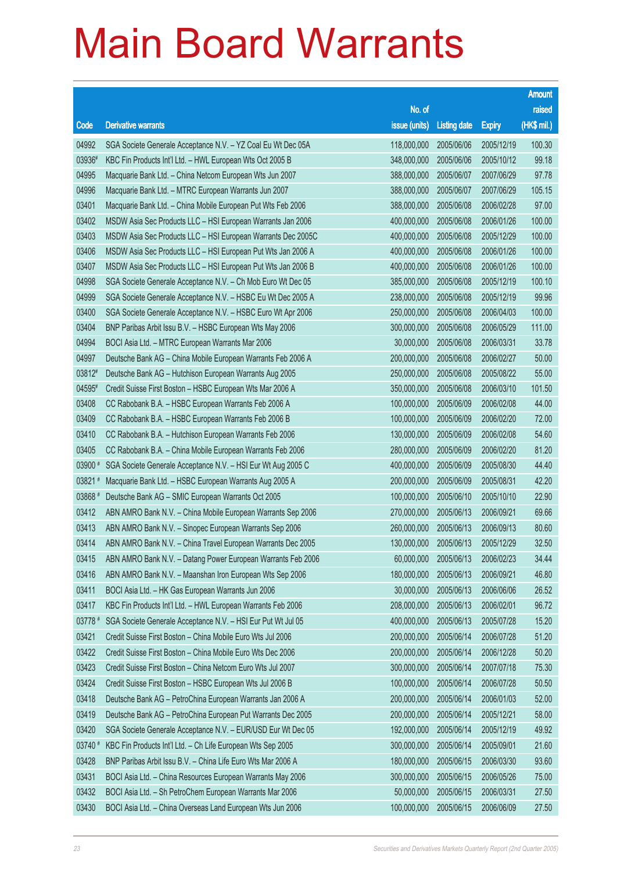| raised<br>No. of<br>(HK\$ mil.)<br><b>Derivative warrants</b><br>issue (units)<br>Code<br><b>Listing date</b><br><b>Expiry</b><br>04992<br>118,000,000<br>2005/06/06<br>100.30<br>SGA Societe Generale Acceptance N.V. - YZ Coal Eu Wt Dec 05A<br>2005/12/19<br>99.18<br>03936#<br>KBC Fin Products Int'l Ltd. - HWL European Wts Oct 2005 B<br>348,000,000<br>2005/06/06<br>2005/10/12<br>04995<br>97.78<br>Macquarie Bank Ltd. - China Netcom European Wts Jun 2007<br>388,000,000<br>2005/06/07<br>2007/06/29<br>04996<br>Macquarie Bank Ltd. - MTRC European Warrants Jun 2007<br>388,000,000<br>2005/06/07<br>2007/06/29<br>105.15<br>03401<br>97.00<br>Macquarie Bank Ltd. - China Mobile European Put Wts Feb 2006<br>388,000,000<br>2005/06/08<br>2006/02/28<br>03402<br>100.00<br>MSDW Asia Sec Products LLC - HSI European Warrants Jan 2006<br>400,000,000<br>2005/06/08<br>2006/01/26<br>03403<br>100.00<br>MSDW Asia Sec Products LLC - HSI European Warrants Dec 2005C<br>400,000,000<br>2005/06/08<br>2005/12/29<br>03406<br>100.00<br>MSDW Asia Sec Products LLC - HSI European Put Wts Jan 2006 A<br>400,000,000<br>2005/06/08<br>2006/01/26<br>03407<br>100.00<br>MSDW Asia Sec Products LLC - HSI European Put Wts Jan 2006 B<br>400,000,000<br>2005/06/08<br>2006/01/26<br>04998<br>100.10<br>SGA Societe Generale Acceptance N.V. - Ch Mob Euro Wt Dec 05<br>385,000,000<br>2005/06/08<br>2005/12/19<br>99.96<br>04999<br>SGA Societe Generale Acceptance N.V. - HSBC Eu Wt Dec 2005 A<br>238,000,000<br>2005/06/08<br>2005/12/19<br>03400<br>100.00<br>SGA Societe Generale Acceptance N.V. - HSBC Euro Wt Apr 2006<br>250,000,000<br>2005/06/08<br>2006/04/03<br>03404<br>111.00<br>BNP Paribas Arbit Issu B.V. - HSBC European Wts May 2006<br>300,000,000<br>2005/06/08<br>2006/05/29<br>04994<br>33.78<br>BOCI Asia Ltd. - MTRC European Warrants Mar 2006<br>30,000,000<br>2005/06/08<br>2006/03/31<br>04997<br>200,000,000<br>50.00<br>Deutsche Bank AG - China Mobile European Warrants Feb 2006 A<br>2005/06/08<br>2006/02/27<br>03812#<br>55.00<br>Deutsche Bank AG - Hutchison European Warrants Aug 2005<br>250,000,000<br>2005/06/08<br>2005/08/22<br>04595#<br>101.50<br>Credit Suisse First Boston - HSBC European Wts Mar 2006 A<br>350,000,000<br>2005/06/08<br>2006/03/10<br>03408<br>44.00<br>CC Rabobank B.A. - HSBC European Warrants Feb 2006 A<br>100,000,000<br>2005/06/09<br>2006/02/08<br>03409<br>72.00<br>CC Rabobank B.A. - HSBC European Warrants Feb 2006 B<br>100,000,000<br>2005/06/09<br>2006/02/20<br>03410<br>54.60<br>CC Rabobank B.A. - Hutchison European Warrants Feb 2006<br>130,000,000<br>2005/06/09<br>2006/02/08<br>81.20<br>03405<br>CC Rabobank B.A. - China Mobile European Warrants Feb 2006<br>280,000,000<br>2005/06/09<br>2006/02/20<br>03900 #<br>44.40<br>SGA Societe Generale Acceptance N.V. - HSI Eur Wt Aug 2005 C<br>400,000,000<br>2005/06/09<br>2005/08/30<br>03821#<br>42.20<br>Macquarie Bank Ltd. - HSBC European Warrants Aug 2005 A<br>200,000,000<br>2005/06/09<br>2005/08/31<br>03868 #<br>22.90<br>Deutsche Bank AG - SMIC European Warrants Oct 2005<br>100,000,000<br>2005/06/10<br>2005/10/10<br>03412<br>69.66<br>ABN AMRO Bank N.V. - China Mobile European Warrants Sep 2006<br>270,000,000<br>2005/06/13<br>2006/09/21<br>03413<br>80.60<br>ABN AMRO Bank N.V. - Sinopec European Warrants Sep 2006<br>260,000,000<br>2005/06/13<br>2006/09/13<br>03414<br>32.50<br>ABN AMRO Bank N.V. - China Travel European Warrants Dec 2005<br>130,000,000<br>2005/06/13<br>2005/12/29<br>34.44<br>03415<br>ABN AMRO Bank N.V. - Datang Power European Warrants Feb 2006<br>60,000,000<br>2005/06/13<br>2006/02/23<br>03416<br>ABN AMRO Bank N.V. - Maanshan Iron European Wts Sep 2006<br>46.80<br>180,000,000<br>2005/06/13<br>2006/09/21<br>03411<br>26.52<br>BOCI Asia Ltd. - HK Gas European Warrants Jun 2006<br>30,000,000<br>2005/06/13<br>2006/06/06<br>03417<br>KBC Fin Products Int'l Ltd. - HWL European Warrants Feb 2006<br>96.72<br>208,000,000<br>2005/06/13<br>2006/02/01<br>15.20<br>03778 #<br>SGA Societe Generale Acceptance N.V. - HSI Eur Put Wt Jul 05<br>400,000,000<br>2005/06/13<br>2005/07/28<br>03421<br>51.20<br>Credit Suisse First Boston - China Mobile Euro Wts Jul 2006<br>200,000,000<br>2005/06/14<br>2006/07/28<br>50.20<br>03422<br>Credit Suisse First Boston - China Mobile Euro Wts Dec 2006<br>200,000,000<br>2005/06/14<br>2006/12/28<br>03423<br>75.30<br>Credit Suisse First Boston - China Netcom Euro Wts Jul 2007<br>300,000,000<br>2005/06/14<br>2007/07/18<br>03424<br>50.50<br>Credit Suisse First Boston - HSBC European Wts Jul 2006 B<br>100,000,000<br>2005/06/14<br>2006/07/28<br>03418<br>52.00<br>Deutsche Bank AG - PetroChina European Warrants Jan 2006 A<br>200,000,000<br>2005/06/14<br>2006/01/03<br>03419<br>58.00<br>Deutsche Bank AG - PetroChina European Put Warrants Dec 2005<br>200,000,000<br>2005/06/14<br>2005/12/21<br>03420<br>49.92<br>SGA Societe Generale Acceptance N.V. - EUR/USD Eur Wt Dec 05<br>192,000,000<br>2005/06/14<br>2005/12/19<br>21.60<br>03740 #<br>KBC Fin Products Int'l Ltd. - Ch Life European Wts Sep 2005<br>300,000,000<br>2005/06/14<br>2005/09/01<br>03428<br>BNP Paribas Arbit Issu B.V. - China Life Euro Wts Mar 2006 A<br>93.60<br>180,000,000<br>2005/06/15<br>2006/03/30<br>03431<br>BOCI Asia Ltd. - China Resources European Warrants May 2006<br>300,000,000<br>2005/06/15<br>75.00<br>2006/05/26<br>03432<br>BOCI Asia Ltd. - Sh PetroChem European Warrants Mar 2006<br>27.50<br>50,000,000<br>2005/06/15<br>2006/03/31 |       |                                                            |             |            |            | <b>Amount</b> |
|-----------------------------------------------------------------------------------------------------------------------------------------------------------------------------------------------------------------------------------------------------------------------------------------------------------------------------------------------------------------------------------------------------------------------------------------------------------------------------------------------------------------------------------------------------------------------------------------------------------------------------------------------------------------------------------------------------------------------------------------------------------------------------------------------------------------------------------------------------------------------------------------------------------------------------------------------------------------------------------------------------------------------------------------------------------------------------------------------------------------------------------------------------------------------------------------------------------------------------------------------------------------------------------------------------------------------------------------------------------------------------------------------------------------------------------------------------------------------------------------------------------------------------------------------------------------------------------------------------------------------------------------------------------------------------------------------------------------------------------------------------------------------------------------------------------------------------------------------------------------------------------------------------------------------------------------------------------------------------------------------------------------------------------------------------------------------------------------------------------------------------------------------------------------------------------------------------------------------------------------------------------------------------------------------------------------------------------------------------------------------------------------------------------------------------------------------------------------------------------------------------------------------------------------------------------------------------------------------------------------------------------------------------------------------------------------------------------------------------------------------------------------------------------------------------------------------------------------------------------------------------------------------------------------------------------------------------------------------------------------------------------------------------------------------------------------------------------------------------------------------------------------------------------------------------------------------------------------------------------------------------------------------------------------------------------------------------------------------------------------------------------------------------------------------------------------------------------------------------------------------------------------------------------------------------------------------------------------------------------------------------------------------------------------------------------------------------------------------------------------------------------------------------------------------------------------------------------------------------------------------------------------------------------------------------------------------------------------------------------------------------------------------------------------------------------------------------------------------------------------------------------------------------------------------------------------------------------------------------------------------------------------------------------------------------------------------------------------------------------------------------------------------------------------------------------------------------------------------------------------------------------------------------------------------------------------------------------------------------------------------------------------------------------------------------------------------------------------------------------------------------------------------------------------------------------------------------------------------------------------------------------------------------------------------------------------------------------------------------------------------------------------------------------------------------------------------------------------------------------------------------------------------------------------------------------------------------------------------------------------------------------------------------------------------------------------------------------------------------------------------------------------------------------------------------------------------------------------------------------------------------------------------------------------------------------------------------------------------------------------------------------|-------|------------------------------------------------------------|-------------|------------|------------|---------------|
|                                                                                                                                                                                                                                                                                                                                                                                                                                                                                                                                                                                                                                                                                                                                                                                                                                                                                                                                                                                                                                                                                                                                                                                                                                                                                                                                                                                                                                                                                                                                                                                                                                                                                                                                                                                                                                                                                                                                                                                                                                                                                                                                                                                                                                                                                                                                                                                                                                                                                                                                                                                                                                                                                                                                                                                                                                                                                                                                                                                                                                                                                                                                                                                                                                                                                                                                                                                                                                                                                                                                                                                                                                                                                                                                                                                                                                                                                                                                                                                                                                                                                                                                                                                                                                                                                                                                                                                                                                                                                                                                                                                                                                                                                                                                                                                                                                                                                                                                                                                                                                                                                                                                                                                                                                                                                                                                                                                                                                                                                                                                                                                                                                   |       |                                                            |             |            |            |               |
|                                                                                                                                                                                                                                                                                                                                                                                                                                                                                                                                                                                                                                                                                                                                                                                                                                                                                                                                                                                                                                                                                                                                                                                                                                                                                                                                                                                                                                                                                                                                                                                                                                                                                                                                                                                                                                                                                                                                                                                                                                                                                                                                                                                                                                                                                                                                                                                                                                                                                                                                                                                                                                                                                                                                                                                                                                                                                                                                                                                                                                                                                                                                                                                                                                                                                                                                                                                                                                                                                                                                                                                                                                                                                                                                                                                                                                                                                                                                                                                                                                                                                                                                                                                                                                                                                                                                                                                                                                                                                                                                                                                                                                                                                                                                                                                                                                                                                                                                                                                                                                                                                                                                                                                                                                                                                                                                                                                                                                                                                                                                                                                                                                   |       |                                                            |             |            |            |               |
|                                                                                                                                                                                                                                                                                                                                                                                                                                                                                                                                                                                                                                                                                                                                                                                                                                                                                                                                                                                                                                                                                                                                                                                                                                                                                                                                                                                                                                                                                                                                                                                                                                                                                                                                                                                                                                                                                                                                                                                                                                                                                                                                                                                                                                                                                                                                                                                                                                                                                                                                                                                                                                                                                                                                                                                                                                                                                                                                                                                                                                                                                                                                                                                                                                                                                                                                                                                                                                                                                                                                                                                                                                                                                                                                                                                                                                                                                                                                                                                                                                                                                                                                                                                                                                                                                                                                                                                                                                                                                                                                                                                                                                                                                                                                                                                                                                                                                                                                                                                                                                                                                                                                                                                                                                                                                                                                                                                                                                                                                                                                                                                                                                   |       |                                                            |             |            |            |               |
|                                                                                                                                                                                                                                                                                                                                                                                                                                                                                                                                                                                                                                                                                                                                                                                                                                                                                                                                                                                                                                                                                                                                                                                                                                                                                                                                                                                                                                                                                                                                                                                                                                                                                                                                                                                                                                                                                                                                                                                                                                                                                                                                                                                                                                                                                                                                                                                                                                                                                                                                                                                                                                                                                                                                                                                                                                                                                                                                                                                                                                                                                                                                                                                                                                                                                                                                                                                                                                                                                                                                                                                                                                                                                                                                                                                                                                                                                                                                                                                                                                                                                                                                                                                                                                                                                                                                                                                                                                                                                                                                                                                                                                                                                                                                                                                                                                                                                                                                                                                                                                                                                                                                                                                                                                                                                                                                                                                                                                                                                                                                                                                                                                   |       |                                                            |             |            |            |               |
|                                                                                                                                                                                                                                                                                                                                                                                                                                                                                                                                                                                                                                                                                                                                                                                                                                                                                                                                                                                                                                                                                                                                                                                                                                                                                                                                                                                                                                                                                                                                                                                                                                                                                                                                                                                                                                                                                                                                                                                                                                                                                                                                                                                                                                                                                                                                                                                                                                                                                                                                                                                                                                                                                                                                                                                                                                                                                                                                                                                                                                                                                                                                                                                                                                                                                                                                                                                                                                                                                                                                                                                                                                                                                                                                                                                                                                                                                                                                                                                                                                                                                                                                                                                                                                                                                                                                                                                                                                                                                                                                                                                                                                                                                                                                                                                                                                                                                                                                                                                                                                                                                                                                                                                                                                                                                                                                                                                                                                                                                                                                                                                                                                   |       |                                                            |             |            |            |               |
|                                                                                                                                                                                                                                                                                                                                                                                                                                                                                                                                                                                                                                                                                                                                                                                                                                                                                                                                                                                                                                                                                                                                                                                                                                                                                                                                                                                                                                                                                                                                                                                                                                                                                                                                                                                                                                                                                                                                                                                                                                                                                                                                                                                                                                                                                                                                                                                                                                                                                                                                                                                                                                                                                                                                                                                                                                                                                                                                                                                                                                                                                                                                                                                                                                                                                                                                                                                                                                                                                                                                                                                                                                                                                                                                                                                                                                                                                                                                                                                                                                                                                                                                                                                                                                                                                                                                                                                                                                                                                                                                                                                                                                                                                                                                                                                                                                                                                                                                                                                                                                                                                                                                                                                                                                                                                                                                                                                                                                                                                                                                                                                                                                   |       |                                                            |             |            |            |               |
|                                                                                                                                                                                                                                                                                                                                                                                                                                                                                                                                                                                                                                                                                                                                                                                                                                                                                                                                                                                                                                                                                                                                                                                                                                                                                                                                                                                                                                                                                                                                                                                                                                                                                                                                                                                                                                                                                                                                                                                                                                                                                                                                                                                                                                                                                                                                                                                                                                                                                                                                                                                                                                                                                                                                                                                                                                                                                                                                                                                                                                                                                                                                                                                                                                                                                                                                                                                                                                                                                                                                                                                                                                                                                                                                                                                                                                                                                                                                                                                                                                                                                                                                                                                                                                                                                                                                                                                                                                                                                                                                                                                                                                                                                                                                                                                                                                                                                                                                                                                                                                                                                                                                                                                                                                                                                                                                                                                                                                                                                                                                                                                                                                   |       |                                                            |             |            |            |               |
|                                                                                                                                                                                                                                                                                                                                                                                                                                                                                                                                                                                                                                                                                                                                                                                                                                                                                                                                                                                                                                                                                                                                                                                                                                                                                                                                                                                                                                                                                                                                                                                                                                                                                                                                                                                                                                                                                                                                                                                                                                                                                                                                                                                                                                                                                                                                                                                                                                                                                                                                                                                                                                                                                                                                                                                                                                                                                                                                                                                                                                                                                                                                                                                                                                                                                                                                                                                                                                                                                                                                                                                                                                                                                                                                                                                                                                                                                                                                                                                                                                                                                                                                                                                                                                                                                                                                                                                                                                                                                                                                                                                                                                                                                                                                                                                                                                                                                                                                                                                                                                                                                                                                                                                                                                                                                                                                                                                                                                                                                                                                                                                                                                   |       |                                                            |             |            |            |               |
|                                                                                                                                                                                                                                                                                                                                                                                                                                                                                                                                                                                                                                                                                                                                                                                                                                                                                                                                                                                                                                                                                                                                                                                                                                                                                                                                                                                                                                                                                                                                                                                                                                                                                                                                                                                                                                                                                                                                                                                                                                                                                                                                                                                                                                                                                                                                                                                                                                                                                                                                                                                                                                                                                                                                                                                                                                                                                                                                                                                                                                                                                                                                                                                                                                                                                                                                                                                                                                                                                                                                                                                                                                                                                                                                                                                                                                                                                                                                                                                                                                                                                                                                                                                                                                                                                                                                                                                                                                                                                                                                                                                                                                                                                                                                                                                                                                                                                                                                                                                                                                                                                                                                                                                                                                                                                                                                                                                                                                                                                                                                                                                                                                   |       |                                                            |             |            |            |               |
|                                                                                                                                                                                                                                                                                                                                                                                                                                                                                                                                                                                                                                                                                                                                                                                                                                                                                                                                                                                                                                                                                                                                                                                                                                                                                                                                                                                                                                                                                                                                                                                                                                                                                                                                                                                                                                                                                                                                                                                                                                                                                                                                                                                                                                                                                                                                                                                                                                                                                                                                                                                                                                                                                                                                                                                                                                                                                                                                                                                                                                                                                                                                                                                                                                                                                                                                                                                                                                                                                                                                                                                                                                                                                                                                                                                                                                                                                                                                                                                                                                                                                                                                                                                                                                                                                                                                                                                                                                                                                                                                                                                                                                                                                                                                                                                                                                                                                                                                                                                                                                                                                                                                                                                                                                                                                                                                                                                                                                                                                                                                                                                                                                   |       |                                                            |             |            |            |               |
|                                                                                                                                                                                                                                                                                                                                                                                                                                                                                                                                                                                                                                                                                                                                                                                                                                                                                                                                                                                                                                                                                                                                                                                                                                                                                                                                                                                                                                                                                                                                                                                                                                                                                                                                                                                                                                                                                                                                                                                                                                                                                                                                                                                                                                                                                                                                                                                                                                                                                                                                                                                                                                                                                                                                                                                                                                                                                                                                                                                                                                                                                                                                                                                                                                                                                                                                                                                                                                                                                                                                                                                                                                                                                                                                                                                                                                                                                                                                                                                                                                                                                                                                                                                                                                                                                                                                                                                                                                                                                                                                                                                                                                                                                                                                                                                                                                                                                                                                                                                                                                                                                                                                                                                                                                                                                                                                                                                                                                                                                                                                                                                                                                   |       |                                                            |             |            |            |               |
|                                                                                                                                                                                                                                                                                                                                                                                                                                                                                                                                                                                                                                                                                                                                                                                                                                                                                                                                                                                                                                                                                                                                                                                                                                                                                                                                                                                                                                                                                                                                                                                                                                                                                                                                                                                                                                                                                                                                                                                                                                                                                                                                                                                                                                                                                                                                                                                                                                                                                                                                                                                                                                                                                                                                                                                                                                                                                                                                                                                                                                                                                                                                                                                                                                                                                                                                                                                                                                                                                                                                                                                                                                                                                                                                                                                                                                                                                                                                                                                                                                                                                                                                                                                                                                                                                                                                                                                                                                                                                                                                                                                                                                                                                                                                                                                                                                                                                                                                                                                                                                                                                                                                                                                                                                                                                                                                                                                                                                                                                                                                                                                                                                   |       |                                                            |             |            |            |               |
|                                                                                                                                                                                                                                                                                                                                                                                                                                                                                                                                                                                                                                                                                                                                                                                                                                                                                                                                                                                                                                                                                                                                                                                                                                                                                                                                                                                                                                                                                                                                                                                                                                                                                                                                                                                                                                                                                                                                                                                                                                                                                                                                                                                                                                                                                                                                                                                                                                                                                                                                                                                                                                                                                                                                                                                                                                                                                                                                                                                                                                                                                                                                                                                                                                                                                                                                                                                                                                                                                                                                                                                                                                                                                                                                                                                                                                                                                                                                                                                                                                                                                                                                                                                                                                                                                                                                                                                                                                                                                                                                                                                                                                                                                                                                                                                                                                                                                                                                                                                                                                                                                                                                                                                                                                                                                                                                                                                                                                                                                                                                                                                                                                   |       |                                                            |             |            |            |               |
|                                                                                                                                                                                                                                                                                                                                                                                                                                                                                                                                                                                                                                                                                                                                                                                                                                                                                                                                                                                                                                                                                                                                                                                                                                                                                                                                                                                                                                                                                                                                                                                                                                                                                                                                                                                                                                                                                                                                                                                                                                                                                                                                                                                                                                                                                                                                                                                                                                                                                                                                                                                                                                                                                                                                                                                                                                                                                                                                                                                                                                                                                                                                                                                                                                                                                                                                                                                                                                                                                                                                                                                                                                                                                                                                                                                                                                                                                                                                                                                                                                                                                                                                                                                                                                                                                                                                                                                                                                                                                                                                                                                                                                                                                                                                                                                                                                                                                                                                                                                                                                                                                                                                                                                                                                                                                                                                                                                                                                                                                                                                                                                                                                   |       |                                                            |             |            |            |               |
|                                                                                                                                                                                                                                                                                                                                                                                                                                                                                                                                                                                                                                                                                                                                                                                                                                                                                                                                                                                                                                                                                                                                                                                                                                                                                                                                                                                                                                                                                                                                                                                                                                                                                                                                                                                                                                                                                                                                                                                                                                                                                                                                                                                                                                                                                                                                                                                                                                                                                                                                                                                                                                                                                                                                                                                                                                                                                                                                                                                                                                                                                                                                                                                                                                                                                                                                                                                                                                                                                                                                                                                                                                                                                                                                                                                                                                                                                                                                                                                                                                                                                                                                                                                                                                                                                                                                                                                                                                                                                                                                                                                                                                                                                                                                                                                                                                                                                                                                                                                                                                                                                                                                                                                                                                                                                                                                                                                                                                                                                                                                                                                                                                   |       |                                                            |             |            |            |               |
|                                                                                                                                                                                                                                                                                                                                                                                                                                                                                                                                                                                                                                                                                                                                                                                                                                                                                                                                                                                                                                                                                                                                                                                                                                                                                                                                                                                                                                                                                                                                                                                                                                                                                                                                                                                                                                                                                                                                                                                                                                                                                                                                                                                                                                                                                                                                                                                                                                                                                                                                                                                                                                                                                                                                                                                                                                                                                                                                                                                                                                                                                                                                                                                                                                                                                                                                                                                                                                                                                                                                                                                                                                                                                                                                                                                                                                                                                                                                                                                                                                                                                                                                                                                                                                                                                                                                                                                                                                                                                                                                                                                                                                                                                                                                                                                                                                                                                                                                                                                                                                                                                                                                                                                                                                                                                                                                                                                                                                                                                                                                                                                                                                   |       |                                                            |             |            |            |               |
|                                                                                                                                                                                                                                                                                                                                                                                                                                                                                                                                                                                                                                                                                                                                                                                                                                                                                                                                                                                                                                                                                                                                                                                                                                                                                                                                                                                                                                                                                                                                                                                                                                                                                                                                                                                                                                                                                                                                                                                                                                                                                                                                                                                                                                                                                                                                                                                                                                                                                                                                                                                                                                                                                                                                                                                                                                                                                                                                                                                                                                                                                                                                                                                                                                                                                                                                                                                                                                                                                                                                                                                                                                                                                                                                                                                                                                                                                                                                                                                                                                                                                                                                                                                                                                                                                                                                                                                                                                                                                                                                                                                                                                                                                                                                                                                                                                                                                                                                                                                                                                                                                                                                                                                                                                                                                                                                                                                                                                                                                                                                                                                                                                   |       |                                                            |             |            |            |               |
|                                                                                                                                                                                                                                                                                                                                                                                                                                                                                                                                                                                                                                                                                                                                                                                                                                                                                                                                                                                                                                                                                                                                                                                                                                                                                                                                                                                                                                                                                                                                                                                                                                                                                                                                                                                                                                                                                                                                                                                                                                                                                                                                                                                                                                                                                                                                                                                                                                                                                                                                                                                                                                                                                                                                                                                                                                                                                                                                                                                                                                                                                                                                                                                                                                                                                                                                                                                                                                                                                                                                                                                                                                                                                                                                                                                                                                                                                                                                                                                                                                                                                                                                                                                                                                                                                                                                                                                                                                                                                                                                                                                                                                                                                                                                                                                                                                                                                                                                                                                                                                                                                                                                                                                                                                                                                                                                                                                                                                                                                                                                                                                                                                   |       |                                                            |             |            |            |               |
|                                                                                                                                                                                                                                                                                                                                                                                                                                                                                                                                                                                                                                                                                                                                                                                                                                                                                                                                                                                                                                                                                                                                                                                                                                                                                                                                                                                                                                                                                                                                                                                                                                                                                                                                                                                                                                                                                                                                                                                                                                                                                                                                                                                                                                                                                                                                                                                                                                                                                                                                                                                                                                                                                                                                                                                                                                                                                                                                                                                                                                                                                                                                                                                                                                                                                                                                                                                                                                                                                                                                                                                                                                                                                                                                                                                                                                                                                                                                                                                                                                                                                                                                                                                                                                                                                                                                                                                                                                                                                                                                                                                                                                                                                                                                                                                                                                                                                                                                                                                                                                                                                                                                                                                                                                                                                                                                                                                                                                                                                                                                                                                                                                   |       |                                                            |             |            |            |               |
|                                                                                                                                                                                                                                                                                                                                                                                                                                                                                                                                                                                                                                                                                                                                                                                                                                                                                                                                                                                                                                                                                                                                                                                                                                                                                                                                                                                                                                                                                                                                                                                                                                                                                                                                                                                                                                                                                                                                                                                                                                                                                                                                                                                                                                                                                                                                                                                                                                                                                                                                                                                                                                                                                                                                                                                                                                                                                                                                                                                                                                                                                                                                                                                                                                                                                                                                                                                                                                                                                                                                                                                                                                                                                                                                                                                                                                                                                                                                                                                                                                                                                                                                                                                                                                                                                                                                                                                                                                                                                                                                                                                                                                                                                                                                                                                                                                                                                                                                                                                                                                                                                                                                                                                                                                                                                                                                                                                                                                                                                                                                                                                                                                   |       |                                                            |             |            |            |               |
|                                                                                                                                                                                                                                                                                                                                                                                                                                                                                                                                                                                                                                                                                                                                                                                                                                                                                                                                                                                                                                                                                                                                                                                                                                                                                                                                                                                                                                                                                                                                                                                                                                                                                                                                                                                                                                                                                                                                                                                                                                                                                                                                                                                                                                                                                                                                                                                                                                                                                                                                                                                                                                                                                                                                                                                                                                                                                                                                                                                                                                                                                                                                                                                                                                                                                                                                                                                                                                                                                                                                                                                                                                                                                                                                                                                                                                                                                                                                                                                                                                                                                                                                                                                                                                                                                                                                                                                                                                                                                                                                                                                                                                                                                                                                                                                                                                                                                                                                                                                                                                                                                                                                                                                                                                                                                                                                                                                                                                                                                                                                                                                                                                   |       |                                                            |             |            |            |               |
|                                                                                                                                                                                                                                                                                                                                                                                                                                                                                                                                                                                                                                                                                                                                                                                                                                                                                                                                                                                                                                                                                                                                                                                                                                                                                                                                                                                                                                                                                                                                                                                                                                                                                                                                                                                                                                                                                                                                                                                                                                                                                                                                                                                                                                                                                                                                                                                                                                                                                                                                                                                                                                                                                                                                                                                                                                                                                                                                                                                                                                                                                                                                                                                                                                                                                                                                                                                                                                                                                                                                                                                                                                                                                                                                                                                                                                                                                                                                                                                                                                                                                                                                                                                                                                                                                                                                                                                                                                                                                                                                                                                                                                                                                                                                                                                                                                                                                                                                                                                                                                                                                                                                                                                                                                                                                                                                                                                                                                                                                                                                                                                                                                   |       |                                                            |             |            |            |               |
|                                                                                                                                                                                                                                                                                                                                                                                                                                                                                                                                                                                                                                                                                                                                                                                                                                                                                                                                                                                                                                                                                                                                                                                                                                                                                                                                                                                                                                                                                                                                                                                                                                                                                                                                                                                                                                                                                                                                                                                                                                                                                                                                                                                                                                                                                                                                                                                                                                                                                                                                                                                                                                                                                                                                                                                                                                                                                                                                                                                                                                                                                                                                                                                                                                                                                                                                                                                                                                                                                                                                                                                                                                                                                                                                                                                                                                                                                                                                                                                                                                                                                                                                                                                                                                                                                                                                                                                                                                                                                                                                                                                                                                                                                                                                                                                                                                                                                                                                                                                                                                                                                                                                                                                                                                                                                                                                                                                                                                                                                                                                                                                                                                   |       |                                                            |             |            |            |               |
|                                                                                                                                                                                                                                                                                                                                                                                                                                                                                                                                                                                                                                                                                                                                                                                                                                                                                                                                                                                                                                                                                                                                                                                                                                                                                                                                                                                                                                                                                                                                                                                                                                                                                                                                                                                                                                                                                                                                                                                                                                                                                                                                                                                                                                                                                                                                                                                                                                                                                                                                                                                                                                                                                                                                                                                                                                                                                                                                                                                                                                                                                                                                                                                                                                                                                                                                                                                                                                                                                                                                                                                                                                                                                                                                                                                                                                                                                                                                                                                                                                                                                                                                                                                                                                                                                                                                                                                                                                                                                                                                                                                                                                                                                                                                                                                                                                                                                                                                                                                                                                                                                                                                                                                                                                                                                                                                                                                                                                                                                                                                                                                                                                   |       |                                                            |             |            |            |               |
|                                                                                                                                                                                                                                                                                                                                                                                                                                                                                                                                                                                                                                                                                                                                                                                                                                                                                                                                                                                                                                                                                                                                                                                                                                                                                                                                                                                                                                                                                                                                                                                                                                                                                                                                                                                                                                                                                                                                                                                                                                                                                                                                                                                                                                                                                                                                                                                                                                                                                                                                                                                                                                                                                                                                                                                                                                                                                                                                                                                                                                                                                                                                                                                                                                                                                                                                                                                                                                                                                                                                                                                                                                                                                                                                                                                                                                                                                                                                                                                                                                                                                                                                                                                                                                                                                                                                                                                                                                                                                                                                                                                                                                                                                                                                                                                                                                                                                                                                                                                                                                                                                                                                                                                                                                                                                                                                                                                                                                                                                                                                                                                                                                   |       |                                                            |             |            |            |               |
|                                                                                                                                                                                                                                                                                                                                                                                                                                                                                                                                                                                                                                                                                                                                                                                                                                                                                                                                                                                                                                                                                                                                                                                                                                                                                                                                                                                                                                                                                                                                                                                                                                                                                                                                                                                                                                                                                                                                                                                                                                                                                                                                                                                                                                                                                                                                                                                                                                                                                                                                                                                                                                                                                                                                                                                                                                                                                                                                                                                                                                                                                                                                                                                                                                                                                                                                                                                                                                                                                                                                                                                                                                                                                                                                                                                                                                                                                                                                                                                                                                                                                                                                                                                                                                                                                                                                                                                                                                                                                                                                                                                                                                                                                                                                                                                                                                                                                                                                                                                                                                                                                                                                                                                                                                                                                                                                                                                                                                                                                                                                                                                                                                   |       |                                                            |             |            |            |               |
|                                                                                                                                                                                                                                                                                                                                                                                                                                                                                                                                                                                                                                                                                                                                                                                                                                                                                                                                                                                                                                                                                                                                                                                                                                                                                                                                                                                                                                                                                                                                                                                                                                                                                                                                                                                                                                                                                                                                                                                                                                                                                                                                                                                                                                                                                                                                                                                                                                                                                                                                                                                                                                                                                                                                                                                                                                                                                                                                                                                                                                                                                                                                                                                                                                                                                                                                                                                                                                                                                                                                                                                                                                                                                                                                                                                                                                                                                                                                                                                                                                                                                                                                                                                                                                                                                                                                                                                                                                                                                                                                                                                                                                                                                                                                                                                                                                                                                                                                                                                                                                                                                                                                                                                                                                                                                                                                                                                                                                                                                                                                                                                                                                   |       |                                                            |             |            |            |               |
|                                                                                                                                                                                                                                                                                                                                                                                                                                                                                                                                                                                                                                                                                                                                                                                                                                                                                                                                                                                                                                                                                                                                                                                                                                                                                                                                                                                                                                                                                                                                                                                                                                                                                                                                                                                                                                                                                                                                                                                                                                                                                                                                                                                                                                                                                                                                                                                                                                                                                                                                                                                                                                                                                                                                                                                                                                                                                                                                                                                                                                                                                                                                                                                                                                                                                                                                                                                                                                                                                                                                                                                                                                                                                                                                                                                                                                                                                                                                                                                                                                                                                                                                                                                                                                                                                                                                                                                                                                                                                                                                                                                                                                                                                                                                                                                                                                                                                                                                                                                                                                                                                                                                                                                                                                                                                                                                                                                                                                                                                                                                                                                                                                   |       |                                                            |             |            |            |               |
|                                                                                                                                                                                                                                                                                                                                                                                                                                                                                                                                                                                                                                                                                                                                                                                                                                                                                                                                                                                                                                                                                                                                                                                                                                                                                                                                                                                                                                                                                                                                                                                                                                                                                                                                                                                                                                                                                                                                                                                                                                                                                                                                                                                                                                                                                                                                                                                                                                                                                                                                                                                                                                                                                                                                                                                                                                                                                                                                                                                                                                                                                                                                                                                                                                                                                                                                                                                                                                                                                                                                                                                                                                                                                                                                                                                                                                                                                                                                                                                                                                                                                                                                                                                                                                                                                                                                                                                                                                                                                                                                                                                                                                                                                                                                                                                                                                                                                                                                                                                                                                                                                                                                                                                                                                                                                                                                                                                                                                                                                                                                                                                                                                   |       |                                                            |             |            |            |               |
|                                                                                                                                                                                                                                                                                                                                                                                                                                                                                                                                                                                                                                                                                                                                                                                                                                                                                                                                                                                                                                                                                                                                                                                                                                                                                                                                                                                                                                                                                                                                                                                                                                                                                                                                                                                                                                                                                                                                                                                                                                                                                                                                                                                                                                                                                                                                                                                                                                                                                                                                                                                                                                                                                                                                                                                                                                                                                                                                                                                                                                                                                                                                                                                                                                                                                                                                                                                                                                                                                                                                                                                                                                                                                                                                                                                                                                                                                                                                                                                                                                                                                                                                                                                                                                                                                                                                                                                                                                                                                                                                                                                                                                                                                                                                                                                                                                                                                                                                                                                                                                                                                                                                                                                                                                                                                                                                                                                                                                                                                                                                                                                                                                   |       |                                                            |             |            |            |               |
|                                                                                                                                                                                                                                                                                                                                                                                                                                                                                                                                                                                                                                                                                                                                                                                                                                                                                                                                                                                                                                                                                                                                                                                                                                                                                                                                                                                                                                                                                                                                                                                                                                                                                                                                                                                                                                                                                                                                                                                                                                                                                                                                                                                                                                                                                                                                                                                                                                                                                                                                                                                                                                                                                                                                                                                                                                                                                                                                                                                                                                                                                                                                                                                                                                                                                                                                                                                                                                                                                                                                                                                                                                                                                                                                                                                                                                                                                                                                                                                                                                                                                                                                                                                                                                                                                                                                                                                                                                                                                                                                                                                                                                                                                                                                                                                                                                                                                                                                                                                                                                                                                                                                                                                                                                                                                                                                                                                                                                                                                                                                                                                                                                   |       |                                                            |             |            |            |               |
|                                                                                                                                                                                                                                                                                                                                                                                                                                                                                                                                                                                                                                                                                                                                                                                                                                                                                                                                                                                                                                                                                                                                                                                                                                                                                                                                                                                                                                                                                                                                                                                                                                                                                                                                                                                                                                                                                                                                                                                                                                                                                                                                                                                                                                                                                                                                                                                                                                                                                                                                                                                                                                                                                                                                                                                                                                                                                                                                                                                                                                                                                                                                                                                                                                                                                                                                                                                                                                                                                                                                                                                                                                                                                                                                                                                                                                                                                                                                                                                                                                                                                                                                                                                                                                                                                                                                                                                                                                                                                                                                                                                                                                                                                                                                                                                                                                                                                                                                                                                                                                                                                                                                                                                                                                                                                                                                                                                                                                                                                                                                                                                                                                   |       |                                                            |             |            |            |               |
|                                                                                                                                                                                                                                                                                                                                                                                                                                                                                                                                                                                                                                                                                                                                                                                                                                                                                                                                                                                                                                                                                                                                                                                                                                                                                                                                                                                                                                                                                                                                                                                                                                                                                                                                                                                                                                                                                                                                                                                                                                                                                                                                                                                                                                                                                                                                                                                                                                                                                                                                                                                                                                                                                                                                                                                                                                                                                                                                                                                                                                                                                                                                                                                                                                                                                                                                                                                                                                                                                                                                                                                                                                                                                                                                                                                                                                                                                                                                                                                                                                                                                                                                                                                                                                                                                                                                                                                                                                                                                                                                                                                                                                                                                                                                                                                                                                                                                                                                                                                                                                                                                                                                                                                                                                                                                                                                                                                                                                                                                                                                                                                                                                   |       |                                                            |             |            |            |               |
|                                                                                                                                                                                                                                                                                                                                                                                                                                                                                                                                                                                                                                                                                                                                                                                                                                                                                                                                                                                                                                                                                                                                                                                                                                                                                                                                                                                                                                                                                                                                                                                                                                                                                                                                                                                                                                                                                                                                                                                                                                                                                                                                                                                                                                                                                                                                                                                                                                                                                                                                                                                                                                                                                                                                                                                                                                                                                                                                                                                                                                                                                                                                                                                                                                                                                                                                                                                                                                                                                                                                                                                                                                                                                                                                                                                                                                                                                                                                                                                                                                                                                                                                                                                                                                                                                                                                                                                                                                                                                                                                                                                                                                                                                                                                                                                                                                                                                                                                                                                                                                                                                                                                                                                                                                                                                                                                                                                                                                                                                                                                                                                                                                   |       |                                                            |             |            |            |               |
|                                                                                                                                                                                                                                                                                                                                                                                                                                                                                                                                                                                                                                                                                                                                                                                                                                                                                                                                                                                                                                                                                                                                                                                                                                                                                                                                                                                                                                                                                                                                                                                                                                                                                                                                                                                                                                                                                                                                                                                                                                                                                                                                                                                                                                                                                                                                                                                                                                                                                                                                                                                                                                                                                                                                                                                                                                                                                                                                                                                                                                                                                                                                                                                                                                                                                                                                                                                                                                                                                                                                                                                                                                                                                                                                                                                                                                                                                                                                                                                                                                                                                                                                                                                                                                                                                                                                                                                                                                                                                                                                                                                                                                                                                                                                                                                                                                                                                                                                                                                                                                                                                                                                                                                                                                                                                                                                                                                                                                                                                                                                                                                                                                   |       |                                                            |             |            |            |               |
|                                                                                                                                                                                                                                                                                                                                                                                                                                                                                                                                                                                                                                                                                                                                                                                                                                                                                                                                                                                                                                                                                                                                                                                                                                                                                                                                                                                                                                                                                                                                                                                                                                                                                                                                                                                                                                                                                                                                                                                                                                                                                                                                                                                                                                                                                                                                                                                                                                                                                                                                                                                                                                                                                                                                                                                                                                                                                                                                                                                                                                                                                                                                                                                                                                                                                                                                                                                                                                                                                                                                                                                                                                                                                                                                                                                                                                                                                                                                                                                                                                                                                                                                                                                                                                                                                                                                                                                                                                                                                                                                                                                                                                                                                                                                                                                                                                                                                                                                                                                                                                                                                                                                                                                                                                                                                                                                                                                                                                                                                                                                                                                                                                   |       |                                                            |             |            |            |               |
|                                                                                                                                                                                                                                                                                                                                                                                                                                                                                                                                                                                                                                                                                                                                                                                                                                                                                                                                                                                                                                                                                                                                                                                                                                                                                                                                                                                                                                                                                                                                                                                                                                                                                                                                                                                                                                                                                                                                                                                                                                                                                                                                                                                                                                                                                                                                                                                                                                                                                                                                                                                                                                                                                                                                                                                                                                                                                                                                                                                                                                                                                                                                                                                                                                                                                                                                                                                                                                                                                                                                                                                                                                                                                                                                                                                                                                                                                                                                                                                                                                                                                                                                                                                                                                                                                                                                                                                                                                                                                                                                                                                                                                                                                                                                                                                                                                                                                                                                                                                                                                                                                                                                                                                                                                                                                                                                                                                                                                                                                                                                                                                                                                   |       |                                                            |             |            |            |               |
|                                                                                                                                                                                                                                                                                                                                                                                                                                                                                                                                                                                                                                                                                                                                                                                                                                                                                                                                                                                                                                                                                                                                                                                                                                                                                                                                                                                                                                                                                                                                                                                                                                                                                                                                                                                                                                                                                                                                                                                                                                                                                                                                                                                                                                                                                                                                                                                                                                                                                                                                                                                                                                                                                                                                                                                                                                                                                                                                                                                                                                                                                                                                                                                                                                                                                                                                                                                                                                                                                                                                                                                                                                                                                                                                                                                                                                                                                                                                                                                                                                                                                                                                                                                                                                                                                                                                                                                                                                                                                                                                                                                                                                                                                                                                                                                                                                                                                                                                                                                                                                                                                                                                                                                                                                                                                                                                                                                                                                                                                                                                                                                                                                   |       |                                                            |             |            |            |               |
|                                                                                                                                                                                                                                                                                                                                                                                                                                                                                                                                                                                                                                                                                                                                                                                                                                                                                                                                                                                                                                                                                                                                                                                                                                                                                                                                                                                                                                                                                                                                                                                                                                                                                                                                                                                                                                                                                                                                                                                                                                                                                                                                                                                                                                                                                                                                                                                                                                                                                                                                                                                                                                                                                                                                                                                                                                                                                                                                                                                                                                                                                                                                                                                                                                                                                                                                                                                                                                                                                                                                                                                                                                                                                                                                                                                                                                                                                                                                                                                                                                                                                                                                                                                                                                                                                                                                                                                                                                                                                                                                                                                                                                                                                                                                                                                                                                                                                                                                                                                                                                                                                                                                                                                                                                                                                                                                                                                                                                                                                                                                                                                                                                   |       |                                                            |             |            |            |               |
|                                                                                                                                                                                                                                                                                                                                                                                                                                                                                                                                                                                                                                                                                                                                                                                                                                                                                                                                                                                                                                                                                                                                                                                                                                                                                                                                                                                                                                                                                                                                                                                                                                                                                                                                                                                                                                                                                                                                                                                                                                                                                                                                                                                                                                                                                                                                                                                                                                                                                                                                                                                                                                                                                                                                                                                                                                                                                                                                                                                                                                                                                                                                                                                                                                                                                                                                                                                                                                                                                                                                                                                                                                                                                                                                                                                                                                                                                                                                                                                                                                                                                                                                                                                                                                                                                                                                                                                                                                                                                                                                                                                                                                                                                                                                                                                                                                                                                                                                                                                                                                                                                                                                                                                                                                                                                                                                                                                                                                                                                                                                                                                                                                   |       |                                                            |             |            |            |               |
|                                                                                                                                                                                                                                                                                                                                                                                                                                                                                                                                                                                                                                                                                                                                                                                                                                                                                                                                                                                                                                                                                                                                                                                                                                                                                                                                                                                                                                                                                                                                                                                                                                                                                                                                                                                                                                                                                                                                                                                                                                                                                                                                                                                                                                                                                                                                                                                                                                                                                                                                                                                                                                                                                                                                                                                                                                                                                                                                                                                                                                                                                                                                                                                                                                                                                                                                                                                                                                                                                                                                                                                                                                                                                                                                                                                                                                                                                                                                                                                                                                                                                                                                                                                                                                                                                                                                                                                                                                                                                                                                                                                                                                                                                                                                                                                                                                                                                                                                                                                                                                                                                                                                                                                                                                                                                                                                                                                                                                                                                                                                                                                                                                   |       |                                                            |             |            |            |               |
|                                                                                                                                                                                                                                                                                                                                                                                                                                                                                                                                                                                                                                                                                                                                                                                                                                                                                                                                                                                                                                                                                                                                                                                                                                                                                                                                                                                                                                                                                                                                                                                                                                                                                                                                                                                                                                                                                                                                                                                                                                                                                                                                                                                                                                                                                                                                                                                                                                                                                                                                                                                                                                                                                                                                                                                                                                                                                                                                                                                                                                                                                                                                                                                                                                                                                                                                                                                                                                                                                                                                                                                                                                                                                                                                                                                                                                                                                                                                                                                                                                                                                                                                                                                                                                                                                                                                                                                                                                                                                                                                                                                                                                                                                                                                                                                                                                                                                                                                                                                                                                                                                                                                                                                                                                                                                                                                                                                                                                                                                                                                                                                                                                   |       |                                                            |             |            |            |               |
|                                                                                                                                                                                                                                                                                                                                                                                                                                                                                                                                                                                                                                                                                                                                                                                                                                                                                                                                                                                                                                                                                                                                                                                                                                                                                                                                                                                                                                                                                                                                                                                                                                                                                                                                                                                                                                                                                                                                                                                                                                                                                                                                                                                                                                                                                                                                                                                                                                                                                                                                                                                                                                                                                                                                                                                                                                                                                                                                                                                                                                                                                                                                                                                                                                                                                                                                                                                                                                                                                                                                                                                                                                                                                                                                                                                                                                                                                                                                                                                                                                                                                                                                                                                                                                                                                                                                                                                                                                                                                                                                                                                                                                                                                                                                                                                                                                                                                                                                                                                                                                                                                                                                                                                                                                                                                                                                                                                                                                                                                                                                                                                                                                   |       |                                                            |             |            |            |               |
|                                                                                                                                                                                                                                                                                                                                                                                                                                                                                                                                                                                                                                                                                                                                                                                                                                                                                                                                                                                                                                                                                                                                                                                                                                                                                                                                                                                                                                                                                                                                                                                                                                                                                                                                                                                                                                                                                                                                                                                                                                                                                                                                                                                                                                                                                                                                                                                                                                                                                                                                                                                                                                                                                                                                                                                                                                                                                                                                                                                                                                                                                                                                                                                                                                                                                                                                                                                                                                                                                                                                                                                                                                                                                                                                                                                                                                                                                                                                                                                                                                                                                                                                                                                                                                                                                                                                                                                                                                                                                                                                                                                                                                                                                                                                                                                                                                                                                                                                                                                                                                                                                                                                                                                                                                                                                                                                                                                                                                                                                                                                                                                                                                   |       |                                                            |             |            |            |               |
|                                                                                                                                                                                                                                                                                                                                                                                                                                                                                                                                                                                                                                                                                                                                                                                                                                                                                                                                                                                                                                                                                                                                                                                                                                                                                                                                                                                                                                                                                                                                                                                                                                                                                                                                                                                                                                                                                                                                                                                                                                                                                                                                                                                                                                                                                                                                                                                                                                                                                                                                                                                                                                                                                                                                                                                                                                                                                                                                                                                                                                                                                                                                                                                                                                                                                                                                                                                                                                                                                                                                                                                                                                                                                                                                                                                                                                                                                                                                                                                                                                                                                                                                                                                                                                                                                                                                                                                                                                                                                                                                                                                                                                                                                                                                                                                                                                                                                                                                                                                                                                                                                                                                                                                                                                                                                                                                                                                                                                                                                                                                                                                                                                   |       |                                                            |             |            |            |               |
|                                                                                                                                                                                                                                                                                                                                                                                                                                                                                                                                                                                                                                                                                                                                                                                                                                                                                                                                                                                                                                                                                                                                                                                                                                                                                                                                                                                                                                                                                                                                                                                                                                                                                                                                                                                                                                                                                                                                                                                                                                                                                                                                                                                                                                                                                                                                                                                                                                                                                                                                                                                                                                                                                                                                                                                                                                                                                                                                                                                                                                                                                                                                                                                                                                                                                                                                                                                                                                                                                                                                                                                                                                                                                                                                                                                                                                                                                                                                                                                                                                                                                                                                                                                                                                                                                                                                                                                                                                                                                                                                                                                                                                                                                                                                                                                                                                                                                                                                                                                                                                                                                                                                                                                                                                                                                                                                                                                                                                                                                                                                                                                                                                   | 03430 | BOCI Asia Ltd. - China Overseas Land European Wts Jun 2006 | 100,000,000 | 2005/06/15 | 2006/06/09 | 27.50         |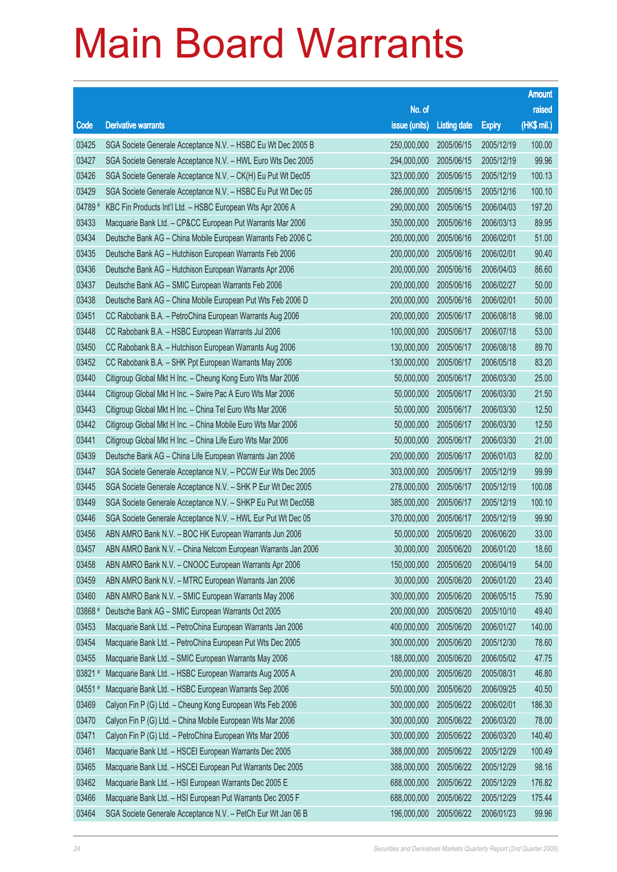|         |                                                              |               |                       |               | <b>Amount</b> |
|---------|--------------------------------------------------------------|---------------|-----------------------|---------------|---------------|
|         |                                                              | No. of        |                       |               | raised        |
| Code    | <b>Derivative warrants</b>                                   | issue (units) | <b>Listing date</b>   | <b>Expiry</b> | (HK\$ mil.)   |
| 03425   | SGA Societe Generale Acceptance N.V. - HSBC Eu Wt Dec 2005 B | 250,000,000   | 2005/06/15            | 2005/12/19    | 100.00        |
| 03427   | SGA Societe Generale Acceptance N.V. - HWL Euro Wts Dec 2005 | 294,000,000   | 2005/06/15            | 2005/12/19    | 99.96         |
| 03426   | SGA Societe Generale Acceptance N.V. - CK(H) Eu Put Wt Dec05 | 323,000,000   | 2005/06/15            | 2005/12/19    | 100.13        |
| 03429   | SGA Societe Generale Acceptance N.V. - HSBC Eu Put Wt Dec 05 | 286,000,000   | 2005/06/15            | 2005/12/16    | 100.10        |
| 04789 # | KBC Fin Products Int'l Ltd. - HSBC European Wts Apr 2006 A   | 290,000,000   | 2005/06/15            | 2006/04/03    | 197.20        |
| 03433   | Macquarie Bank Ltd. - CP&CC European Put Warrants Mar 2006   | 350,000,000   | 2005/06/16            | 2006/03/13    | 89.95         |
| 03434   | Deutsche Bank AG - China Mobile European Warrants Feb 2006 C | 200,000,000   | 2005/06/16            | 2006/02/01    | 51.00         |
| 03435   | Deutsche Bank AG - Hutchison European Warrants Feb 2006      | 200,000,000   | 2005/06/16            | 2006/02/01    | 90.40         |
| 03436   | Deutsche Bank AG - Hutchison European Warrants Apr 2006      | 200,000,000   | 2005/06/16            | 2006/04/03    | 86.60         |
| 03437   | Deutsche Bank AG - SMIC European Warrants Feb 2006           | 200,000,000   | 2005/06/16            | 2006/02/27    | 50.00         |
| 03438   | Deutsche Bank AG - China Mobile European Put Wts Feb 2006 D  | 200,000,000   | 2005/06/16            | 2006/02/01    | 50.00         |
| 03451   | CC Rabobank B.A. - PetroChina European Warrants Aug 2006     | 200,000,000   | 2005/06/17            | 2006/08/18    | 98.00         |
| 03448   | CC Rabobank B.A. - HSBC European Warrants Jul 2006           | 100,000,000   | 2005/06/17            | 2006/07/18    | 53.00         |
| 03450   | CC Rabobank B.A. - Hutchison European Warrants Aug 2006      | 130,000,000   | 2005/06/17            | 2006/08/18    | 89.70         |
| 03452   | CC Rabobank B.A. - SHK Ppt European Warrants May 2006        | 130,000,000   | 2005/06/17            | 2006/05/18    | 83.20         |
| 03440   | Citigroup Global Mkt H Inc. - Cheung Kong Euro Wts Mar 2006  | 50,000,000    | 2005/06/17            | 2006/03/30    | 25.00         |
| 03444   | Citigroup Global Mkt H Inc. - Swire Pac A Euro Wts Mar 2006  | 50,000,000    | 2005/06/17            | 2006/03/30    | 21.50         |
| 03443   | Citigroup Global Mkt H Inc. - China Tel Euro Wts Mar 2006    | 50,000,000    | 2005/06/17            | 2006/03/30    | 12.50         |
| 03442   | Citigroup Global Mkt H Inc. - China Mobile Euro Wts Mar 2006 | 50,000,000    | 2005/06/17            | 2006/03/30    | 12.50         |
| 03441   | Citigroup Global Mkt H Inc. - China Life Euro Wts Mar 2006   | 50,000,000    | 2005/06/17            | 2006/03/30    | 21.00         |
| 03439   | Deutsche Bank AG - China Life European Warrants Jan 2006     | 200,000,000   | 2005/06/17            | 2006/01/03    | 82.00         |
| 03447   | SGA Societe Generale Acceptance N.V. - PCCW Eur Wts Dec 2005 | 303,000,000   | 2005/06/17            | 2005/12/19    | 99.99         |
| 03445   | SGA Societe Generale Acceptance N.V. - SHK P Eur Wt Dec 2005 | 278,000,000   | 2005/06/17            | 2005/12/19    | 100.08        |
| 03449   | SGA Societe Generale Acceptance N.V. - SHKP Eu Put Wt Dec05B | 385,000,000   | 2005/06/17            | 2005/12/19    | 100.10        |
| 03446   | SGA Societe Generale Acceptance N.V. - HWL Eur Put Wt Dec 05 | 370,000,000   | 2005/06/17            | 2005/12/19    | 99.90         |
| 03456   | ABN AMRO Bank N.V. - BOC HK European Warrants Jun 2006       | 50,000,000    | 2005/06/20            | 2006/06/20    | 33.00         |
| 03457   | ABN AMRO Bank N.V. - China Netcom European Warrants Jan 2006 |               | 30,000,000 2005/06/20 | 2006/01/20    | 18.60         |
| 03458   | ABN AMRO Bank N.V. - CNOOC European Warrants Apr 2006        | 150,000,000   | 2005/06/20            | 2006/04/19    | 54.00         |
| 03459   | ABN AMRO Bank N.V. - MTRC European Warrants Jan 2006         | 30,000,000    | 2005/06/20            | 2006/01/20    | 23.40         |
| 03460   | ABN AMRO Bank N.V. - SMIC European Warrants May 2006         | 300,000,000   | 2005/06/20            | 2006/05/15    | 75.90         |
| 03868 # | Deutsche Bank AG - SMIC European Warrants Oct 2005           | 200,000,000   | 2005/06/20            | 2005/10/10    | 49.40         |
| 03453   | Macquarie Bank Ltd. - PetroChina European Warrants Jan 2006  | 400,000,000   | 2005/06/20            | 2006/01/27    | 140.00        |
| 03454   | Macquarie Bank Ltd. - PetroChina European Put Wts Dec 2005   | 300,000,000   | 2005/06/20            | 2005/12/30    | 78.60         |
| 03455   | Macquarie Bank Ltd. - SMIC European Warrants May 2006        | 188,000,000   | 2005/06/20            | 2006/05/02    | 47.75         |
| 03821 # | Macquarie Bank Ltd. - HSBC European Warrants Aug 2005 A      | 200,000,000   | 2005/06/20            | 2005/08/31    | 46.80         |
| 04551#  | Macquarie Bank Ltd. - HSBC European Warrants Sep 2006        | 500,000,000   | 2005/06/20            | 2006/09/25    | 40.50         |
| 03469   | Calyon Fin P (G) Ltd. - Cheung Kong European Wts Feb 2006    | 300,000,000   | 2005/06/22            | 2006/02/01    | 186.30        |
| 03470   | Calyon Fin P (G) Ltd. - China Mobile European Wts Mar 2006   | 300,000,000   | 2005/06/22            | 2006/03/20    | 78.00         |
| 03471   | Calyon Fin P (G) Ltd. - PetroChina European Wts Mar 2006     | 300,000,000   | 2005/06/22            | 2006/03/20    | 140.40        |
| 03461   | Macquarie Bank Ltd. - HSCEI European Warrants Dec 2005       | 388,000,000   | 2005/06/22            | 2005/12/29    | 100.49        |
| 03465   | Macquarie Bank Ltd. - HSCEI European Put Warrants Dec 2005   | 388,000,000   | 2005/06/22            | 2005/12/29    | 98.16         |
| 03462   | Macquarie Bank Ltd. - HSI European Warrants Dec 2005 E       | 688,000,000   | 2005/06/22            | 2005/12/29    | 176.82        |
| 03466   | Macquarie Bank Ltd. - HSI European Put Warrants Dec 2005 F   | 688,000,000   | 2005/06/22            | 2005/12/29    | 175.44        |
| 03464   | SGA Societe Generale Acceptance N.V. - PetCh Eur Wt Jan 06 B | 196,000,000   | 2005/06/22            | 2006/01/23    | 99.96         |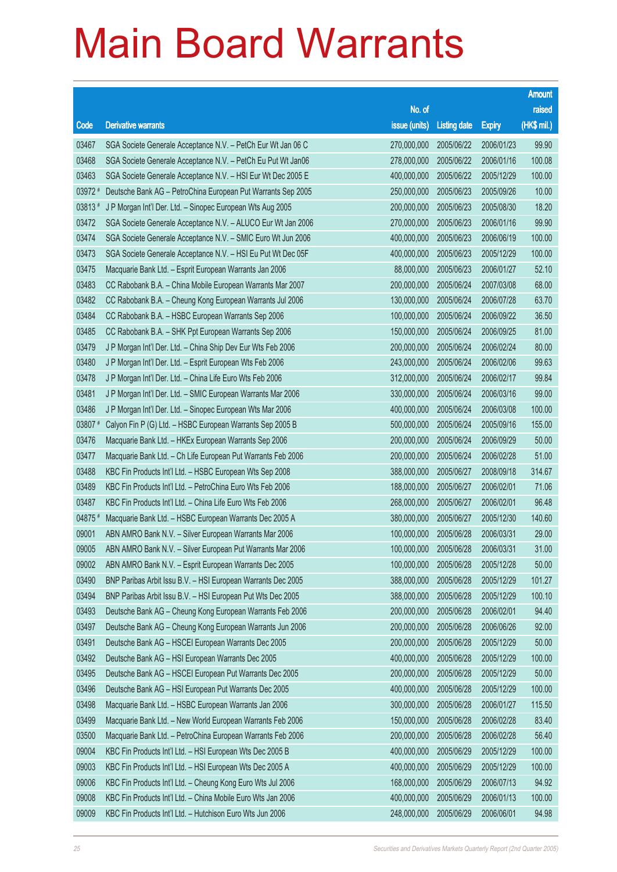|         |                                                              |               |                     |               | <b>Amount</b> |
|---------|--------------------------------------------------------------|---------------|---------------------|---------------|---------------|
|         |                                                              | No. of        |                     |               | raised        |
| Code    | <b>Derivative warrants</b>                                   | issue (units) | <b>Listing date</b> | <b>Expiry</b> | (HK\$ mil.)   |
| 03467   | SGA Societe Generale Acceptance N.V. - PetCh Eur Wt Jan 06 C | 270,000,000   | 2005/06/22          | 2006/01/23    | 99.90         |
| 03468   | SGA Societe Generale Acceptance N.V. - PetCh Eu Put Wt Jan06 | 278,000,000   | 2005/06/22          | 2006/01/16    | 100.08        |
| 03463   | SGA Societe Generale Acceptance N.V. - HSI Eur Wt Dec 2005 E | 400,000,000   | 2005/06/22          | 2005/12/29    | 100.00        |
| 03972 # | Deutsche Bank AG - PetroChina European Put Warrants Sep 2005 | 250,000,000   | 2005/06/23          | 2005/09/26    | 10.00         |
| 03813#  | J P Morgan Int'l Der. Ltd. - Sinopec European Wts Aug 2005   | 200,000,000   | 2005/06/23          | 2005/08/30    | 18.20         |
| 03472   | SGA Societe Generale Acceptance N.V. - ALUCO Eur Wt Jan 2006 | 270,000,000   | 2005/06/23          | 2006/01/16    | 99.90         |
| 03474   | SGA Societe Generale Acceptance N.V. - SMIC Euro Wt Jun 2006 | 400,000,000   | 2005/06/23          | 2006/06/19    | 100.00        |
| 03473   | SGA Societe Generale Acceptance N.V. - HSI Eu Put Wt Dec 05F | 400,000,000   | 2005/06/23          | 2005/12/29    | 100.00        |
| 03475   | Macquarie Bank Ltd. - Esprit European Warrants Jan 2006      | 88,000,000    | 2005/06/23          | 2006/01/27    | 52.10         |
| 03483   | CC Rabobank B.A. - China Mobile European Warrants Mar 2007   | 200,000,000   | 2005/06/24          | 2007/03/08    | 68.00         |
| 03482   | CC Rabobank B.A. - Cheung Kong European Warrants Jul 2006    | 130,000,000   | 2005/06/24          | 2006/07/28    | 63.70         |
| 03484   | CC Rabobank B.A. - HSBC European Warrants Sep 2006           | 100,000,000   | 2005/06/24          | 2006/09/22    | 36.50         |
| 03485   | CC Rabobank B.A. - SHK Ppt European Warrants Sep 2006        | 150,000,000   | 2005/06/24          | 2006/09/25    | 81.00         |
| 03479   | J P Morgan Int'l Der. Ltd. - China Ship Dev Eur Wts Feb 2006 | 200,000,000   | 2005/06/24          | 2006/02/24    | 80.00         |
| 03480   | J P Morgan Int'l Der. Ltd. - Esprit European Wts Feb 2006    | 243,000,000   | 2005/06/24          | 2006/02/06    | 99.63         |
| 03478   | J P Morgan Int'l Der. Ltd. - China Life Euro Wts Feb 2006    | 312,000,000   | 2005/06/24          | 2006/02/17    | 99.84         |
| 03481   | J P Morgan Int'l Der. Ltd. - SMIC European Warrants Mar 2006 | 330,000,000   | 2005/06/24          | 2006/03/16    | 99.00         |
| 03486   | J P Morgan Int'l Der. Ltd. - Sinopec European Wts Mar 2006   | 400,000,000   | 2005/06/24          | 2006/03/08    | 100.00        |
| 03807 # | Calyon Fin P (G) Ltd. - HSBC European Warrants Sep 2005 B    | 500,000,000   | 2005/06/24          | 2005/09/16    | 155.00        |
| 03476   | Macquarie Bank Ltd. - HKEx European Warrants Sep 2006        | 200,000,000   | 2005/06/24          | 2006/09/29    | 50.00         |
| 03477   | Macquarie Bank Ltd. - Ch Life European Put Warrants Feb 2006 | 200,000,000   | 2005/06/24          | 2006/02/28    | 51.00         |
| 03488   | KBC Fin Products Int'l Ltd. - HSBC European Wts Sep 2008     | 388,000,000   | 2005/06/27          | 2008/09/18    | 314.67        |
| 03489   | KBC Fin Products Int'l Ltd. - PetroChina Euro Wts Feb 2006   | 188,000,000   | 2005/06/27          | 2006/02/01    | 71.06         |
| 03487   | KBC Fin Products Int'l Ltd. - China Life Euro Wts Feb 2006   | 268,000,000   | 2005/06/27          | 2006/02/01    | 96.48         |
| 04875 # | Macquarie Bank Ltd. - HSBC European Warrants Dec 2005 A      | 380,000,000   | 2005/06/27          | 2005/12/30    | 140.60        |
| 09001   | ABN AMRO Bank N.V. - Silver European Warrants Mar 2006       | 100,000,000   | 2005/06/28          | 2006/03/31    | 29.00         |
| 09005   | ABN AMRO Bank N.V. - Silver European Put Warrants Mar 2006   | 100,000,000   | 2005/06/28          | 2006/03/31    | 31.00         |
| 09002   | ABN AMRO Bank N.V. - Esprit European Warrants Dec 2005       | 100,000,000   | 2005/06/28          | 2005/12/28    | 50.00         |
| 03490   | BNP Paribas Arbit Issu B.V. - HSI European Warrants Dec 2005 | 388,000,000   | 2005/06/28          | 2005/12/29    | 101.27        |
| 03494   | BNP Paribas Arbit Issu B.V. - HSI European Put Wts Dec 2005  | 388,000,000   | 2005/06/28          | 2005/12/29    | 100.10        |
| 03493   | Deutsche Bank AG - Cheung Kong European Warrants Feb 2006    | 200,000,000   | 2005/06/28          | 2006/02/01    | 94.40         |
| 03497   | Deutsche Bank AG - Cheung Kong European Warrants Jun 2006    | 200,000,000   | 2005/06/28          | 2006/06/26    | 92.00         |
| 03491   | Deutsche Bank AG - HSCEI European Warrants Dec 2005          | 200,000,000   | 2005/06/28          | 2005/12/29    | 50.00         |
| 03492   | Deutsche Bank AG - HSI European Warrants Dec 2005            | 400,000,000   | 2005/06/28          | 2005/12/29    | 100.00        |
| 03495   | Deutsche Bank AG - HSCEI European Put Warrants Dec 2005      | 200,000,000   | 2005/06/28          | 2005/12/29    | 50.00         |
| 03496   | Deutsche Bank AG - HSI European Put Warrants Dec 2005        | 400,000,000   | 2005/06/28          | 2005/12/29    | 100.00        |
| 03498   | Macquarie Bank Ltd. - HSBC European Warrants Jan 2006        | 300,000,000   | 2005/06/28          | 2006/01/27    | 115.50        |
| 03499   | Macquarie Bank Ltd. - New World European Warrants Feb 2006   | 150,000,000   | 2005/06/28          | 2006/02/28    | 83.40         |
| 03500   | Macquarie Bank Ltd. - PetroChina European Warrants Feb 2006  | 200,000,000   | 2005/06/28          | 2006/02/28    | 56.40         |
| 09004   | KBC Fin Products Int'l Ltd. - HSI European Wts Dec 2005 B    | 400,000,000   | 2005/06/29          | 2005/12/29    | 100.00        |
| 09003   | KBC Fin Products Int'l Ltd. - HSI European Wts Dec 2005 A    | 400,000,000   | 2005/06/29          | 2005/12/29    | 100.00        |
| 09006   | KBC Fin Products Int'l Ltd. - Cheung Kong Euro Wts Jul 2006  | 168,000,000   | 2005/06/29          | 2006/07/13    | 94.92         |
| 09008   | KBC Fin Products Int'l Ltd. - China Mobile Euro Wts Jan 2006 | 400,000,000   | 2005/06/29          | 2006/01/13    | 100.00        |
| 09009   | KBC Fin Products Int'l Ltd. - Hutchison Euro Wts Jun 2006    | 248,000,000   | 2005/06/29          | 2006/06/01    | 94.98         |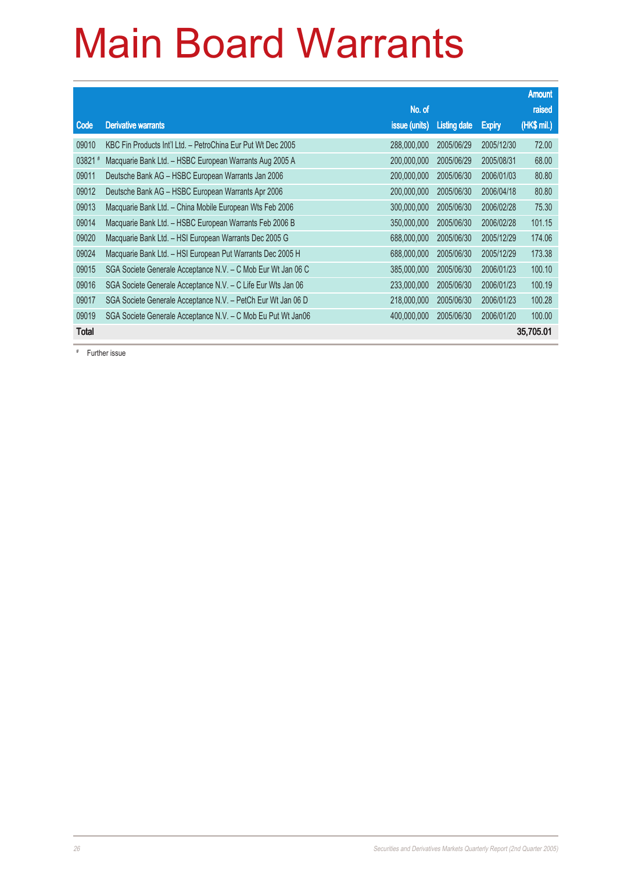|              |                                                              |               |                     |               | <b>Amount</b> |
|--------------|--------------------------------------------------------------|---------------|---------------------|---------------|---------------|
|              |                                                              | No. of        |                     |               | raised        |
| Code         | <b>Derivative warrants</b>                                   | issue (units) | <b>Listing date</b> | <b>Expiry</b> | (HK\$ mil.)   |
| 09010        | KBC Fin Products Int'l Ltd. - PetroChina Eur Put Wt Dec 2005 | 288,000,000   | 2005/06/29          | 2005/12/30    | 72.00         |
| 03821        | Macquarie Bank Ltd. - HSBC European Warrants Aug 2005 A      | 200,000,000   | 2005/06/29          | 2005/08/31    | 68,00         |
| 09011        | Deutsche Bank AG - HSBC European Warrants Jan 2006           | 200,000,000   | 2005/06/30          | 2006/01/03    | 80.80         |
| 09012        | Deutsche Bank AG - HSBC European Warrants Apr 2006           | 200,000,000   | 2005/06/30          | 2006/04/18    | 80.80         |
| 09013        | Macquarie Bank Ltd. - China Mobile European Wts Feb 2006     | 300,000,000   | 2005/06/30          | 2006/02/28    | 75.30         |
| 09014        | Macquarie Bank Ltd. - HSBC European Warrants Feb 2006 B      | 350,000,000   | 2005/06/30          | 2006/02/28    | 101.15        |
| 09020        | Macquarie Bank Ltd. - HSI European Warrants Dec 2005 G       | 688,000,000   | 2005/06/30          | 2005/12/29    | 174.06        |
| 09024        | Macquarie Bank Ltd. - HSI European Put Warrants Dec 2005 H   | 688,000,000   | 2005/06/30          | 2005/12/29    | 173.38        |
| 09015        | SGA Societe Generale Acceptance N.V. - C Mob Eur Wt Jan 06 C | 385,000,000   | 2005/06/30          | 2006/01/23    | 100.10        |
| 09016        | SGA Societe Generale Acceptance N.V. - C Life Eur Wts Jan 06 | 233,000,000   | 2005/06/30          | 2006/01/23    | 100.19        |
| 09017        | SGA Societe Generale Acceptance N.V. - PetCh Eur Wt Jan 06 D | 218,000,000   | 2005/06/30          | 2006/01/23    | 100.28        |
| 09019        | SGA Societe Generale Acceptance N.V. - C Mob Eu Put Wt Jan06 | 400,000,000   | 2005/06/30          | 2006/01/20    | 100.00        |
| <b>Total</b> |                                                              |               |                     |               | 35,705.01     |

# Further issue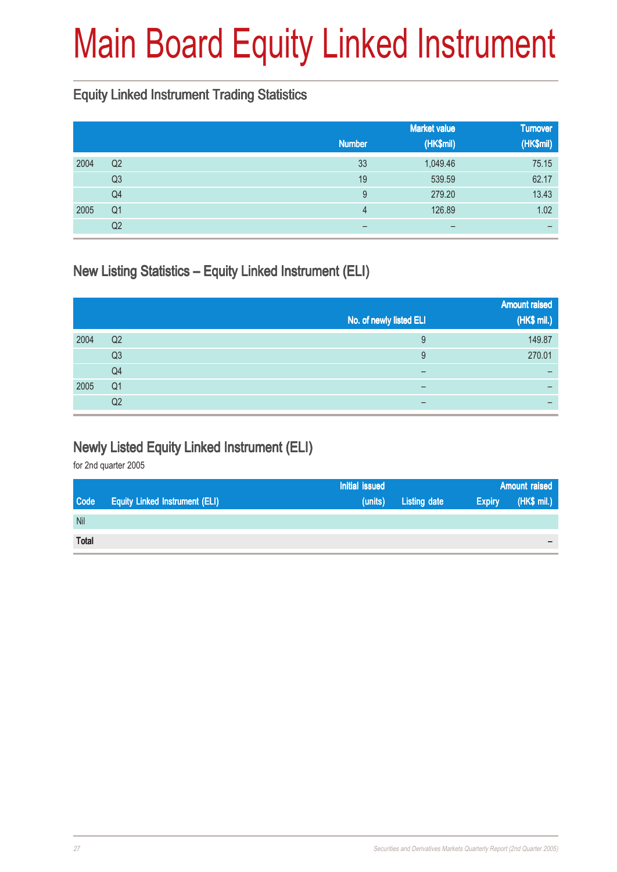# Main Board Equity Linked Instrument

#### Equity Linked Instrument Trading Statistics

|      |                |                | <b>Market value</b> | <b>Turnover</b> |
|------|----------------|----------------|---------------------|-----------------|
|      |                | <b>Number</b>  | (HK\$mil)           | (HK\$mil)       |
| 2004 | Q <sub>2</sub> | 33             | 1,049.46            | 75.15           |
|      | Q <sub>3</sub> | 19             | 539.59              | 62.17           |
|      | Q <sub>4</sub> | 9              | 279.20              | 13.43           |
| 2005 | Q <sub>1</sub> | $\overline{4}$ | 126.89              | 1.02            |
|      | Q2             | –              | -                   |                 |

### New Listing Statistics – Equity Linked Instrument (ELI)

|      |                |                         | <b>Amount raised</b> |
|------|----------------|-------------------------|----------------------|
|      |                | No. of newly listed ELI | (HK\$ mil.)          |
| 2004 | Q <sub>2</sub> | 9                       | 149.87               |
|      | Q <sub>3</sub> | 9                       | 270.01               |
|      | Q <sub>4</sub> | -                       |                      |
| 2005 | Q <sub>1</sub> |                         | –                    |
|      | Q <sub>2</sub> | -                       |                      |

#### Newly Listed Equity Linked Instrument (ELI)

|              |                                       | Initial issued |              | <b>Amount raised</b> |             |
|--------------|---------------------------------------|----------------|--------------|----------------------|-------------|
| Code         | <b>Equity Linked Instrument (ELI)</b> | (units)        | Listing date | <b>Expiry</b>        | (HK\$ mil.) |
| <b>Nil</b>   |                                       |                |              |                      |             |
| <b>Total</b> |                                       |                |              |                      | $\,$        |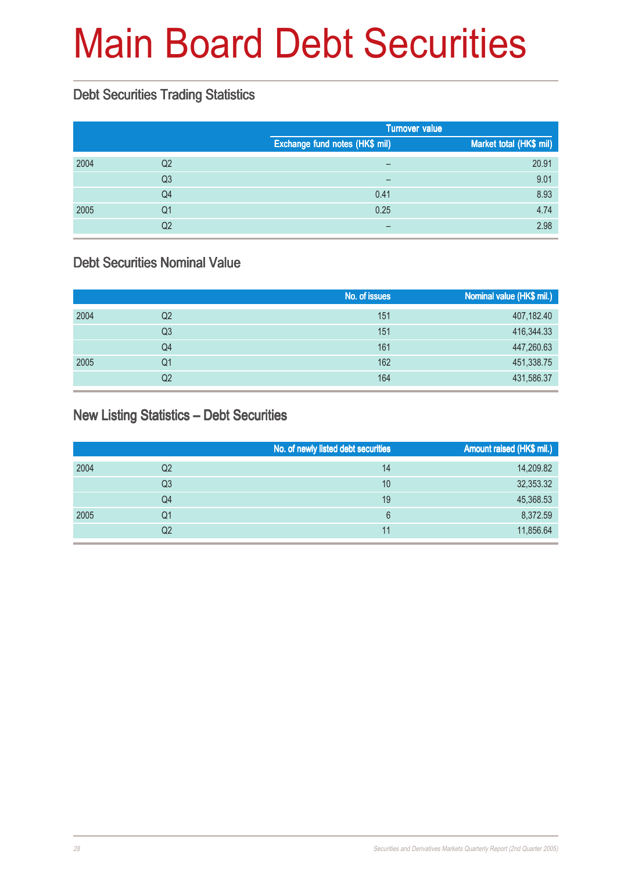# Main Board Debt Securities

#### Debt Securities Trading Statistics

|      |                |                                | <b>Turnover value</b>   |
|------|----------------|--------------------------------|-------------------------|
|      |                | Exchange fund notes (HK\$ mil) | Market total (HK\$ mil) |
| 2004 | Q <sub>2</sub> | $\qquad \qquad$                | 20.91                   |
|      | Q <sub>3</sub> | $\overline{\phantom{0}}$       | 9.01                    |
|      | Q4             | 0.41                           | 8.93                    |
| 2005 | Q <sub>1</sub> | 0.25                           | 4.74                    |
|      | Q2             |                                | 2.98                    |

#### Debt Securities Nominal Value

|      |    | No. of issues | Nominal value (HK\$ mil.) |
|------|----|---------------|---------------------------|
| 2004 | Q2 | 151           | 407,182.40                |
|      | Q3 | 151           | 416,344.33                |
|      | Q4 | 161           | 447,260.63                |
| 2005 | Q1 | 162           | 451,338.75                |
|      | Q2 | 164           | 431,586.37                |

#### New Listing Statistics – Debt Securities

|      |                | No. of newly listed debt securities | Amount raised (HK\$ mil.) |
|------|----------------|-------------------------------------|---------------------------|
| 2004 | Q <sub>2</sub> | 14                                  | 14,209.82                 |
|      | Q <sub>3</sub> | 10                                  | 32,353.32                 |
|      | Q <sub>4</sub> | 19                                  | 45,368.53                 |
| 2005 | Q1             | 6                                   | 8,372.59                  |
|      | Q2             | 11                                  | 11,856.64                 |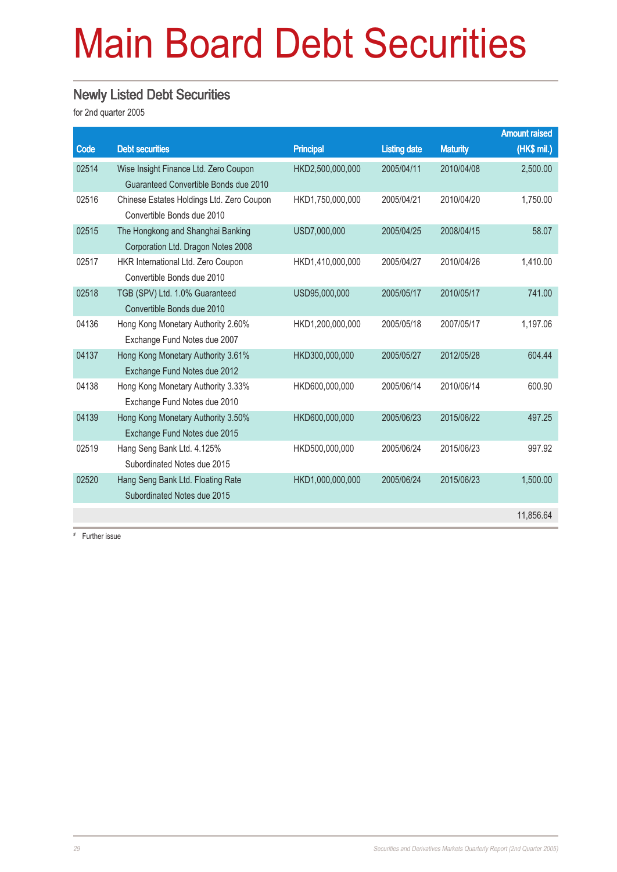# Main Board Debt Securities

#### Newly Listed Debt Securities

for 2nd quarter 2005

|       |                                           |                  |                     |                 | <b>Amount raised</b> |
|-------|-------------------------------------------|------------------|---------------------|-----------------|----------------------|
| Code  | <b>Debt securities</b>                    | <b>Principal</b> | <b>Listing date</b> | <b>Maturity</b> | (HK\$ mil.)          |
| 02514 | Wise Insight Finance Ltd. Zero Coupon     | HKD2,500,000,000 | 2005/04/11          | 2010/04/08      | 2,500.00             |
|       | Guaranteed Convertible Bonds due 2010     |                  |                     |                 |                      |
| 02516 | Chinese Estates Holdings Ltd. Zero Coupon | HKD1,750,000,000 | 2005/04/21          | 2010/04/20      | 1,750.00             |
|       | Convertible Bonds due 2010                |                  |                     |                 |                      |
| 02515 | The Hongkong and Shanghai Banking         | USD7,000,000     | 2005/04/25          | 2008/04/15      | 58.07                |
|       | Corporation Ltd. Dragon Notes 2008        |                  |                     |                 |                      |
| 02517 | HKR International Ltd. Zero Coupon        | HKD1,410,000,000 | 2005/04/27          | 2010/04/26      | 1,410.00             |
|       | Convertible Bonds due 2010                |                  |                     |                 |                      |
| 02518 | TGB (SPV) Ltd. 1.0% Guaranteed            | USD95,000,000    | 2005/05/17          | 2010/05/17      | 741.00               |
|       | Convertible Bonds due 2010                |                  |                     |                 |                      |
| 04136 | Hong Kong Monetary Authority 2.60%        | HKD1,200,000,000 | 2005/05/18          | 2007/05/17      | 1,197.06             |
|       | Exchange Fund Notes due 2007              |                  |                     |                 |                      |
| 04137 | Hong Kong Monetary Authority 3.61%        | HKD300,000,000   | 2005/05/27          | 2012/05/28      | 604.44               |
|       | Exchange Fund Notes due 2012              |                  |                     |                 |                      |
| 04138 | Hong Kong Monetary Authority 3.33%        | HKD600,000,000   | 2005/06/14          | 2010/06/14      | 600.90               |
|       | Exchange Fund Notes due 2010              |                  |                     |                 |                      |
| 04139 | Hong Kong Monetary Authority 3.50%        | HKD600,000,000   | 2005/06/23          | 2015/06/22      | 497.25               |
|       | Exchange Fund Notes due 2015              |                  |                     |                 |                      |
| 02519 | Hang Seng Bank Ltd. 4.125%                | HKD500,000,000   | 2005/06/24          | 2015/06/23      | 997.92               |
|       | Subordinated Notes due 2015               |                  |                     |                 |                      |
| 02520 | Hang Seng Bank Ltd. Floating Rate         | HKD1,000,000,000 | 2005/06/24          | 2015/06/23      | 1,500.00             |
|       | Subordinated Notes due 2015               |                  |                     |                 |                      |
|       |                                           |                  |                     |                 | 11,856.64            |

# Further issue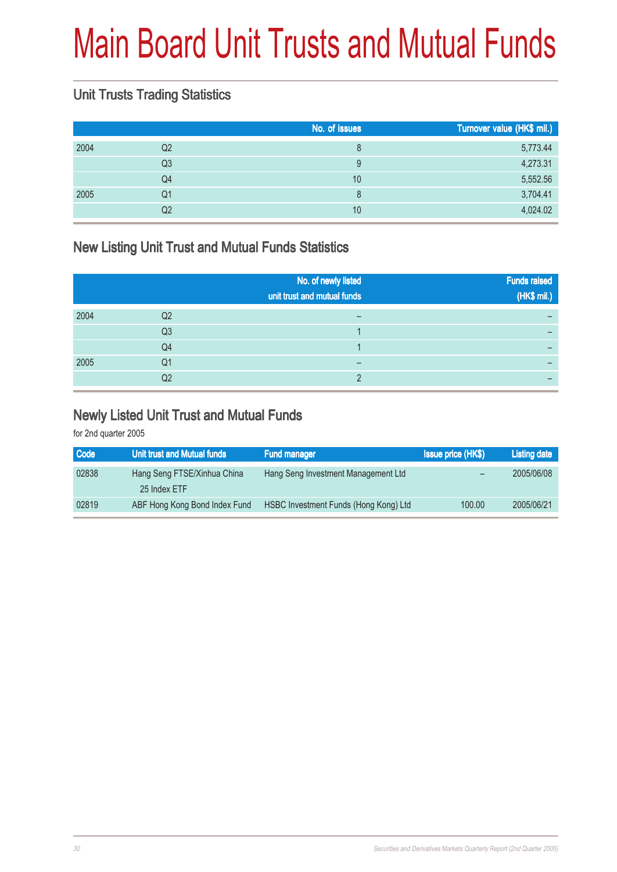## Main Board Unit Trusts and Mutual Funds

### Unit Trusts Trading Statistics

|      |                | No. of issues | Turnover value (HK\$ mil.) |
|------|----------------|---------------|----------------------------|
| 2004 | Q <sub>2</sub> | 8             | 5,773.44                   |
|      | Q <sub>3</sub> | 9             | 4,273.31                   |
|      | Q4             | 10            | 5,552.56                   |
| 2005 | Q1             | 8             | 3,704.41                   |
|      | Q <sub>2</sub> | 10            | 4,024.02                   |

### New Listing Unit Trust and Mutual Funds Statistics

|      |                | No. of newly listed<br>unit trust and mutual funds | <b>Funds raised</b><br>(HK\$ mil.) |
|------|----------------|----------------------------------------------------|------------------------------------|
| 2004 | Q2             |                                                    |                                    |
|      | Q <sub>3</sub> |                                                    |                                    |
|      | Q4             |                                                    |                                    |
| 2005 | Q1             | –                                                  |                                    |
|      | Q2             |                                                    |                                    |

#### Newly Listed Unit Trust and Mutual Funds

| Code  | Unit trust and Mutual funds   | <b>Fund manager</b>                   | <b>Issue price (HK\$)</b> | <b>Listing date</b> |
|-------|-------------------------------|---------------------------------------|---------------------------|---------------------|
| 02838 | Hang Seng FTSE/Xinhua China   | Hang Seng Investment Management Ltd   |                           | 2005/06/08          |
|       | 25 Index ETF                  |                                       |                           |                     |
| 02819 | ABF Hong Kong Bond Index Fund | HSBC Investment Funds (Hong Kong) Ltd | 100.00                    | 2005/06/21          |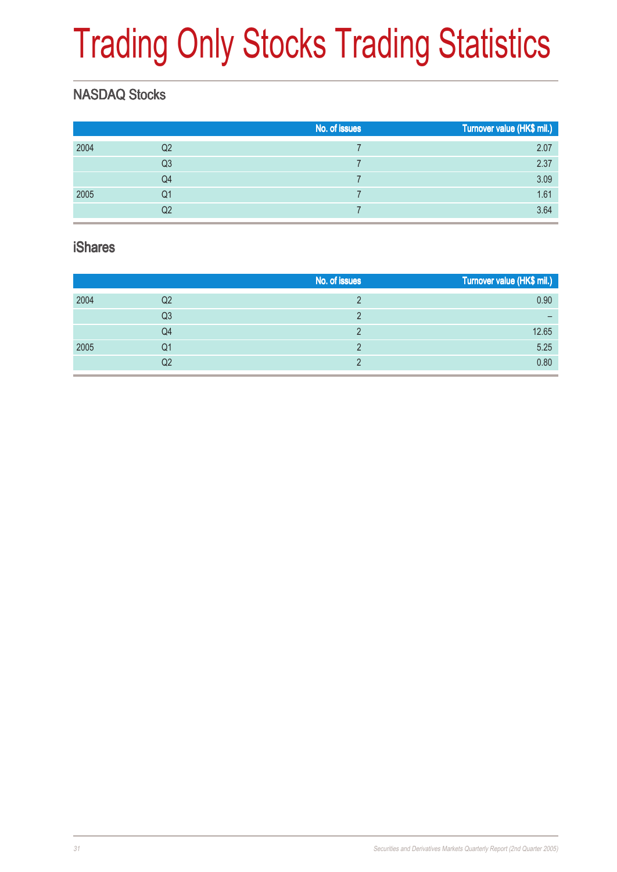# Trading Only Stocks Trading Statistics

### NASDAQ Stocks

|      |                | No. of issues | Turnover value (HK\$ mil.) |
|------|----------------|---------------|----------------------------|
| 2004 | Q <sub>2</sub> |               | 2.07                       |
|      | Q <sub>3</sub> |               | 2.37                       |
|      | Q4             |               | 3.09                       |
| 2005 | Q1             |               | 1.61                       |
|      | Q2             |               | 3.64                       |

#### iShares

|      |                | No. of issues | Turnover value (HK\$ mil.) |
|------|----------------|---------------|----------------------------|
| 2004 | Q2             |               | 0.90                       |
|      | Q <sub>3</sub> |               |                            |
|      | Q4             |               | 12.65                      |
| 2005 | Q1             |               | 5.25                       |
|      | Q2             |               | 0.80                       |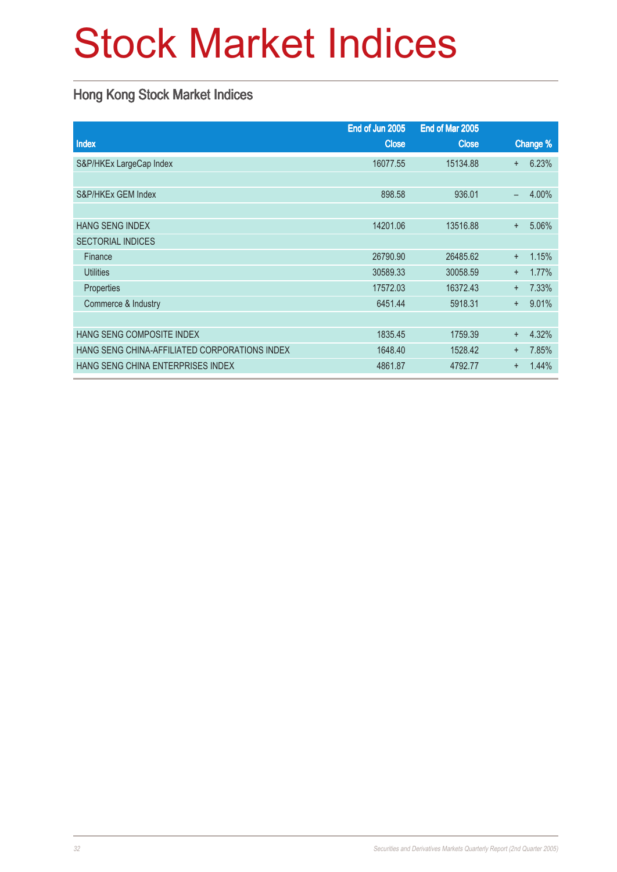## Stock Market Indices

### Hong Kong Stock Market Indices

|                                               | End of Jun 2005 | End of Mar 2005 |           |          |
|-----------------------------------------------|-----------------|-----------------|-----------|----------|
| <b>Index</b>                                  | <b>Close</b>    | <b>Close</b>    |           | Change % |
| S&P/HKEx LargeCap Index                       | 16077.55        | 15134.88        | $+$       | 6.23%    |
|                                               |                 |                 |           |          |
| S&P/HKEx GEM Index                            | 898.58          | 936.01          | —         | 4.00%    |
|                                               |                 |                 |           |          |
| <b>HANG SENG INDEX</b>                        | 14201.06        | 13516.88        | $\ddot{}$ | 5.06%    |
| <b>SECTORIAL INDICES</b>                      |                 |                 |           |          |
| Finance                                       | 26790.90        | 26485.62        | $+$       | 1.15%    |
| <b>Utilities</b>                              | 30589.33        | 30058.59        | $+$       | 1.77%    |
| Properties                                    | 17572.03        | 16372.43        | $+$       | 7.33%    |
| Commerce & Industry                           | 6451.44         | 5918.31         | $+$       | 9.01%    |
|                                               |                 |                 |           |          |
| HANG SENG COMPOSITE INDEX                     | 1835.45         | 1759.39         | $\ddot{}$ | 4.32%    |
| HANG SENG CHINA-AFFILIATED CORPORATIONS INDEX | 1648.40         | 1528.42         | $+$       | 7.85%    |
| HANG SENG CHINA ENTERPRISES INDEX             | 4861.87         | 4792.77         | $\ddot{}$ | 1.44%    |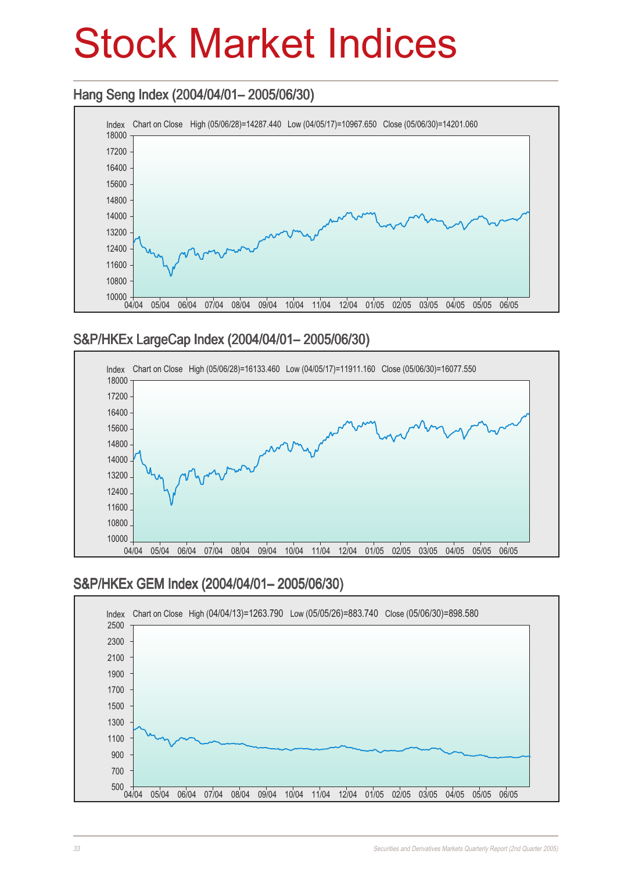### Stock Market Indices

### Hang Seng Index (2004/04/01– 2005/06/30) Hang Seng (2004/04/01– 2005/06/30)



#### S&P/HKEx LargeCap Index (2004/04/01– 2005/06/30)



#### S&P/HKEx GEM Index (2004/04/01– 2005/06/30)

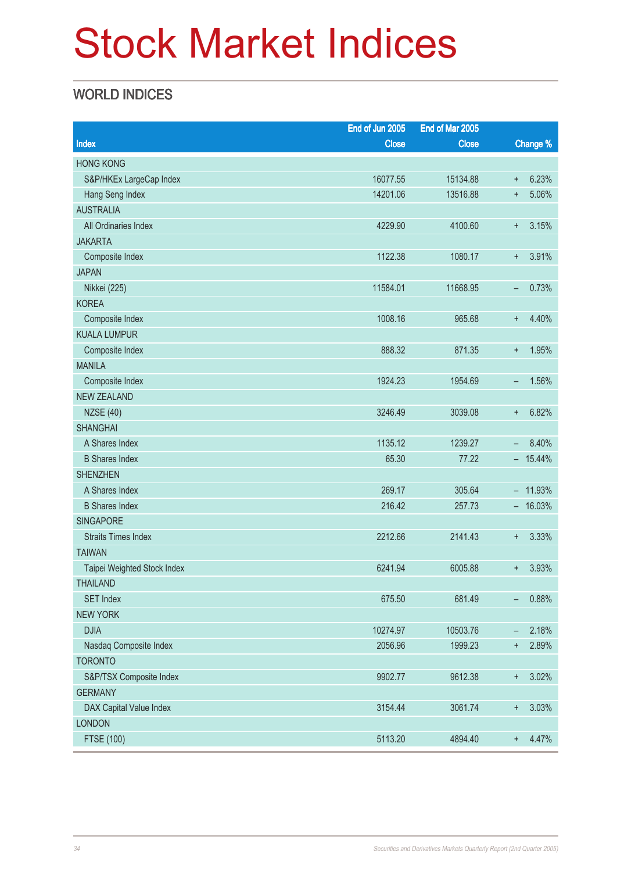## Stock Market Indices

### WORLD INDICES

|                             | End of Jun 2005 | End of Mar 2005 |                          |           |
|-----------------------------|-----------------|-----------------|--------------------------|-----------|
| <b>Index</b>                | <b>Close</b>    | <b>Close</b>    |                          | Change %  |
| <b>HONG KONG</b>            |                 |                 |                          |           |
| S&P/HKEx LargeCap Index     | 16077.55        | 15134.88        | $\ddagger$               | 6.23%     |
| Hang Seng Index             | 14201.06        | 13516.88        | $\ddot{}$                | 5.06%     |
| <b>AUSTRALIA</b>            |                 |                 |                          |           |
| All Ordinaries Index        | 4229.90         | 4100.60         | $\ddot{}$                | 3.15%     |
| <b>JAKARTA</b>              |                 |                 |                          |           |
| Composite Index             | 1122.38         | 1080.17         | $\ddot{}$                | 3.91%     |
| <b>JAPAN</b>                |                 |                 |                          |           |
| Nikkei (225)                | 11584.01        | 11668.95        | -                        | 0.73%     |
| <b>KOREA</b>                |                 |                 |                          |           |
| Composite Index             | 1008.16         | 965.68          | $\ddot{}$                | 4.40%     |
| <b>KUALA LUMPUR</b>         |                 |                 |                          |           |
| Composite Index             | 888.32          | 871.35          | $\ddagger$               | 1.95%     |
| <b>MANILA</b>               |                 |                 |                          |           |
| Composite Index             | 1924.23         | 1954.69         | -                        | 1.56%     |
| <b>NEW ZEALAND</b>          |                 |                 |                          |           |
| <b>NZSE (40)</b>            | 3246.49         | 3039.08         | $\ddagger$               | 6.82%     |
| <b>SHANGHAI</b>             |                 |                 |                          |           |
| A Shares Index              | 1135.12         | 1239.27         | $\overline{\phantom{0}}$ | 8.40%     |
| <b>B</b> Shares Index       | 65.30           | 77.22           |                          | $-15.44%$ |
| <b>SHENZHEN</b>             |                 |                 |                          |           |
| A Shares Index              | 269.17          | 305.64          |                          | $-11.93%$ |
| <b>B</b> Shares Index       | 216.42          | 257.73          |                          | $-16.03%$ |
| <b>SINGAPORE</b>            |                 |                 |                          |           |
| <b>Straits Times Index</b>  | 2212.66         | 2141.43         | $\ddagger$               | 3.33%     |
| <b>TAIWAN</b>               |                 |                 |                          |           |
| Taipei Weighted Stock Index | 6241.94         | 6005.88         | $\ddagger$               | 3.93%     |
| <b>THAILAND</b>             |                 |                 |                          |           |
| <b>SET Index</b>            | 675.50          | 681.49          | -                        | 0.88%     |
| <b>NEW YORK</b>             |                 |                 |                          |           |
| <b>DJIA</b>                 | 10274.97        | 10503.76        | -                        | 2.18%     |
| Nasdaq Composite Index      | 2056.96         | 1999.23         | $\ddagger$               | 2.89%     |
| <b>TORONTO</b>              |                 |                 |                          |           |
| S&P/TSX Composite Index     | 9902.77         | 9612.38         | $\ddagger$               | 3.02%     |
| <b>GERMANY</b>              |                 |                 |                          |           |
| DAX Capital Value Index     | 3154.44         | 3061.74         | $\ddagger$               | 3.03%     |
| <b>LONDON</b>               |                 |                 |                          |           |
| <b>FTSE (100)</b>           | 5113.20         | 4894.40         | $\ddot{}$                | 4.47%     |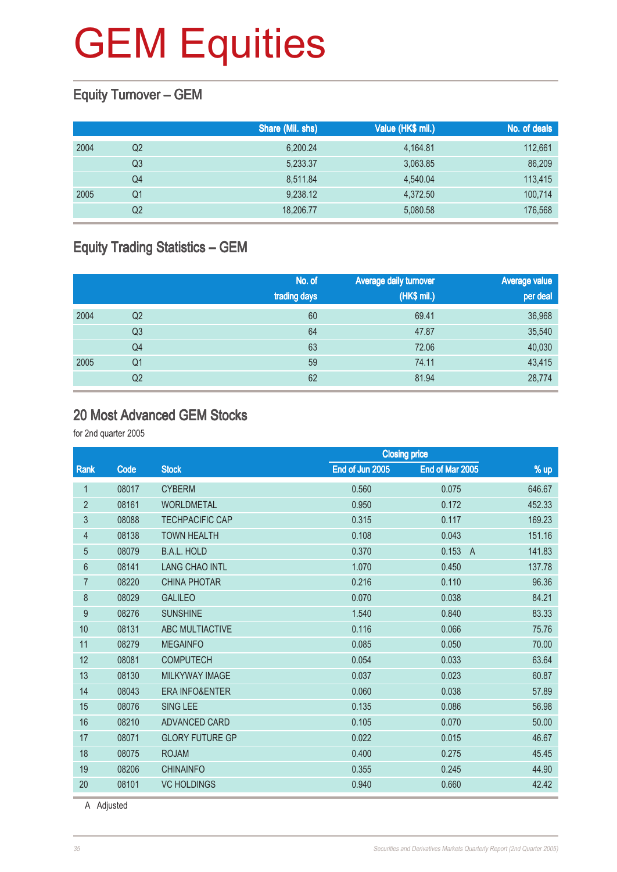### Equity Turnover – GEM

|      |    | Share (Mil. shs) | Value (HK\$ mil.) | No. of deals |
|------|----|------------------|-------------------|--------------|
| 2004 | Q2 | 6,200.24         | 4,164.81          | 112,661      |
|      | Q3 | 5,233.37         | 3,063.85          | 86,209       |
|      | Q4 | 8.511.84         | 4.540.04          | 113,415      |
| 2005 | Q1 | 9,238.12         | 4,372.50          | 100,714      |
|      | Q2 | 18,206.77        | 5,080.58          | 176,568      |

### Equity Trading Statistics – GEM

|      |                | No. of<br>trading days | Average daily turnover<br>(HK\$ mil.) | <b>Average value</b><br>per deal |
|------|----------------|------------------------|---------------------------------------|----------------------------------|
| 2004 | Q <sub>2</sub> | 60                     | 69.41                                 | 36,968                           |
|      | Q3             | 64                     | 47.87                                 | 35,540                           |
|      | Q4             | 63                     | 72.06                                 | 40,030                           |
| 2005 | Q1             | 59                     | 74.11                                 | 43,415                           |
|      | Q2             | 62                     | 81.94                                 | 28,774                           |

#### 20 Most Advanced GEM Stocks

for 2nd quarter 2005

|                |       |                           |                 | <b>Closing price</b>    |        |
|----------------|-------|---------------------------|-----------------|-------------------------|--------|
| Rank           | Code  | <b>Stock</b>              | End of Jun 2005 | End of Mar 2005         | $%$ up |
| 1              | 08017 | <b>CYBERM</b>             | 0.560           | 0.075                   | 646.67 |
| $\overline{2}$ | 08161 | <b>WORLDMETAL</b>         | 0.950           | 0.172                   | 452.33 |
| 3              | 08088 | <b>TECHPACIFIC CAP</b>    | 0.315           | 0.117                   | 169.23 |
| $\overline{4}$ | 08138 | <b>TOWN HEALTH</b>        | 0.108           | 0.043                   | 151.16 |
| 5              | 08079 | <b>B.A.L. HOLD</b>        | 0.370           | 0.153<br>$\overline{A}$ | 141.83 |
| 6              | 08141 | <b>LANG CHAO INTL</b>     | 1.070           | 0.450                   | 137.78 |
| $\overline{7}$ | 08220 | <b>CHINA PHOTAR</b>       | 0.216           | 0.110                   | 96.36  |
| 8              | 08029 | <b>GALILEO</b>            | 0.070           | 0.038                   | 84.21  |
| 9              | 08276 | <b>SUNSHINE</b>           | 1.540           | 0.840                   | 83.33  |
| 10             | 08131 | ABC MULTIACTIVE           | 0.116           | 0.066                   | 75.76  |
| 11             | 08279 | <b>MEGAINFO</b>           | 0.085           | 0.050                   | 70.00  |
| 12             | 08081 | <b>COMPUTECH</b>          | 0.054           | 0.033                   | 63.64  |
| 13             | 08130 | <b>MILKYWAY IMAGE</b>     | 0.037           | 0.023                   | 60.87  |
| 14             | 08043 | <b>ERA INFO&amp;ENTER</b> | 0.060           | 0.038                   | 57.89  |
| 15             | 08076 | <b>SING LEE</b>           | 0.135           | 0.086                   | 56.98  |
| 16             | 08210 | ADVANCED CARD             | 0.105           | 0.070                   | 50.00  |
| 17             | 08071 | <b>GLORY FUTURE GP</b>    | 0.022           | 0.015                   | 46.67  |
| 18             | 08075 | <b>ROJAM</b>              | 0.400           | 0.275                   | 45.45  |
| 19             | 08206 | <b>CHINAINFO</b>          | 0.355           | 0.245                   | 44.90  |
| 20             | 08101 | <b>VC HOLDINGS</b>        | 0.940           | 0.660                   | 42.42  |
|                |       |                           |                 |                         |        |

A Adjusted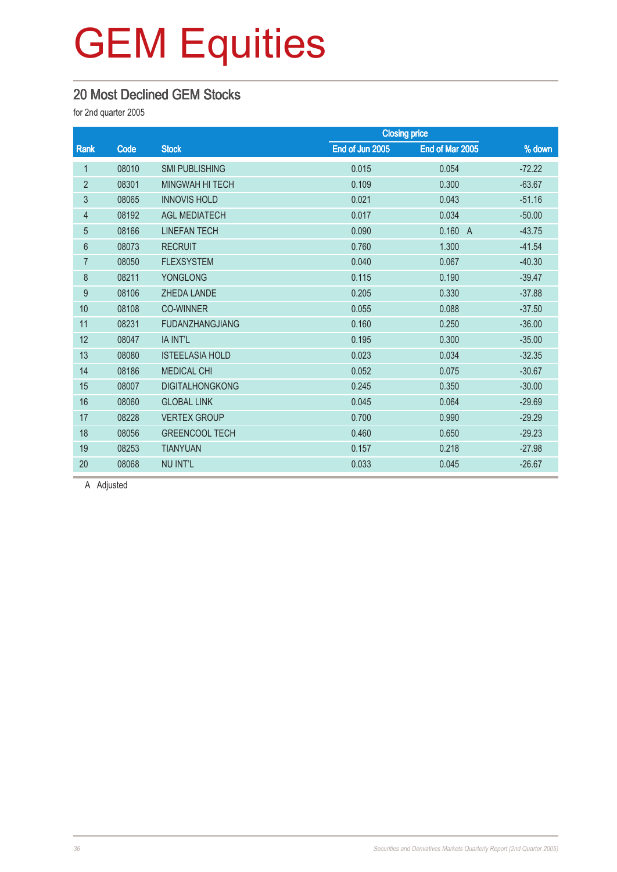### 20 Most Declined GEM Stocks

for 2nd quarter 2005

|                |       |                        | <b>Closing price</b> |                 |          |
|----------------|-------|------------------------|----------------------|-----------------|----------|
| Rank           | Code  | <b>Stock</b>           | End of Jun 2005      | End of Mar 2005 | % down   |
| 1              | 08010 | <b>SMI PUBLISHING</b>  | 0.015                | 0.054           | $-72.22$ |
| $\overline{2}$ | 08301 | <b>MINGWAH HI TECH</b> | 0.109                | 0.300           | $-63.67$ |
| 3              | 08065 | <b>INNOVIS HOLD</b>    | 0.021                | 0.043           | $-51.16$ |
| 4              | 08192 | <b>AGL MEDIATECH</b>   | 0.017                | 0.034           | $-50.00$ |
| $\overline{5}$ | 08166 | <b>LINEFAN TECH</b>    | 0.090                | 0.160 A         | $-43.75$ |
| 6              | 08073 | <b>RECRUIT</b>         | 0.760                | 1.300           | $-41.54$ |
| $\overline{7}$ | 08050 | <b>FLEXSYSTEM</b>      | 0.040                | 0.067           | $-40.30$ |
| 8              | 08211 | <b>YONGLONG</b>        | 0.115                | 0.190           | $-39.47$ |
| 9              | 08106 | <b>ZHEDA LANDE</b>     | 0.205                | 0.330           | $-37.88$ |
| 10             | 08108 | <b>CO-WINNER</b>       | 0.055                | 0.088           | $-37.50$ |
| 11             | 08231 | <b>FUDANZHANGJIANG</b> | 0.160                | 0.250           | $-36.00$ |
| 12             | 08047 | IA INT'L               | 0.195                | 0.300           | $-35.00$ |
| 13             | 08080 | <b>ISTEELASIA HOLD</b> | 0.023                | 0.034           | $-32.35$ |
| 14             | 08186 | <b>MEDICAL CHI</b>     | 0.052                | 0.075           | $-30.67$ |
| 15             | 08007 | <b>DIGITALHONGKONG</b> | 0.245                | 0.350           | $-30.00$ |
| 16             | 08060 | <b>GLOBAL LINK</b>     | 0.045                | 0.064           | $-29.69$ |
| 17             | 08228 | <b>VERTEX GROUP</b>    | 0.700                | 0.990           | $-29.29$ |
| 18             | 08056 | <b>GREENCOOL TECH</b>  | 0.460                | 0.650           | $-29.23$ |
| 19             | 08253 | <b>TIANYUAN</b>        | 0.157                | 0.218           | $-27.98$ |
| 20             | 08068 | <b>NU INT'L</b>        | 0.033                | 0.045           | $-26.67$ |

A Adjusted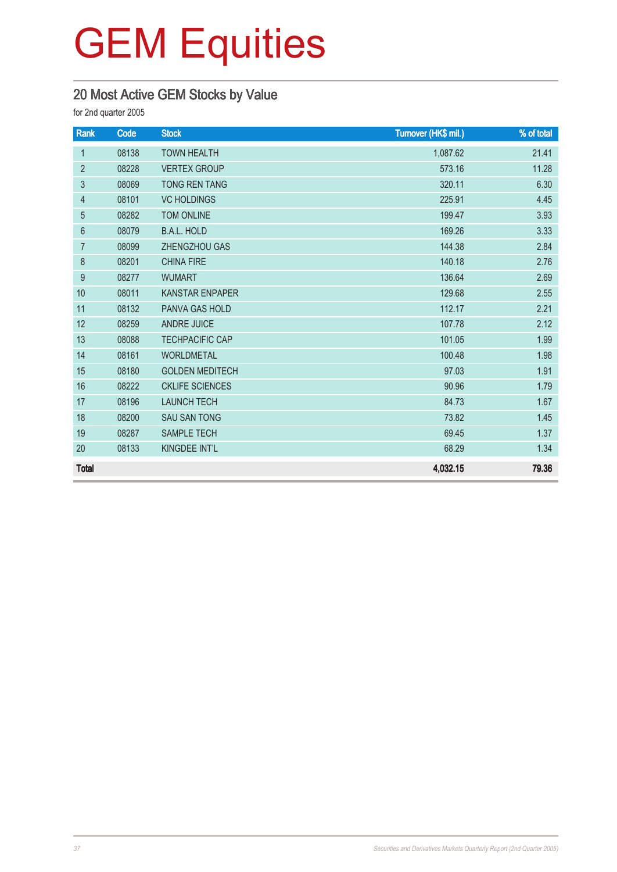### 20 Most Active GEM Stocks by Value

| Rank           | Code  | <b>Stock</b>           | Turnover (HK\$ mil.) | % of total |
|----------------|-------|------------------------|----------------------|------------|
| $\mathbf{1}$   | 08138 | <b>TOWN HEALTH</b>     | 1,087.62             | 21.41      |
| $\overline{2}$ | 08228 | <b>VERTEX GROUP</b>    | 573.16               | 11.28      |
| 3              | 08069 | <b>TONG REN TANG</b>   | 320.11               | 6.30       |
| 4              | 08101 | <b>VC HOLDINGS</b>     | 225.91               | 4.45       |
| 5              | 08282 | <b>TOM ONLINE</b>      | 199.47               | 3.93       |
| $6\,$          | 08079 | <b>B.A.L. HOLD</b>     | 169.26               | 3.33       |
| $\overline{7}$ | 08099 | ZHENGZHOU GAS          | 144.38               | 2.84       |
| 8              | 08201 | <b>CHINA FIRE</b>      | 140.18               | 2.76       |
| 9              | 08277 | <b>WUMART</b>          | 136.64               | 2.69       |
| 10             | 08011 | <b>KANSTAR ENPAPER</b> | 129.68               | 2.55       |
| 11             | 08132 | <b>PANVA GAS HOLD</b>  | 112.17               | 2.21       |
| 12             | 08259 | <b>ANDRE JUICE</b>     | 107.78               | 2.12       |
| 13             | 08088 | <b>TECHPACIFIC CAP</b> | 101.05               | 1.99       |
| 14             | 08161 | <b>WORLDMETAL</b>      | 100.48               | 1.98       |
| 15             | 08180 | <b>GOLDEN MEDITECH</b> | 97.03                | 1.91       |
| 16             | 08222 | <b>CKLIFE SCIENCES</b> | 90.96                | 1.79       |
| 17             | 08196 | <b>LAUNCH TECH</b>     | 84.73                | 1.67       |
| 18             | 08200 | <b>SAU SAN TONG</b>    | 73.82                | 1.45       |
| 19             | 08287 | <b>SAMPLE TECH</b>     | 69.45                | 1.37       |
| 20             | 08133 | KINGDEE INT'L          | 68.29                | 1.34       |
| <b>Total</b>   |       |                        | 4,032.15             | 79.36      |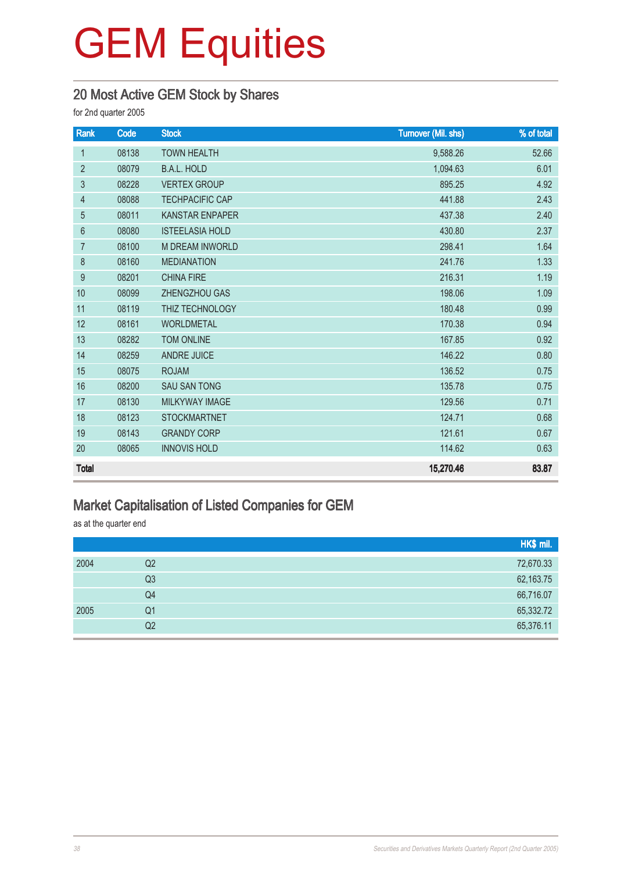#### 20 Most Active GEM Stock by Shares

for 2nd quarter 2005

| Rank           | Code  | <b>Stock</b>           | <b>Turnover (Mil. shs)</b> | % of total |
|----------------|-------|------------------------|----------------------------|------------|
| $\mathbf{1}$   | 08138 | <b>TOWN HEALTH</b>     | 9,588.26                   | 52.66      |
| $\overline{2}$ | 08079 | <b>B.A.L. HOLD</b>     | 1,094.63                   | 6.01       |
| 3              | 08228 | <b>VERTEX GROUP</b>    | 895.25                     | 4.92       |
| 4              | 08088 | <b>TECHPACIFIC CAP</b> | 441.88                     | 2.43       |
| 5              | 08011 | <b>KANSTAR ENPAPER</b> | 437.38                     | 2.40       |
| $6\phantom{1}$ | 08080 | <b>ISTEELASIA HOLD</b> | 430.80                     | 2.37       |
| $\overline{7}$ | 08100 | <b>M DREAM INWORLD</b> | 298.41                     | 1.64       |
| 8              | 08160 | <b>MEDIANATION</b>     | 241.76                     | 1.33       |
| 9              | 08201 | <b>CHINA FIRE</b>      | 216.31                     | 1.19       |
| 10             | 08099 | ZHENGZHOU GAS          | 198.06                     | 1.09       |
| 11             | 08119 | THIZ TECHNOLOGY        | 180.48                     | 0.99       |
| 12             | 08161 | <b>WORLDMETAL</b>      | 170.38                     | 0.94       |
| 13             | 08282 | <b>TOM ONLINE</b>      | 167.85                     | 0.92       |
| 14             | 08259 | <b>ANDRE JUICE</b>     | 146.22                     | 0.80       |
| 15             | 08075 | <b>ROJAM</b>           | 136.52                     | 0.75       |
| 16             | 08200 | <b>SAU SAN TONG</b>    | 135.78                     | 0.75       |
| 17             | 08130 | <b>MILKYWAY IMAGE</b>  | 129.56                     | 0.71       |
| 18             | 08123 | <b>STOCKMARTNET</b>    | 124.71                     | 0.68       |
| 19             | 08143 | <b>GRANDY CORP</b>     | 121.61                     | 0.67       |
| 20             | 08065 | <b>INNOVIS HOLD</b>    | 114.62                     | 0.63       |
| <b>Total</b>   |       |                        | 15,270.46                  | 83.87      |

#### Market Capitalisation of Listed Companies for GEM

as at the quarter end

|      |                | HK\$ mil. |
|------|----------------|-----------|
| 2004 | Q <sub>2</sub> | 72,670.33 |
|      | Q <sub>3</sub> | 62,163.75 |
|      | Q4             | 66,716.07 |
| 2005 | Q <sub>1</sub> | 65,332.72 |
|      | Q <sub>2</sub> | 65,376.11 |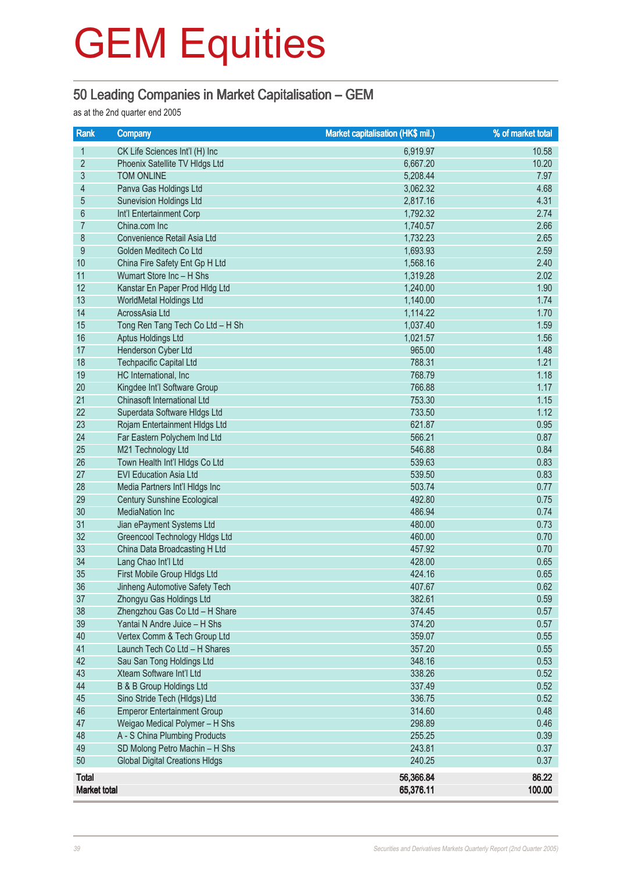#### 50 Leading Companies in Market Capitalisation – GEM

as at the 2nd quarter end 2005

| Rank                | <b>Company</b>                        | <b>Market capitalisation (HK\$ mil.)</b> | % of market total |
|---------------------|---------------------------------------|------------------------------------------|-------------------|
| 1                   | CK Life Sciences Int'l (H) Inc        | 6,919.97                                 | 10.58             |
| $\overline{2}$      | Phoenix Satellite TV Hldgs Ltd        | 6,667.20                                 | 10.20             |
| 3                   | <b>TOM ONLINE</b>                     | 5,208.44                                 | 7.97              |
| 4                   | Panva Gas Holdings Ltd                | 3,062.32                                 | 4.68              |
| 5                   | <b>Sunevision Holdings Ltd</b>        | 2,817.16                                 | 4.31              |
| 6                   | Int'l Entertainment Corp              | 1,792.32                                 | 2.74              |
| 7                   | China.com Inc                         | 1,740.57                                 | 2.66              |
| 8                   | Convenience Retail Asia Ltd           | 1,732.23                                 | 2.65              |
| 9                   | Golden Meditech Co Ltd                | 1,693.93                                 | 2.59              |
| 10                  | China Fire Safety Ent Gp H Ltd        | 1,568.16                                 | 2.40              |
| 11                  | Wumart Store Inc - H Shs              | 1,319.28                                 | 2.02              |
| 12                  | Kanstar En Paper Prod Hldg Ltd        | 1,240.00                                 | 1.90              |
| 13                  | WorldMetal Holdings Ltd               | 1,140.00                                 | 1.74              |
| 14                  | AcrossAsia Ltd                        | 1,114.22                                 | 1.70              |
| 15                  | Tong Ren Tang Tech Co Ltd - H Sh      | 1,037.40                                 | 1.59              |
| 16                  | <b>Aptus Holdings Ltd</b>             | 1,021.57                                 | 1.56              |
| 17                  | Henderson Cyber Ltd                   | 965.00                                   | 1.48              |
| 18                  | <b>Techpacific Capital Ltd</b>        | 788.31                                   | 1.21              |
| 19                  | HC International, Inc                 | 768.79                                   | 1.18              |
| 20                  | Kingdee Int'l Software Group          | 766.88                                   | 1.17              |
| 21                  | Chinasoft International Ltd           | 753.30                                   | 1.15              |
| 22                  | Superdata Software Hldgs Ltd          | 733.50                                   | 1.12              |
| 23                  | Rojam Entertainment HIdgs Ltd         | 621.87                                   | 0.95              |
| 24                  | Far Eastern Polychem Ind Ltd          | 566.21                                   | 0.87              |
| 25                  | M21 Technology Ltd                    | 546.88                                   | 0.84              |
| 26                  | Town Health Int'l Hidgs Co Ltd        | 539.63                                   | 0.83              |
| 27                  | <b>EVI Education Asia Ltd</b>         | 539.50                                   | 0.83              |
| 28                  | Media Partners Int'l HIdgs Inc        | 503.74                                   | 0.77              |
| 29                  | <b>Century Sunshine Ecological</b>    | 492.80                                   | 0.75              |
| 30                  | <b>MediaNation Inc</b>                | 486.94                                   | 0.74              |
| 31                  | Jian ePayment Systems Ltd             | 480.00                                   | 0.73              |
| 32                  | Greencool Technology Hidgs Ltd        | 460.00                                   | 0.70              |
| 33                  | China Data Broadcasting H Ltd         | 457.92                                   | 0.70              |
| 34                  | Lang Chao Int'l Ltd                   | 428.00                                   | 0.65              |
| 35                  | First Mobile Group HIdgs Ltd          | 424.16                                   | 0.65              |
| 36                  | Jinheng Automotive Safety Tech        | 407.67                                   | 0.62              |
| 37                  | Zhongyu Gas Holdings Ltd              | 382.61                                   | 0.59              |
| 38                  | Zhengzhou Gas Co Ltd - H Share        | 374.45                                   | 0.57              |
| 39                  | Yantai N Andre Juice - H Shs          | 374.20                                   | 0.57              |
| 40                  | Vertex Comm & Tech Group Ltd          | 359.07                                   | 0.55              |
| 41                  | Launch Tech Co Ltd - H Shares         | 357.20                                   | 0.55              |
| 42                  | Sau San Tong Holdings Ltd             | 348.16                                   | 0.53              |
| 43                  | Xteam Software Int'l Ltd              | 338.26                                   | 0.52              |
| 44                  | <b>B &amp; B Group Holdings Ltd</b>   | 337.49                                   | 0.52              |
| 45                  | Sino Stride Tech (Hldgs) Ltd          | 336.75                                   | 0.52              |
| 46                  | <b>Emperor Entertainment Group</b>    | 314.60                                   | 0.48              |
| 47                  | Weigao Medical Polymer - H Shs        | 298.89                                   | 0.46              |
| 48                  | A - S China Plumbing Products         | 255.25                                   | 0.39              |
| 49                  | SD Molong Petro Machin - H Shs        | 243.81                                   | 0.37              |
| 50                  | <b>Global Digital Creations HIdgs</b> | 240.25                                   | 0.37              |
| <b>Total</b>        |                                       | 56,366.84                                | 86.22             |
| <b>Market total</b> |                                       | 65,376.11                                | 100.00            |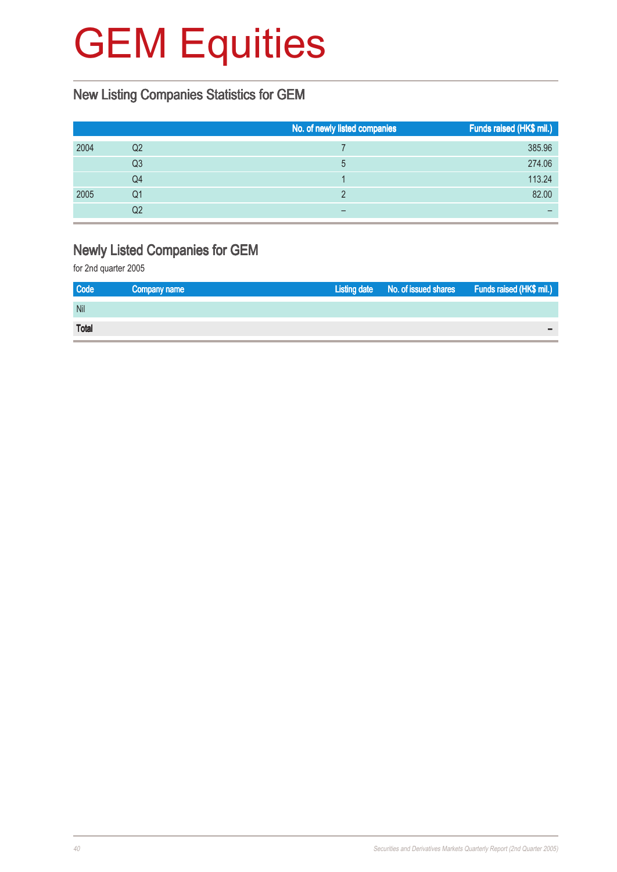#### New Listing Companies Statistics for GEM

|      |    | No. of newly listed companies | Funds raised (HK\$ mil.) |
|------|----|-------------------------------|--------------------------|
| 2004 | Q2 |                               | 385.96                   |
|      | Q3 | 5                             | 274.06                   |
|      | Q4 |                               | 113.24                   |
| 2005 | Q1 |                               | 82.00                    |
|      | Q2 |                               |                          |

#### Newly Listed Companies for GEM

| <b>Code</b>  | Company name | Listing date No. of issued shares Funds raised (HK\$ mil.) |  |
|--------------|--------------|------------------------------------------------------------|--|
| Nil          |              |                                                            |  |
| <b>Total</b> |              |                                                            |  |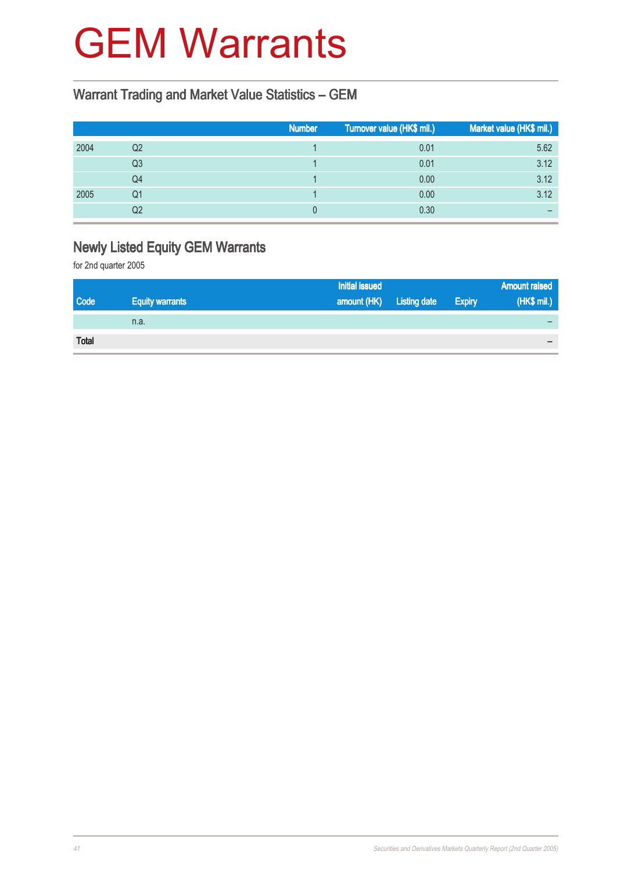### GEM Warrants

### Warrant Trading and Market Value Statistics – GEM

|      |    | <b>Number</b> | Turnover value (HK\$ mil.) | Market value (HK\$ mil.) |
|------|----|---------------|----------------------------|--------------------------|
| 2004 | Q2 |               | 0.01                       | 5.62                     |
|      | Q3 |               | 0.01                       | 3.12                     |
|      | Q4 |               | 0.00                       | 3.12                     |
| 2005 | Q1 |               | 0.00                       | 3.12                     |
|      | Q2 |               | 0.30                       |                          |

### Newly Listed Equity GEM Warrants

|              |                        | <b>Initial issued</b>    |               | <b>Amount raised</b> |
|--------------|------------------------|--------------------------|---------------|----------------------|
| <b>Code</b>  | <b>Equity warrants</b> | amount (HK) Listing date | <b>Expiry</b> | (HK\$ mil.)          |
|              | n.a.                   |                          |               |                      |
| <b>Total</b> |                        |                          |               |                      |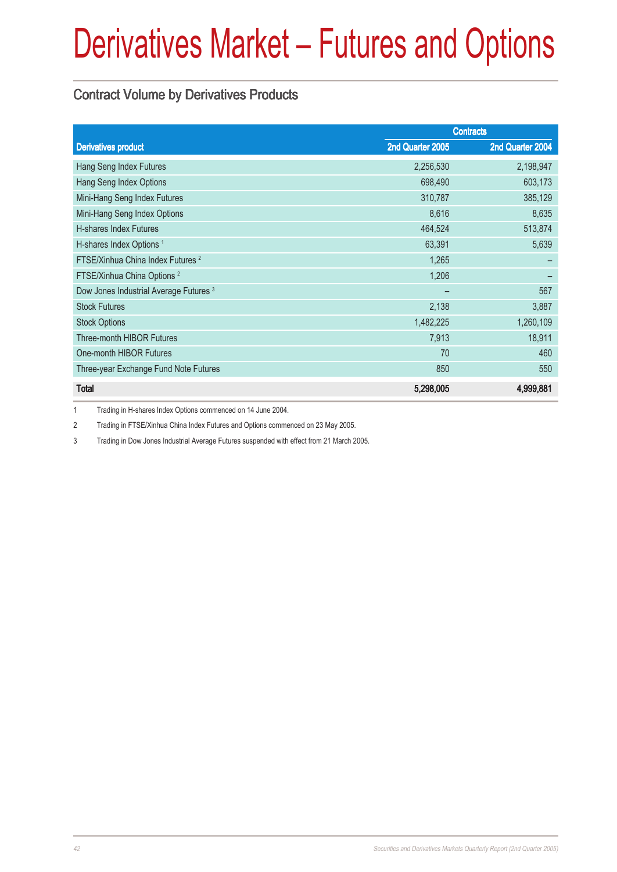#### Contract Volume by Derivatives Products

|                                                   | <b>Contracts</b> |                  |
|---------------------------------------------------|------------------|------------------|
| <b>Derivatives product</b>                        | 2nd Quarter 2005 | 2nd Quarter 2004 |
| Hang Seng Index Futures                           | 2,256,530        | 2,198,947        |
| Hang Seng Index Options                           | 698,490          | 603,173          |
| Mini-Hang Seng Index Futures                      | 310,787          | 385,129          |
| Mini-Hang Seng Index Options                      | 8,616            | 8,635            |
| <b>H-shares Index Futures</b>                     | 464,524          | 513,874          |
| H-shares Index Options <sup>1</sup>               | 63,391           | 5,639            |
| FTSE/Xinhua China Index Futures <sup>2</sup>      | 1,265            |                  |
| FTSE/Xinhua China Options <sup>2</sup>            | 1,206            |                  |
| Dow Jones Industrial Average Futures <sup>3</sup> |                  | 567              |
| <b>Stock Futures</b>                              | 2,138            | 3,887            |
| <b>Stock Options</b>                              | 1,482,225        | 1,260,109        |
| Three-month HIBOR Futures                         | 7,913            | 18,911           |
| One-month HIBOR Futures                           | 70               | 460              |
| Three-year Exchange Fund Note Futures             | 850              | 550              |
| <b>Total</b>                                      | 5,298,005        | 4,999,881        |

1 Trading in H-shares Index Options commenced on 14 June 2004.

2 Trading in FTSE/Xinhua China Index Futures and Options commenced on 23 May 2005.

3 Trading in Dow Jones Industrial Average Futures suspended with effect from 21 March 2005.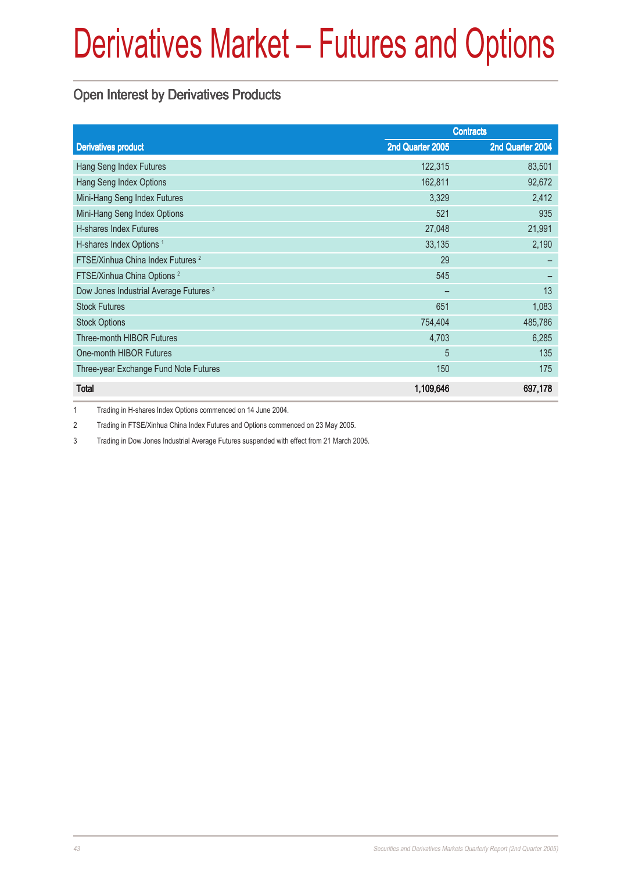### Open Interest by Derivatives Products

|                                                   | <b>Contracts</b> |                  |
|---------------------------------------------------|------------------|------------------|
| <b>Derivatives product</b>                        | 2nd Quarter 2005 | 2nd Quarter 2004 |
| Hang Seng Index Futures                           | 122,315          | 83,501           |
| Hang Seng Index Options                           | 162,811          | 92,672           |
| Mini-Hang Seng Index Futures                      | 3,329            | 2,412            |
| Mini-Hang Seng Index Options                      | 521              | 935              |
| <b>H-shares Index Futures</b>                     | 27,048           | 21,991           |
| H-shares Index Options <sup>1</sup>               | 33,135           | 2,190            |
| FTSE/Xinhua China Index Futures <sup>2</sup>      | 29               |                  |
| FTSE/Xinhua China Options <sup>2</sup>            | 545              |                  |
| Dow Jones Industrial Average Futures <sup>3</sup> |                  | 13               |
| <b>Stock Futures</b>                              | 651              | 1,083            |
| <b>Stock Options</b>                              | 754,404          | 485,786          |
| <b>Three-month HIBOR Futures</b>                  | 4,703            | 6,285            |
| One-month HIBOR Futures                           | 5                | 135              |
| Three-year Exchange Fund Note Futures             | 150              | 175              |
| <b>Total</b>                                      | 1,109,646        | 697,178          |

1 Trading in H-shares Index Options commenced on 14 June 2004.

2 Trading in FTSE/Xinhua China Index Futures and Options commenced on 23 May 2005.

3 Trading in Dow Jones Industrial Average Futures suspended with effect from 21 March 2005.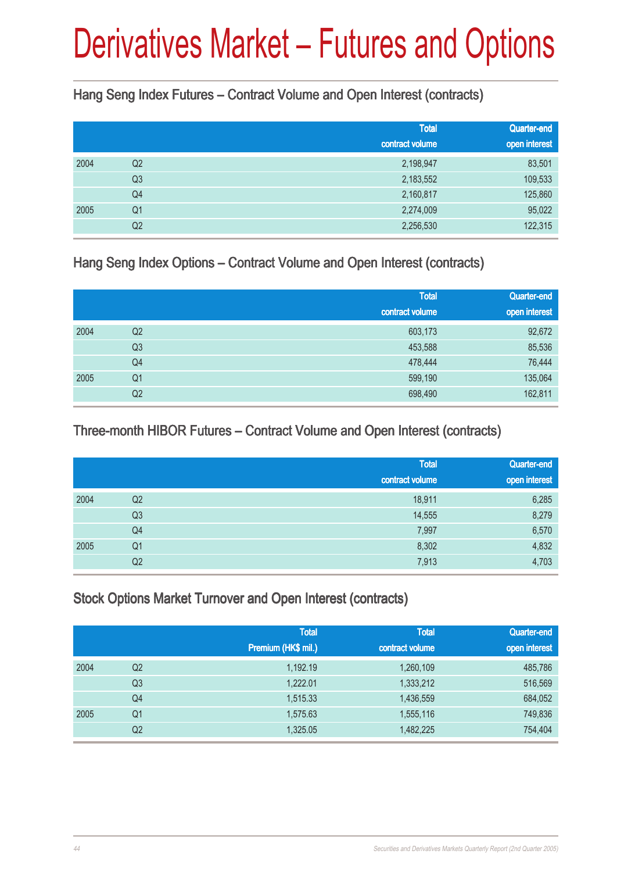Hang Seng Index Futures – Contract Volume and Open Interest (contracts)

|      |                | <b>Total</b><br>contract volume | Quarter-end<br>open interest |
|------|----------------|---------------------------------|------------------------------|
| 2004 | Q2             | 2,198,947                       | 83,501                       |
|      | Q <sub>3</sub> | 2,183,552                       | 109,533                      |
|      | Q4             | 2,160,817                       | 125,860                      |
| 2005 | Q <sub>1</sub> | 2,274,009                       | 95,022                       |
|      | Q <sub>2</sub> | 2,256,530                       | 122,315                      |

Hang Seng Index Options – Contract Volume and Open Interest (contracts)

|      |                | <b>Total</b>    | Quarter-end   |
|------|----------------|-----------------|---------------|
|      |                | contract volume | open interest |
| 2004 | Q2             | 603,173         | 92,672        |
|      | Q <sub>3</sub> | 453,588         | 85,536        |
|      | Q4             | 478,444         | 76,444        |
| 2005 | Q <sub>1</sub> | 599,190         | 135,064       |
|      | Q2             | 698,490         | 162,811       |

### Three-month HIBOR Futures – Contract Volume and Open Interest (contracts)

|      |                | <b>Total</b>    | Quarter-end   |
|------|----------------|-----------------|---------------|
|      |                | contract volume | open interest |
| 2004 | Q <sub>2</sub> | 18,911          | 6,285         |
|      | Q <sub>3</sub> | 14,555          | 8,279         |
|      | Q4             | 7,997           | 6,570         |
| 2005 | Q <sub>1</sub> | 8,302           | 4,832         |
|      | Q <sub>2</sub> | 7,913           | 4,703         |

### Stock Options Market Turnover and Open Interest (contracts)

|      |                | <b>Total</b><br>Premium (HK\$ mil.) | <b>Total</b><br>contract volume | Quarter-end<br>open interest |
|------|----------------|-------------------------------------|---------------------------------|------------------------------|
| 2004 | Q <sub>2</sub> | 1,192.19                            | 1,260,109                       | 485,786                      |
|      | Q <sub>3</sub> | 1.222.01                            | 1,333,212                       | 516,569                      |
|      | Q4             | 1,515.33                            | 1,436,559                       | 684,052                      |
| 2005 | Q <sub>1</sub> | 1,575.63                            | 1,555,116                       | 749,836                      |
|      | Q <sub>2</sub> | 1,325.05                            | 1,482,225                       | 754,404                      |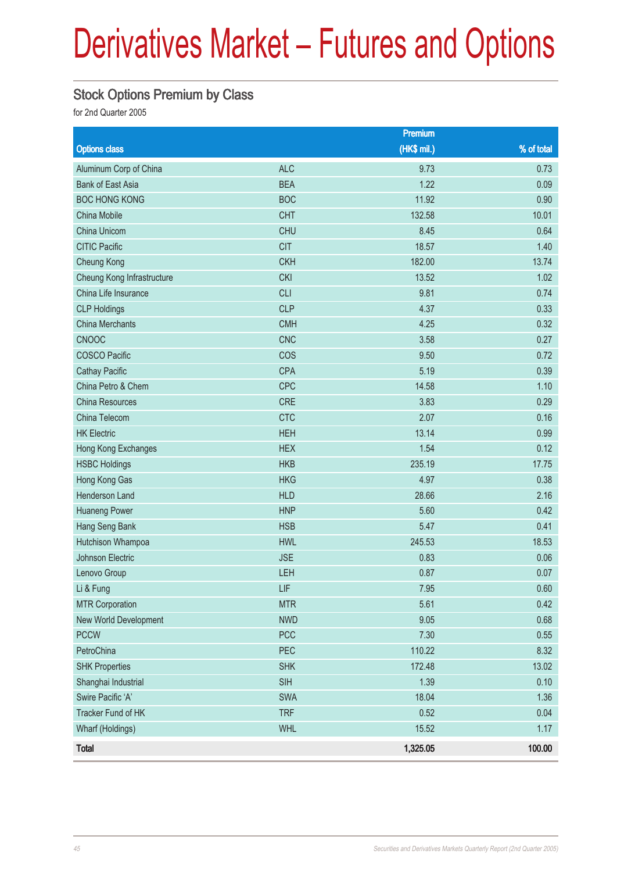### Stock Options Premium by Class

|                            |            | Premium     |            |
|----------------------------|------------|-------------|------------|
| <b>Options class</b>       |            | (HK\$ mil.) | % of total |
| Aluminum Corp of China     | <b>ALC</b> | 9.73        | 0.73       |
| <b>Bank of East Asia</b>   | <b>BEA</b> | 1.22        | 0.09       |
| <b>BOC HONG KONG</b>       | <b>BOC</b> | 11.92       | 0.90       |
| China Mobile               | <b>CHT</b> | 132.58      | 10.01      |
| China Unicom               | <b>CHU</b> | 8.45        | 0.64       |
| <b>CITIC Pacific</b>       | <b>CIT</b> | 18.57       | 1.40       |
| Cheung Kong                | <b>CKH</b> | 182.00      | 13.74      |
| Cheung Kong Infrastructure | <b>CKI</b> | 13.52       | 1.02       |
| China Life Insurance       | <b>CLI</b> | 9.81        | 0.74       |
| <b>CLP Holdings</b>        | <b>CLP</b> | 4.37        | 0.33       |
| <b>China Merchants</b>     | <b>CMH</b> | 4.25        | 0.32       |
| <b>CNOOC</b>               | <b>CNC</b> | 3.58        | 0.27       |
| <b>COSCO Pacific</b>       | COS        | 9.50        | 0.72       |
| <b>Cathay Pacific</b>      | <b>CPA</b> | 5.19        | 0.39       |
| China Petro & Chem         | <b>CPC</b> | 14.58       | 1.10       |
| China Resources            | CRE        | 3.83        | 0.29       |
| China Telecom              | <b>CTC</b> | 2.07        | 0.16       |
| <b>HK Electric</b>         | <b>HEH</b> | 13.14       | 0.99       |
| Hong Kong Exchanges        | <b>HEX</b> | 1.54        | 0.12       |
| <b>HSBC Holdings</b>       | <b>HKB</b> | 235.19      | 17.75      |
| Hong Kong Gas              | <b>HKG</b> | 4.97        | 0.38       |
| Henderson Land             | <b>HLD</b> | 28.66       | 2.16       |
| <b>Huaneng Power</b>       | <b>HNP</b> | 5.60        | 0.42       |
| Hang Seng Bank             | <b>HSB</b> | 5.47        | 0.41       |
| Hutchison Whampoa          | <b>HWL</b> | 245.53      | 18.53      |
| Johnson Electric           | <b>JSE</b> | 0.83        | 0.06       |
| Lenovo Group               | LEH        | 0.87        | 0.07       |
| Li & Fung                  | LIF        | 7.95        | 0.60       |
| <b>MTR Corporation</b>     | <b>MTR</b> | 5.61        | 0.42       |
| New World Development      | <b>NWD</b> | 9.05        | 0.68       |
| <b>PCCW</b>                | PCC        | 7.30        | 0.55       |
| PetroChina                 | PEC        | 110.22      | 8.32       |
| <b>SHK Properties</b>      | <b>SHK</b> | 172.48      | 13.02      |
| Shanghai Industrial        | <b>SIH</b> | 1.39        | 0.10       |
| Swire Pacific 'A'          | SWA        | 18.04       | 1.36       |
| Tracker Fund of HK         | <b>TRF</b> | 0.52        | 0.04       |
| Wharf (Holdings)           | <b>WHL</b> | 15.52       | 1.17       |
| <b>Total</b>               |            | 1,325.05    | 100.00     |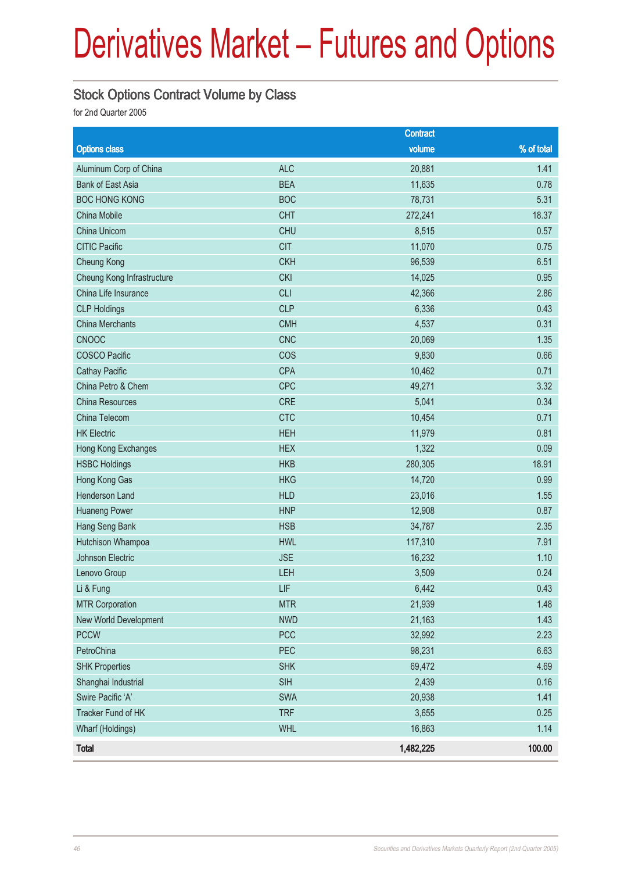#### Stock Options Contract Volume by Class

|                            |            | <b>Contract</b> |            |
|----------------------------|------------|-----------------|------------|
| <b>Options class</b>       |            | volume          | % of total |
| Aluminum Corp of China     | <b>ALC</b> | 20,881          | 1.41       |
| <b>Bank of East Asia</b>   | <b>BEA</b> | 11,635          | 0.78       |
| <b>BOC HONG KONG</b>       | <b>BOC</b> | 78,731          | 5.31       |
| China Mobile               | <b>CHT</b> | 272,241         | 18.37      |
| China Unicom               | <b>CHU</b> | 8,515           | 0.57       |
| <b>CITIC Pacific</b>       | <b>CIT</b> | 11,070          | 0.75       |
| <b>Cheung Kong</b>         | <b>CKH</b> | 96,539          | 6.51       |
| Cheung Kong Infrastructure | <b>CKI</b> | 14,025          | 0.95       |
| China Life Insurance       | <b>CLI</b> | 42,366          | 2.86       |
| <b>CLP Holdings</b>        | <b>CLP</b> | 6,336           | 0.43       |
| <b>China Merchants</b>     | <b>CMH</b> | 4,537           | 0.31       |
| <b>CNOOC</b>               | <b>CNC</b> | 20,069          | 1.35       |
| <b>COSCO Pacific</b>       | COS        | 9,830           | 0.66       |
| <b>Cathay Pacific</b>      | <b>CPA</b> | 10,462          | 0.71       |
| China Petro & Chem         | CPC        | 49,271          | 3.32       |
| China Resources            | CRE        | 5,041           | 0.34       |
| China Telecom              | <b>CTC</b> | 10,454          | 0.71       |
| <b>HK Electric</b>         | <b>HEH</b> | 11,979          | 0.81       |
| Hong Kong Exchanges        | <b>HEX</b> | 1,322           | 0.09       |
| <b>HSBC Holdings</b>       | <b>HKB</b> | 280,305         | 18.91      |
| Hong Kong Gas              | <b>HKG</b> | 14,720          | 0.99       |
| Henderson Land             | <b>HLD</b> | 23,016          | 1.55       |
| <b>Huaneng Power</b>       | <b>HNP</b> | 12,908          | 0.87       |
| Hang Seng Bank             | <b>HSB</b> | 34,787          | 2.35       |
| Hutchison Whampoa          | <b>HWL</b> | 117,310         | 7.91       |
| Johnson Electric           | <b>JSE</b> | 16,232          | 1.10       |
| Lenovo Group               | LEH        | 3,509           | 0.24       |
| Li & Fung                  | LIF        | 6,442           | 0.43       |
| <b>MTR Corporation</b>     | <b>MTR</b> | 21,939          | 1.48       |
| New World Development      | <b>NWD</b> | 21,163          | 1.43       |
| <b>PCCW</b>                | PCC        | 32,992          | 2.23       |
| PetroChina                 | PEC        | 98,231          | 6.63       |
| <b>SHK Properties</b>      | <b>SHK</b> | 69,472          | 4.69       |
| Shanghai Industrial        | <b>SIH</b> | 2,439           | 0.16       |
| Swire Pacific 'A'          | SWA        | 20,938          | 1.41       |
| Tracker Fund of HK         | <b>TRF</b> | 3,655           | 0.25       |
| Wharf (Holdings)           | <b>WHL</b> | 16,863          | 1.14       |
| <b>Total</b>               |            | 1,482,225       | 100.00     |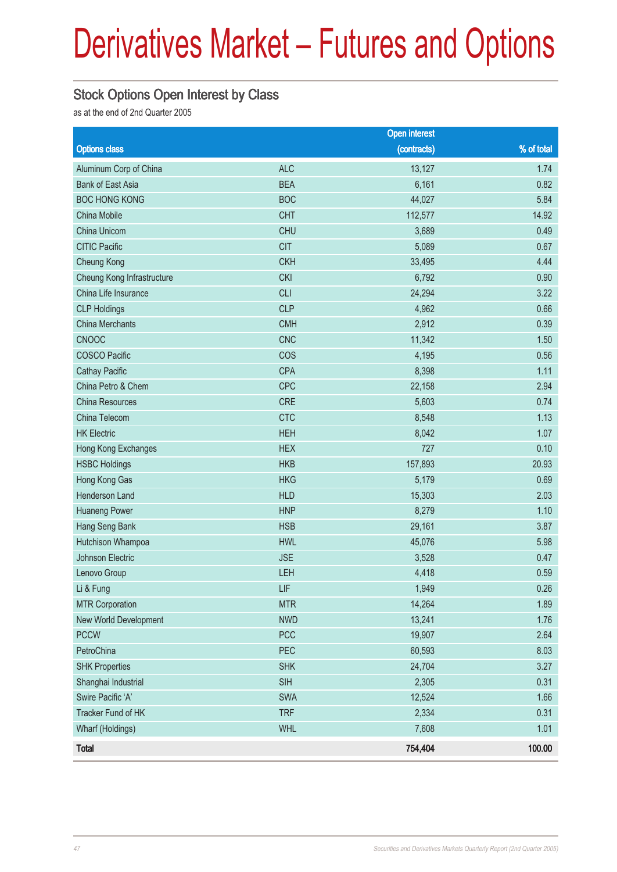#### Stock Options Open Interest by Class

as at the end of 2nd Quarter 2005

|                            |            | <b>Open interest</b> |            |
|----------------------------|------------|----------------------|------------|
| <b>Options class</b>       |            | (contracts)          | % of total |
| Aluminum Corp of China     | <b>ALC</b> | 13,127               | 1.74       |
| <b>Bank of East Asia</b>   | <b>BEA</b> | 6,161                | 0.82       |
| <b>BOC HONG KONG</b>       | <b>BOC</b> | 44,027               | 5.84       |
| China Mobile               | <b>CHT</b> | 112,577              | 14.92      |
| China Unicom               | <b>CHU</b> | 3,689                | 0.49       |
| <b>CITIC Pacific</b>       | <b>CIT</b> | 5,089                | 0.67       |
| Cheung Kong                | <b>CKH</b> | 33,495               | 4.44       |
| Cheung Kong Infrastructure | <b>CKI</b> | 6,792                | 0.90       |
| China Life Insurance       | <b>CLI</b> | 24,294               | 3.22       |
| <b>CLP Holdings</b>        | <b>CLP</b> | 4,962                | 0.66       |
| <b>China Merchants</b>     | <b>CMH</b> | 2,912                | 0.39       |
| <b>CNOOC</b>               | <b>CNC</b> | 11,342               | 1.50       |
| <b>COSCO Pacific</b>       | COS        | 4,195                | 0.56       |
| <b>Cathay Pacific</b>      | <b>CPA</b> | 8,398                | 1.11       |
| China Petro & Chem         | CPC        | 22,158               | 2.94       |
| <b>China Resources</b>     | CRE        | 5,603                | 0.74       |
| China Telecom              | <b>CTC</b> | 8,548                | 1.13       |
| <b>HK Electric</b>         | <b>HEH</b> | 8,042                | 1.07       |
| Hong Kong Exchanges        | <b>HEX</b> | 727                  | 0.10       |
| <b>HSBC Holdings</b>       | <b>HKB</b> | 157,893              | 20.93      |
| Hong Kong Gas              | <b>HKG</b> | 5,179                | 0.69       |
| Henderson Land             | <b>HLD</b> | 15,303               | 2.03       |
| <b>Huaneng Power</b>       | <b>HNP</b> | 8,279                | 1.10       |
| Hang Seng Bank             | <b>HSB</b> | 29,161               | 3.87       |
| Hutchison Whampoa          | <b>HWL</b> | 45,076               | 5.98       |
| Johnson Electric           | <b>JSE</b> | 3,528                | 0.47       |
| Lenovo Group               | LEH        | 4,418                | 0.59       |
| Li & Fung                  | LIF        | 1,949                | 0.26       |
| <b>MTR Corporation</b>     | <b>MTR</b> | 14,264               | 1.89       |
| New World Development      | <b>NWD</b> | 13,241               | 1.76       |
| <b>PCCW</b>                | PCC        | 19,907               | 2.64       |
| PetroChina                 | PEC        | 60,593               | 8.03       |
| <b>SHK Properties</b>      | <b>SHK</b> | 24,704               | 3.27       |
| Shanghai Industrial        | SIH        | 2,305                | 0.31       |
| Swire Pacific 'A'          | SWA        | 12,524               | 1.66       |
| Tracker Fund of HK         | <b>TRF</b> | 2,334                | 0.31       |
| Wharf (Holdings)           | <b>WHL</b> | 7,608                | 1.01       |
| <b>Total</b>               |            | 754,404              | 100.00     |